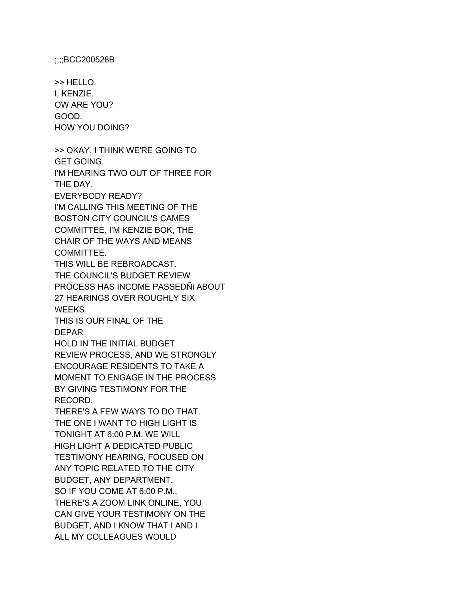;;;;BCC200528B

>> HELLO. I, KENZIE. OW ARE YOU? GOOD. HOW YOU DOING?

>> OKAY, I THINK WE'RE GOING TO GET GOING. I'M HEARING TWO OUT OF THREE FOR THE DAY. EVERYBODY READY? I'M CALLING THIS MEETING OF THE BOSTON CITY COUNCIL'S CAMES COMMITTEE, I'M KENZIE BOK, THE CHAIR OF THE WAYS AND MEANS COMMITTEE. THIS WILL BE REBROADCAST. THE COUNCIL'S BUDGET REVIEW PROCESS HAS INCOME PASSEDÑi ABOUT 27 HEARINGS OVER ROUGHLY SIX WEEKS. THIS IS OUR FINAL OF THE DEPAR HOLD IN THE INITIAL BUDGET REVIEW PROCESS, AND WE STRONGLY ENCOURAGE RESIDENTS TO TAKE A

MOMENT TO ENGAGE IN THE PROCESS BY GIVING TESTIMONY FOR THE RECORD.

THERE'S A FEW WAYS TO DO THAT. THE ONE I WANT TO HIGH LIGHT IS TONIGHT AT 6:00 P.M. WE WILL HIGH LIGHT A DEDICATED PUBLIC TESTIMONY HEARING, FOCUSED ON ANY TOPIC RELATED TO THE CITY BUDGET, ANY DEPARTMENT. SO IF YOU COME AT 6:00 P.M., THERE'S A ZOOM LINK ONLINE, YOU CAN GIVE YOUR TESTIMONY ON THE BUDGET, AND I KNOW THAT I AND I ALL MY COLLEAGUES WOULD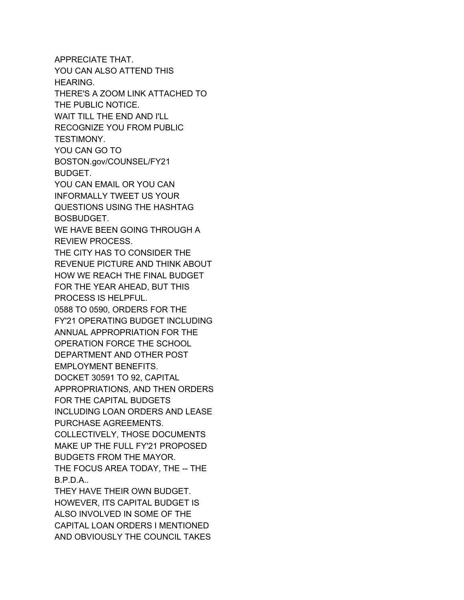APPRECIATE THAT. YOU CAN ALSO ATTEND THIS HEARING. THERE'S A ZOOM LINK ATTACHED TO THE PUBLIC NOTICE. WAIT TILL THE END AND I'LL RECOGNIZE YOU FROM PUBLIC TESTIMONY. YOU CAN GO TO BOSTON.gov/COUNSEL/FY21 BUDGET. YOU CAN EMAIL OR YOU CAN INFORMALLY TWEET US YOUR QUESTIONS USING THE HASHTAG BOSBUDGET. WE HAVE BEEN GOING THROUGH A REVIEW PROCESS. THE CITY HAS TO CONSIDER THE REVENUE PICTURE AND THINK ABOUT HOW WE REACH THE FINAL BUDGET FOR THE YEAR AHEAD, BUT THIS PROCESS IS HELPFUL. 0588 TO 0590, ORDERS FOR THE FY'21 OPERATING BUDGET INCLUDING ANNUAL APPROPRIATION FOR THE OPERATION FORCE THE SCHOOL DEPARTMENT AND OTHER POST EMPLOYMENT BENEFITS. DOCKET 30591 TO 92, CAPITAL APPROPRIATIONS, AND THEN ORDERS FOR THE CAPITAL BUDGETS INCLUDING LOAN ORDERS AND LEASE PURCHASE AGREEMENTS. COLLECTIVELY, THOSE DOCUMENTS MAKE UP THE FULL FY'21 PROPOSED BUDGETS FROM THE MAYOR. THE FOCUS AREA TODAY, THE -- THE B.P.D.A.. THEY HAVE THEIR OWN BUDGET. HOWEVER, ITS CAPITAL BUDGET IS ALSO INVOLVED IN SOME OF THE CAPITAL LOAN ORDERS I MENTIONED

AND OBVIOUSLY THE COUNCIL TAKES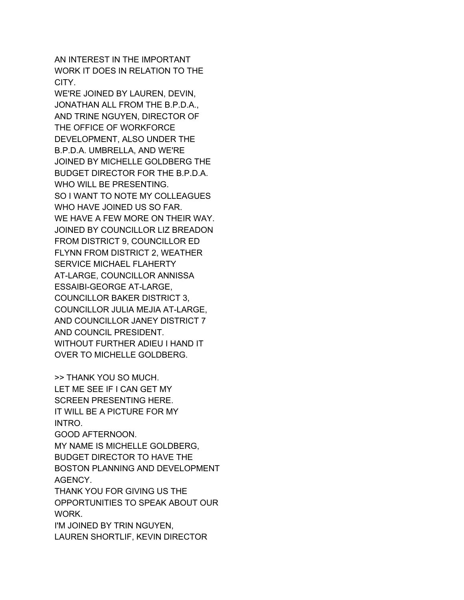AN INTEREST IN THE IMPORTANT WORK IT DOES IN RELATION TO THE CITY.

WE'RE JOINED BY LAUREN, DEVIN, JONATHAN ALL FROM THE B.P.D.A., AND TRINE NGUYEN, DIRECTOR OF THE OFFICE OF WORKFORCE DEVELOPMENT, ALSO UNDER THE B.P.D.A. UMBRELLA, AND WE'RE JOINED BY MICHELLE GOLDBERG THE BUDGET DIRECTOR FOR THE B.P.D.A. WHO WILL BE PRESENTING. SO I WANT TO NOTE MY COLLEAGUES WHO HAVE JOINED US SO FAR. WE HAVE A FEW MORE ON THEIR WAY. JOINED BY COUNCILLOR LIZ BREADON FROM DISTRICT 9, COUNCILLOR ED FLYNN FROM DISTRICT 2, WEATHER SERVICE MICHAEL FLAHERTY AT-LARGE, COUNCILLOR ANNISSA ESSAIBI-GEORGE AT-LARGE, COUNCILLOR BAKER DISTRICT 3, COUNCILLOR JULIA MEJIA AT-LARGE, AND COUNCILLOR JANEY DISTRICT 7 AND COUNCIL PRESIDENT. WITHOUT FURTHER ADIEU I HAND IT OVER TO MICHELLE GOLDBERG.

>> THANK YOU SO MUCH. LET ME SEE IF I CAN GET MY SCREEN PRESENTING HERE. IT WILL BE A PICTURE FOR MY INTRO. GOOD AFTERNOON. MY NAME IS MICHELLE GOLDBERG,

BUDGET DIRECTOR TO HAVE THE BOSTON PLANNING AND DEVELOPMENT AGENCY.

THANK YOU FOR GIVING US THE OPPORTUNITIES TO SPEAK ABOUT OUR WORK.

I'M JOINED BY TRIN NGUYEN, LAUREN SHORTLIF, KEVIN DIRECTOR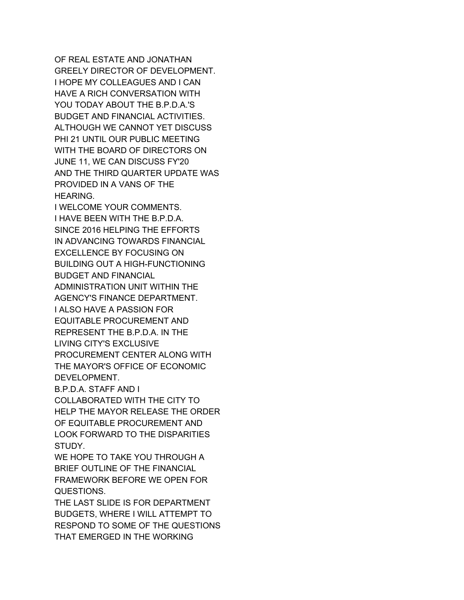OF REAL ESTATE AND JONATHAN GREELY DIRECTOR OF DEVELOPMENT. I HOPE MY COLLEAGUES AND I CAN HAVE A RICH CONVERSATION WITH YOU TODAY ABOUT THE B.P.D.A.'S BUDGET AND FINANCIAL ACTIVITIES. ALTHOUGH WE CANNOT YET DISCUSS PHI 21 UNTIL OUR PUBLIC MEETING WITH THE BOARD OF DIRECTORS ON JUNE 11, WE CAN DISCUSS FY'20 AND THE THIRD QUARTER UPDATE WAS PROVIDED IN A VANS OF THE HEARING.

I WELCOME YOUR COMMENTS. I HAVE BEEN WITH THE B.P.D.A. SINCE 2016 HELPING THE EFFORTS IN ADVANCING TOWARDS FINANCIAL EXCELLENCE BY FOCUSING ON BUILDING OUT A HIGH-FUNCTIONING BUDGET AND FINANCIAL ADMINISTRATION UNIT WITHIN THE AGENCY'S FINANCE DEPARTMENT. I ALSO HAVE A PASSION FOR EQUITABLE PROCUREMENT AND REPRESENT THE B.P.D.A. IN THE LIVING CITY'S EXCLUSIVE PROCUREMENT CENTER ALONG WITH THE MAYOR'S OFFICE OF ECONOMIC DEVELOPMENT.

B.P.D.A. STAFF AND I COLLABORATED WITH THE CITY TO HELP THE MAYOR RELEASE THE ORDER OF EQUITABLE PROCUREMENT AND LOOK FORWARD TO THE DISPARITIES STUDY.

WE HOPE TO TAKE YOU THROUGH A BRIEF OUTLINE OF THE FINANCIAL FRAMEWORK BEFORE WE OPEN FOR QUESTIONS.

THE LAST SLIDE IS FOR DEPARTMENT BUDGETS, WHERE I WILL ATTEMPT TO RESPOND TO SOME OF THE QUESTIONS THAT EMERGED IN THE WORKING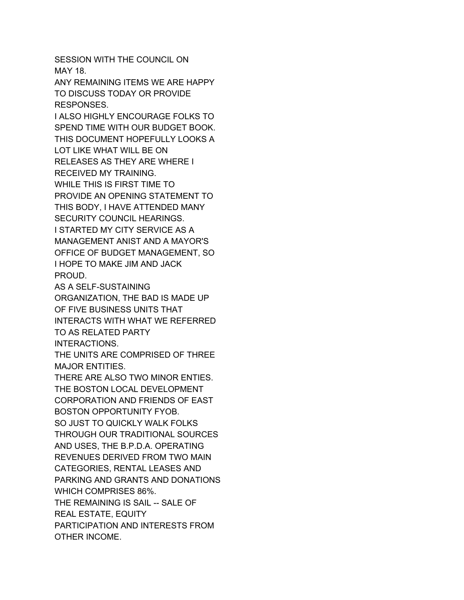SESSION WITH THE COUNCIL ON MAY 18.

ANY REMAINING ITEMS WE ARE HAPPY TO DISCUSS TODAY OR PROVIDE RESPONSES.

I ALSO HIGHLY ENCOURAGE FOLKS TO SPEND TIME WITH OUR BUDGET BOOK. THIS DOCUMENT HOPEFULLY LOOKS A LOT LIKE WHAT WILL BE ON RELEASES AS THEY ARE WHERE I RECEIVED MY TRAINING. WHILE THIS IS FIRST TIME TO PROVIDE AN OPENING STATEMENT TO THIS BODY, I HAVE ATTENDED MANY SECURITY COUNCIL HEARINGS. I STARTED MY CITY SERVICE AS A MANAGEMENT ANIST AND A MAYOR'S OFFICE OF BUDGET MANAGEMENT, SO I HOPE TO MAKE JIM AND JACK PROUD.

AS A SELF-SUSTAINING ORGANIZATION, THE BAD IS MADE UP OF FIVE BUSINESS UNITS THAT INTERACTS WITH WHAT WE REFERRED TO AS RELATED PARTY INTERACTIONS.

THE UNITS ARE COMPRISED OF THREE MAJOR ENTITIES.

THERE ARE ALSO TWO MINOR ENTIES. THE BOSTON LOCAL DEVELOPMENT CORPORATION AND FRIENDS OF EAST BOSTON OPPORTUNITY FYOB. SO JUST TO QUICKLY WALK FOLKS THROUGH OUR TRADITIONAL SOURCES AND USES, THE B.P.D.A. OPERATING REVENUES DERIVED FROM TWO MAIN CATEGORIES, RENTAL LEASES AND PARKING AND GRANTS AND DONATIONS WHICH COMPRISES 86%. THE REMAINING IS SAIL -- SALE OF REAL ESTATE, EQUITY PARTICIPATION AND INTERESTS FROM OTHER INCOME.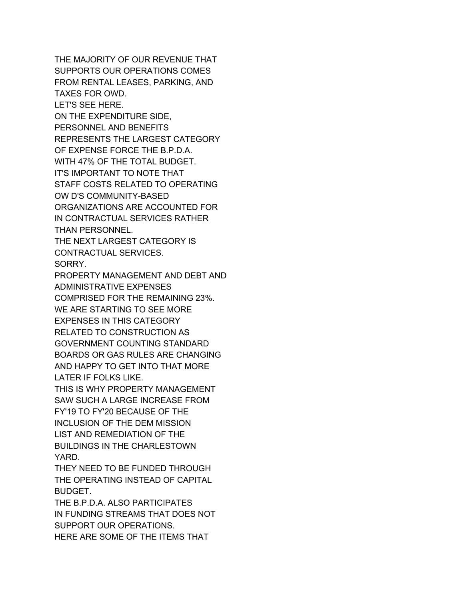THE MAJORITY OF OUR REVENUE THAT SUPPORTS OUR OPERATIONS COMES FROM RENTAL LEASES, PARKING, AND TAXES FOR OWD. LET'S SEE HERE. ON THE EXPENDITURE SIDE, PERSONNEL AND BENEFITS REPRESENTS THE LARGEST CATEGORY OF EXPENSE FORCE THE B.P.D.A. WITH 47% OF THE TOTAL BUDGET. IT'S IMPORTANT TO NOTE THAT STAFF COSTS RELATED TO OPERATING OW D'S COMMUNITY-BASED ORGANIZATIONS ARE ACCOUNTED FOR IN CONTRACTUAL SERVICES RATHER THAN PERSONNEL.

THE NEXT LARGEST CATEGORY IS CONTRACTUAL SERVICES. SORRY.

PROPERTY MANAGEMENT AND DEBT AND ADMINISTRATIVE EXPENSES

COMPRISED FOR THE REMAINING 23%. WE ARE STARTING TO SEE MORE EXPENSES IN THIS CATEGORY RELATED TO CONSTRUCTION AS GOVERNMENT COUNTING STANDARD BOARDS OR GAS RULES ARE CHANGING AND HAPPY TO GET INTO THAT MORE LATER IF FOLKS LIKE.

THIS IS WHY PROPERTY MANAGEMENT SAW SUCH A LARGE INCREASE FROM FY'19 TO FY'20 BECAUSE OF THE INCLUSION OF THE DEM MISSION LIST AND REMEDIATION OF THE BUILDINGS IN THE CHARLESTOWN YARD.

THEY NEED TO BE FUNDED THROUGH THE OPERATING INSTEAD OF CAPITAL BUDGET.

THE B.P.D.A. ALSO PARTICIPATES IN FUNDING STREAMS THAT DOES NOT SUPPORT OUR OPERATIONS. HERE ARE SOME OF THE ITEMS THAT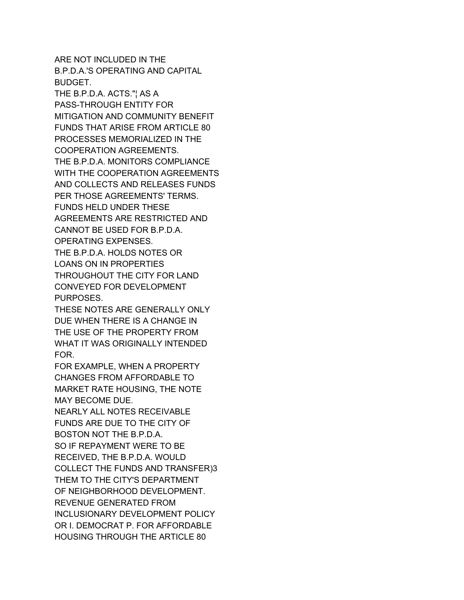ARE NOT INCLUDED IN THE B.P.D.A.'S OPERATING AND CAPITAL BUDGET.

THE B.P.D.A. ACTS."¦ AS A PASS-THROUGH ENTITY FOR MITIGATION AND COMMUNITY BENEFIT FUNDS THAT ARISE FROM ARTICLE 80 PROCESSES MEMORIALIZED IN THE COOPERATION AGREEMENTS. THE B.P.D.A. MONITORS COMPLIANCE WITH THE COOPERATION AGREEMENTS AND COLLECTS AND RELEASES FUNDS PER THOSE AGREEMENTS' TERMS. FUNDS HELD UNDER THESE AGREEMENTS ARE RESTRICTED AND CANNOT BE USED FOR B.P.D.A. OPERATING EXPENSES. THE B.P.D.A. HOLDS NOTES OR LOANS ON IN PROPERTIES THROUGHOUT THE CITY FOR LAND CONVEYED FOR DEVELOPMENT PURPOSES.

THESE NOTES ARE GENERALLY ONLY DUE WHEN THERE IS A CHANGE IN THE USE OF THE PROPERTY FROM WHAT IT WAS ORIGINALLY INTENDED FOR.

FOR EXAMPLE, WHEN A PROPERTY CHANGES FROM AFFORDABLE TO MARKET RATE HOUSING, THE NOTE MAY BECOME DUE.

NEARLY ALL NOTES RECEIVABLE FUNDS ARE DUE TO THE CITY OF BOSTON NOT THE B.P.D.A. SO IF REPAYMENT WERE TO BE RECEIVED, THE B.P.D.A. WOULD COLLECT THE FUNDS AND TRANSFER)3 THEM TO THE CITY'S DEPARTMENT OF NEIGHBORHOOD DEVELOPMENT. REVENUE GENERATED FROM INCLUSIONARY DEVELOPMENT POLICY OR I. DEMOCRAT P. FOR AFFORDABLE HOUSING THROUGH THE ARTICLE 80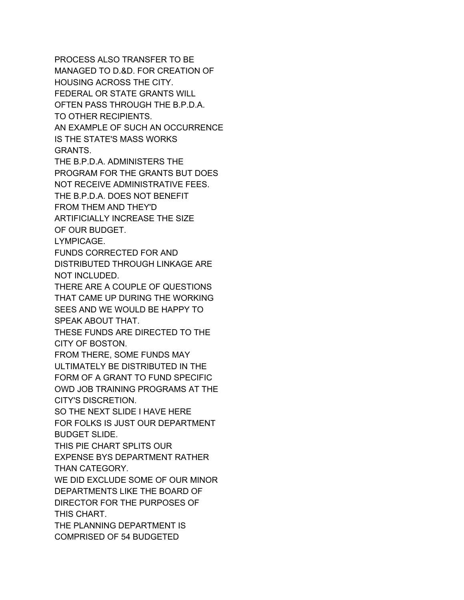PROCESS ALSO TRANSFER TO BE MANAGED TO D.&D. FOR CREATION OF HOUSING ACROSS THE CITY. FEDERAL OR STATE GRANTS WILL OFTEN PASS THROUGH THE B.P.D.A. TO OTHER RECIPIENTS. AN EXAMPLE OF SUCH AN OCCURRENCE IS THE STATE'S MASS WORKS GRANTS. THE B.P.D.A. ADMINISTERS THE PROGRAM FOR THE GRANTS BUT DOES NOT RECEIVE ADMINISTRATIVE FEES. THE B.P.D.A. DOES NOT BENEFIT FROM THEM AND THEY'D ARTIFICIALLY INCREASE THE SIZE OF OUR BUDGET. LYMPICAGE. FUNDS CORRECTED FOR AND DISTRIBUTED THROUGH LINKAGE ARE NOT INCLUDED. THERE ARE A COUPLE OF QUESTIONS THAT CAME UP DURING THE WORKING SEES AND WE WOULD BE HAPPY TO SPEAK ABOUT THAT. THESE FUNDS ARE DIRECTED TO THE CITY OF BOSTON. FROM THERE, SOME FUNDS MAY ULTIMATELY BE DISTRIBUTED IN THE FORM OF A GRANT TO FUND SPECIFIC OWD JOB TRAINING PROGRAMS AT THE CITY'S DISCRETION. SO THE NEXT SLIDE I HAVE HERE FOR FOLKS IS JUST OUR DEPARTMENT BUDGET SLIDE. THIS PIE CHART SPLITS OUR EXPENSE BYS DEPARTMENT RATHER THAN CATEGORY. WE DID EXCLUDE SOME OF OUR MINOR DEPARTMENTS LIKE THE BOARD OF DIRECTOR FOR THE PURPOSES OF THIS CHART. THE PLANNING DEPARTMENT IS COMPRISED OF 54 BUDGETED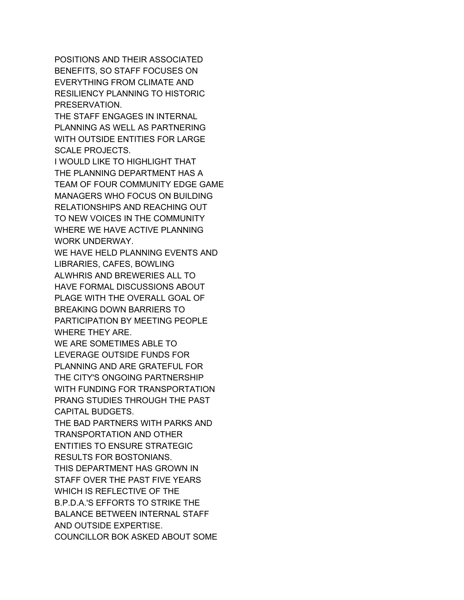POSITIONS AND THEIR ASSOCIATED BENEFITS, SO STAFF FOCUSES ON EVERYTHING FROM CLIMATE AND RESILIENCY PLANNING TO HISTORIC PRESERVATION.

THE STAFF ENGAGES IN INTERNAL PLANNING AS WELL AS PARTNERING WITH OUTSIDE ENTITIES FOR LARGE SCALE PROJECTS.

I WOULD LIKE TO HIGHLIGHT THAT THE PLANNING DEPARTMENT HAS A TEAM OF FOUR COMMUNITY EDGE GAME MANAGERS WHO FOCUS ON BUILDING RELATIONSHIPS AND REACHING OUT TO NEW VOICES IN THE COMMUNITY WHERE WE HAVE ACTIVE PLANNING WORK UNDERWAY.

WE HAVE HELD PLANNING EVENTS AND LIBRARIES, CAFES, BOWLING ALWHRIS AND BREWERIES ALL TO HAVE FORMAL DISCUSSIONS ABOUT PLAGE WITH THE OVERALL GOAL OF BREAKING DOWN BARRIERS TO PARTICIPATION BY MEETING PEOPLE WHERE THEY ARE.

WE ARE SOMETIMES ABLE TO LEVERAGE OUTSIDE FUNDS FOR PLANNING AND ARE GRATEFUL FOR THE CITY'S ONGOING PARTNERSHIP WITH FUNDING FOR TRANSPORTATION PRANG STUDIES THROUGH THE PAST CAPITAL BUDGETS.

THE BAD PARTNERS WITH PARKS AND TRANSPORTATION AND OTHER ENTITIES TO ENSURE STRATEGIC RESULTS FOR BOSTONIANS. THIS DEPARTMENT HAS GROWN IN STAFF OVER THE PAST FIVE YEARS WHICH IS REFLECTIVE OF THE B.P.D.A.'S EFFORTS TO STRIKE THE BALANCE BETWEEN INTERNAL STAFF AND OUTSIDE EXPERTISE. COUNCILLOR BOK ASKED ABOUT SOME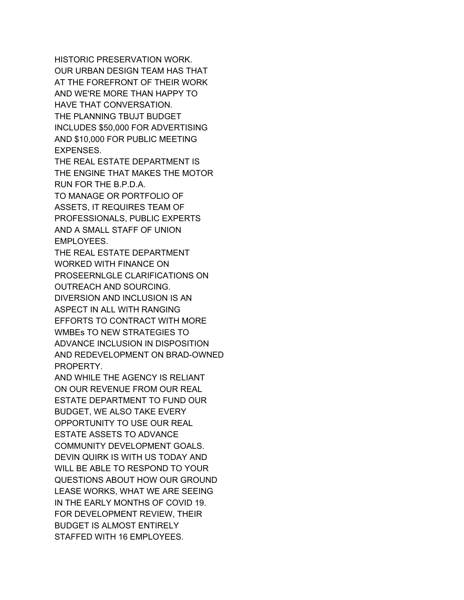HISTORIC PRESERVATION WORK. OUR URBAN DESIGN TEAM HAS THAT AT THE FOREFRONT OF THEIR WORK AND WE'RE MORE THAN HAPPY TO HAVE THAT CONVERSATION. THE PLANNING TBUJT BUDGET INCLUDES \$50,000 FOR ADVERTISING AND \$10,000 FOR PUBLIC MEETING EXPENSES.

THE REAL ESTATE DEPARTMENT IS THE ENGINE THAT MAKES THE MOTOR RUN FOR THE B.P.D.A. TO MANAGE OR PORTFOLIO OF ASSETS, IT REQUIRES TEAM OF

PROFESSIONALS, PUBLIC EXPERTS AND A SMALL STAFF OF UNION EMPLOYEES.

THE REAL ESTATE DEPARTMENT WORKED WITH FINANCE ON PROSEERNLGLE CLARIFICATIONS ON OUTREACH AND SOURCING. DIVERSION AND INCLUSION IS AN ASPECT IN ALL WITH RANGING EFFORTS TO CONTRACT WITH MORE WMBEs TO NEW STRATEGIES TO ADVANCE INCLUSION IN DISPOSITION AND REDEVELOPMENT ON BRAD-OWNED PROPERTY.

AND WHILE THE AGENCY IS RELIANT ON OUR REVENUE FROM OUR REAL ESTATE DEPARTMENT TO FUND OUR BUDGET, WE ALSO TAKE EVERY OPPORTUNITY TO USE OUR REAL ESTATE ASSETS TO ADVANCE COMMUNITY DEVELOPMENT GOALS. DEVIN QUIRK IS WITH US TODAY AND WILL BE ABLE TO RESPOND TO YOUR QUESTIONS ABOUT HOW OUR GROUND LEASE WORKS, WHAT WE ARE SEEING IN THE EARLY MONTHS OF COVID 19. FOR DEVELOPMENT REVIEW, THEIR BUDGET IS ALMOST ENTIRELY STAFFED WITH 16 EMPLOYEES.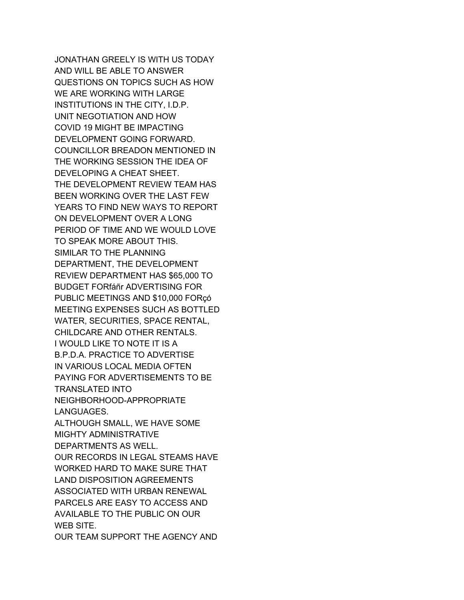JONATHAN GREELY IS WITH US TODAY AND WILL BE ABLE TO ANSWER QUESTIONS ON TOPICS SUCH AS HOW WE ARE WORKING WITH LARGE INSTITUTIONS IN THE CITY, I.D.P. UNIT NEGOTIATION AND HOW COVID 19 MIGHT BE IMPACTING DEVELOPMENT GOING FORWARD. COUNCILLOR BREADON MENTIONED IN THE WORKING SESSION THE IDEA OF DEVELOPING A CHEAT SHEET. THE DEVELOPMENT REVIEW TEAM HAS BEEN WORKING OVER THE LAST FEW YEARS TO FIND NEW WAYS TO REPORT ON DEVELOPMENT OVER A LONG PERIOD OF TIME AND WE WOULD LOVE TO SPEAK MORE ABOUT THIS. SIMILAR TO THE PLANNING DEPARTMENT, THE DEVELOPMENT REVIEW DEPARTMENT HAS \$65,000 TO BUDGET FORfáñr ADVERTISING FOR PUBLIC MEETINGS AND \$10,000 FORçó MEETING EXPENSES SUCH AS BOTTLED WATER, SECURITIES, SPACE RENTAL, CHILDCARE AND OTHER RENTALS. I WOULD LIKE TO NOTE IT IS A B.P.D.A. PRACTICE TO ADVERTISE IN VARIOUS LOCAL MEDIA OFTEN PAYING FOR ADVERTISEMENTS TO BE TRANSLATED INTO NEIGHBORHOOD-APPROPRIATE LANGUAGES. ALTHOUGH SMALL, WE HAVE SOME MIGHTY ADMINISTRATIVE DEPARTMENTS AS WELL. OUR RECORDS IN LEGAL STEAMS HAVE WORKED HARD TO MAKE SURE THAT LAND DISPOSITION AGREEMENTS ASSOCIATED WITH URBAN RENEWAL PARCELS ARE EASY TO ACCESS AND AVAILABLE TO THE PUBLIC ON OUR WEB SITE. OUR TEAM SUPPORT THE AGENCY AND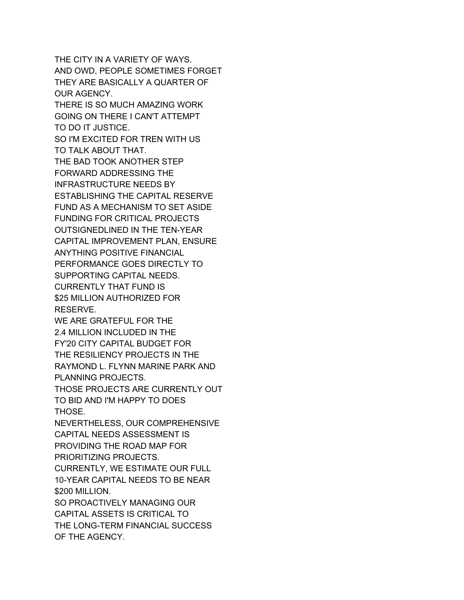THE CITY IN A VARIETY OF WAYS. AND OWD, PEOPLE SOMETIMES FORGET THEY ARE BASICALLY A QUARTER OF OUR AGENCY. THERE IS SO MUCH AMAZING WORK GOING ON THERE I CAN'T ATTEMPT TO DO IT JUSTICE. SO I'M EXCITED FOR TREN WITH US TO TALK ABOUT THAT. THE BAD TOOK ANOTHER STEP FORWARD ADDRESSING THE INFRASTRUCTURE NEEDS BY ESTABLISHING THE CAPITAL RESERVE FUND AS A MECHANISM TO SET ASIDE FUNDING FOR CRITICAL PROJECTS OUTSIGNEDLINED IN THE TEN-YEAR CAPITAL IMPROVEMENT PLAN, ENSURE ANYTHING POSITIVE FINANCIAL PERFORMANCE GOES DIRECTLY TO SUPPORTING CAPITAL NEEDS. CURRENTLY THAT FUND IS \$25 MILLION AUTHORIZED FOR RESERVE. WE ARE GRATEFUL FOR THE 2.4 MILLION INCLUDED IN THE FY'20 CITY CAPITAL BUDGET FOR THE RESILIENCY PROJECTS IN THE RAYMOND L. FLYNN MARINE PARK AND PLANNING PROJECTS. THOSE PROJECTS ARE CURRENTLY OUT TO BID AND I'M HAPPY TO DOES THOSE. NEVERTHELESS, OUR COMPREHENSIVE CAPITAL NEEDS ASSESSMENT IS PROVIDING THE ROAD MAP FOR PRIORITIZING PROJECTS. CURRENTLY, WE ESTIMATE OUR FULL 10-YEAR CAPITAL NEEDS TO BE NEAR \$200 MILLION. SO PROACTIVELY MANAGING OUR CAPITAL ASSETS IS CRITICAL TO THE LONG-TERM FINANCIAL SUCCESS OF THE AGENCY.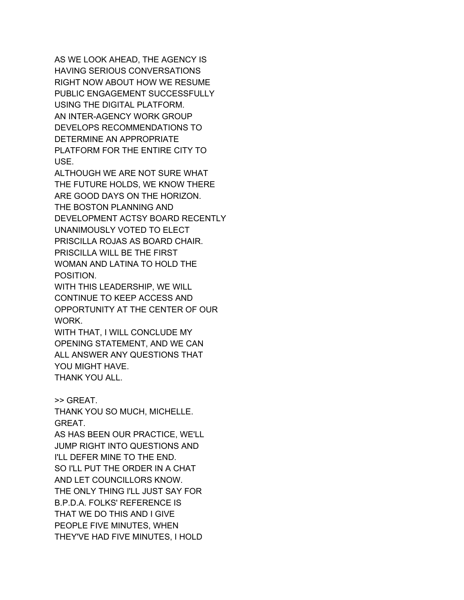AS WE LOOK AHEAD, THE AGENCY IS HAVING SERIOUS CONVERSATIONS RIGHT NOW ABOUT HOW WE RESUME PUBLIC ENGAGEMENT SUCCESSFULLY USING THE DIGITAL PLATFORM. AN INTER-AGENCY WORK GROUP DEVELOPS RECOMMENDATIONS TO DETERMINE AN APPROPRIATE PLATFORM FOR THE ENTIRE CITY TO USE.

ALTHOUGH WE ARE NOT SURE WHAT THE FUTURE HOLDS, WE KNOW THERE ARE GOOD DAYS ON THE HORIZON. THE BOSTON PLANNING AND DEVELOPMENT ACTSY BOARD RECENTLY UNANIMOUSLY VOTED TO ELECT PRISCILLA ROJAS AS BOARD CHAIR. PRISCILLA WILL BE THE FIRST WOMAN AND LATINA TO HOLD THE POSITION.

WITH THIS LEADERSHIP, WE WILL CONTINUE TO KEEP ACCESS AND OPPORTUNITY AT THE CENTER OF OUR WORK.

WITH THAT, I WILL CONCLUDE MY OPENING STATEMENT, AND WE CAN ALL ANSWER ANY QUESTIONS THAT YOU MIGHT HAVE. THANK YOU ALL.

>> GREAT.

THANK YOU SO MUCH, MICHELLE. GREAT.

AS HAS BEEN OUR PRACTICE, WE'LL JUMP RIGHT INTO QUESTIONS AND I'LL DEFER MINE TO THE END. SO I'LL PUT THE ORDER IN A CHAT AND LET COUNCILLORS KNOW. THE ONLY THING I'LL JUST SAY FOR B.P.D.A. FOLKS' REFERENCE IS THAT WE DO THIS AND I GIVE PEOPLE FIVE MINUTES, WHEN THEY'VE HAD FIVE MINUTES, I HOLD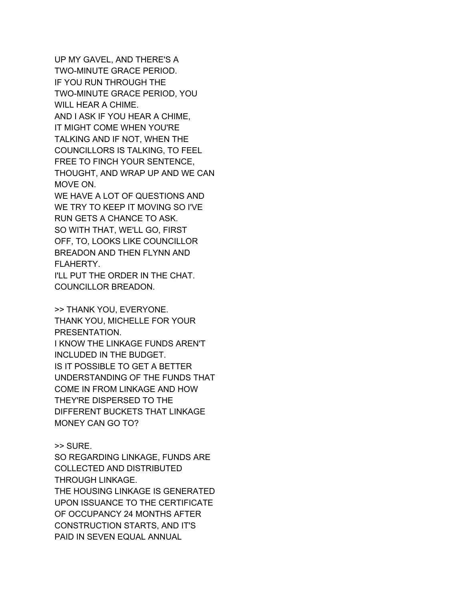UP MY GAVEL, AND THERE'S A TWO-MINUTE GRACE PERIOD. IF YOU RUN THROUGH THE TWO-MINUTE GRACE PERIOD, YOU WILL HEAR A CHIME. AND I ASK IF YOU HEAR A CHIME, IT MIGHT COME WHEN YOU'RE TALKING AND IF NOT, WHEN THE COUNCILLORS IS TALKING, TO FEEL FREE TO FINCH YOUR SENTENCE, THOUGHT, AND WRAP UP AND WE CAN MOVE ON. WE HAVE A LOT OF QUESTIONS AND WE TRY TO KEEP IT MOVING SO I'VE RUN GETS A CHANCE TO ASK.

SO WITH THAT, WE'LL GO, FIRST OFF, TO, LOOKS LIKE COUNCILLOR BREADON AND THEN FLYNN AND FLAHERTY.

I'LL PUT THE ORDER IN THE CHAT. COUNCILLOR BREADON.

>> THANK YOU, EVERYONE. THANK YOU, MICHELLE FOR YOUR PRESENTATION. I KNOW THE LINKAGE FUNDS AREN'T INCLUDED IN THE BUDGET. IS IT POSSIBLE TO GET A BETTER UNDERSTANDING OF THE FUNDS THAT COME IN FROM LINKAGE AND HOW THEY'RE DISPERSED TO THE DIFFERENT BUCKETS THAT LINKAGE MONEY CAN GO TO?

>> SURE.

SO REGARDING LINKAGE, FUNDS ARE COLLECTED AND DISTRIBUTED THROUGH LINKAGE. THE HOUSING LINKAGE IS GENERATED UPON ISSUANCE TO THE CERTIFICATE OF OCCUPANCY 24 MONTHS AFTER CONSTRUCTION STARTS, AND IT'S PAID IN SEVEN EQUAL ANNUAL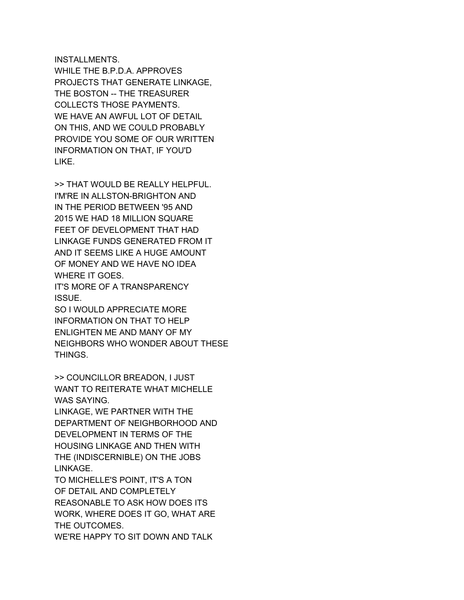## INSTALLMENTS.

WHILE THE B.P.D.A. APPROVES PROJECTS THAT GENERATE LINKAGE, THE BOSTON -- THE TREASURER COLLECTS THOSE PAYMENTS. WE HAVE AN AWFUL LOT OF DETAIL ON THIS, AND WE COULD PROBABLY PROVIDE YOU SOME OF OUR WRITTEN INFORMATION ON THAT, IF YOU'D LIKE.

>> THAT WOULD BE REALLY HELPFUL. I'M'RE IN ALLSTON-BRIGHTON AND IN THE PERIOD BETWEEN '95 AND 2015 WE HAD 18 MILLION SQUARE FEET OF DEVELOPMENT THAT HAD LINKAGE FUNDS GENERATED FROM IT AND IT SEEMS LIKE A HUGE AMOUNT OF MONEY AND WE HAVE NO IDEA WHERE IT GOES.

IT'S MORE OF A TRANSPARENCY ISSUE.

SO I WOULD APPRECIATE MORE INFORMATION ON THAT TO HELP ENLIGHTEN ME AND MANY OF MY NEIGHBORS WHO WONDER ABOUT THESE THINGS.

>> COUNCILLOR BREADON, I JUST WANT TO REITERATE WHAT MICHELLE WAS SAYING.

LINKAGE, WE PARTNER WITH THE DEPARTMENT OF NEIGHBORHOOD AND DEVELOPMENT IN TERMS OF THE HOUSING LINKAGE AND THEN WITH THE (INDISCERNIBLE) ON THE JOBS LINKAGE.

TO MICHELLE'S POINT, IT'S A TON OF DETAIL AND COMPLETELY REASONABLE TO ASK HOW DOES ITS WORK, WHERE DOES IT GO, WHAT ARE THE OUTCOMES.

WE'RE HAPPY TO SIT DOWN AND TALK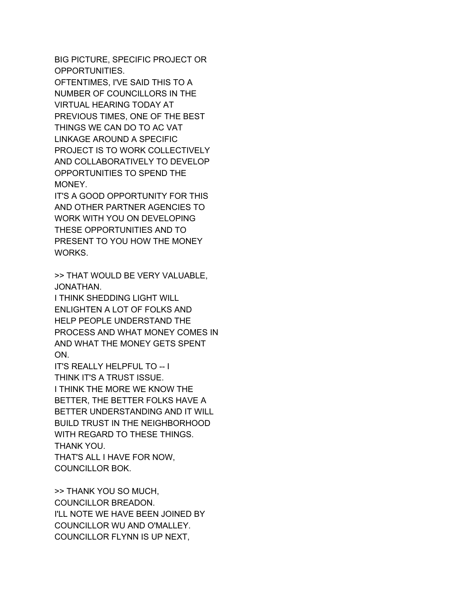BIG PICTURE, SPECIFIC PROJECT OR OPPORTUNITIES.

OFTENTIMES, I'VE SAID THIS TO A NUMBER OF COUNCILLORS IN THE VIRTUAL HEARING TODAY AT PREVIOUS TIMES, ONE OF THE BEST THINGS WE CAN DO TO AC VAT LINKAGE AROUND A SPECIFIC PROJECT IS TO WORK COLLECTIVELY AND COLLABORATIVELY TO DEVELOP OPPORTUNITIES TO SPEND THE MONEY.

IT'S A GOOD OPPORTUNITY FOR THIS AND OTHER PARTNER AGENCIES TO WORK WITH YOU ON DEVELOPING THESE OPPORTUNITIES AND TO PRESENT TO YOU HOW THE MONEY WORKS.

>> THAT WOULD BE VERY VALUABLE, JONATHAN.

I THINK SHEDDING LIGHT WILL ENLIGHTEN A LOT OF FOLKS AND HELP PEOPLE UNDERSTAND THE PROCESS AND WHAT MONEY COMES IN AND WHAT THE MONEY GETS SPENT ON.

IT'S REALLY HELPFUL TO -- I THINK IT'S A TRUST ISSUE. I THINK THE MORE WE KNOW THE BETTER, THE BETTER FOLKS HAVE A BETTER UNDERSTANDING AND IT WILL BUILD TRUST IN THE NEIGHBORHOOD WITH REGARD TO THESE THINGS. THANK YOU. THAT'S ALL I HAVE FOR NOW, COUNCILLOR BOK.

>> THANK YOU SO MUCH, COUNCILLOR BREADON. I'LL NOTE WE HAVE BEEN JOINED BY COUNCILLOR WU AND O'MALLEY. COUNCILLOR FLYNN IS UP NEXT,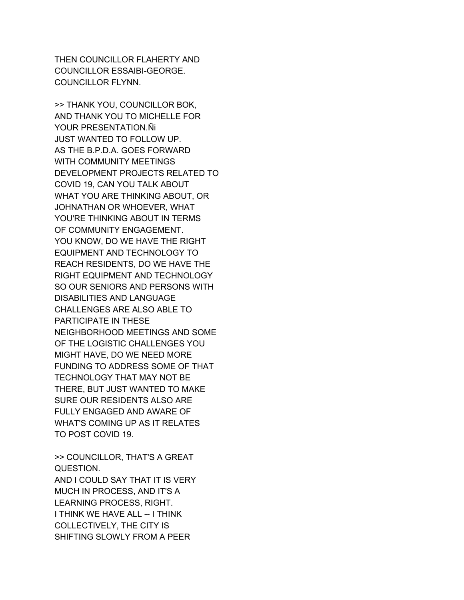THEN COUNCILLOR FLAHERTY AND COUNCILLOR ESSAIBI-GEORGE. COUNCILLOR FLYNN.

>> THANK YOU, COUNCILLOR BOK, AND THANK YOU TO MICHELLE FOR YOUR PRESENTATION.Ñi JUST WANTED TO FOLLOW UP. AS THE B.P.D.A. GOES FORWARD WITH COMMUNITY MEETINGS DEVELOPMENT PROJECTS RELATED TO COVID 19, CAN YOU TALK ABOUT WHAT YOU ARE THINKING ABOUT, OR JOHNATHAN OR WHOEVER, WHAT YOU'RE THINKING ABOUT IN TERMS OF COMMUNITY ENGAGEMENT. YOU KNOW, DO WE HAVE THE RIGHT EQUIPMENT AND TECHNOLOGY TO REACH RESIDENTS, DO WE HAVE THE RIGHT EQUIPMENT AND TECHNOLOGY SO OUR SENIORS AND PERSONS WITH DISABILITIES AND LANGUAGE CHALLENGES ARE ALSO ABLE TO PARTICIPATE IN THESE NEIGHBORHOOD MEETINGS AND SOME OF THE LOGISTIC CHALLENGES YOU MIGHT HAVE, DO WE NEED MORE FUNDING TO ADDRESS SOME OF THAT TECHNOLOGY THAT MAY NOT BE THERE, BUT JUST WANTED TO MAKE SURE OUR RESIDENTS ALSO ARE FULLY ENGAGED AND AWARE OF WHAT'S COMING UP AS IT RELATES TO POST COVID 19.

>> COUNCILLOR, THAT'S A GREAT QUESTION. AND I COULD SAY THAT IT IS VERY MUCH IN PROCESS, AND IT'S A LEARNING PROCESS, RIGHT. I THINK WE HAVE ALL -- I THINK COLLECTIVELY, THE CITY IS SHIFTING SLOWLY FROM A PEER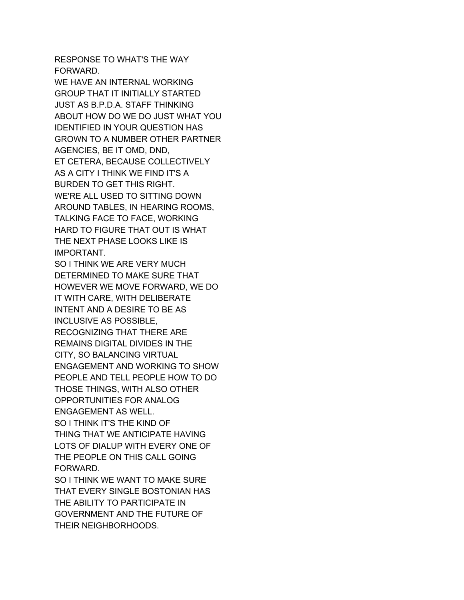RESPONSE TO WHAT'S THE WAY FORWARD.

WE HAVE AN INTERNAL WORKING GROUP THAT IT INITIALLY STARTED JUST AS B.P.D.A. STAFF THINKING ABOUT HOW DO WE DO JUST WHAT YOU IDENTIFIED IN YOUR QUESTION HAS GROWN TO A NUMBER OTHER PARTNER AGENCIES, BE IT OMD, DND, ET CETERA, BECAUSE COLLECTIVELY AS A CITY I THINK WE FIND IT'S A BURDEN TO GET THIS RIGHT. WE'RE ALL USED TO SITTING DOWN AROUND TABLES, IN HEARING ROOMS, TALKING FACE TO FACE, WORKING HARD TO FIGURE THAT OUT IS WHAT THE NEXT PHASE LOOKS LIKE IS IMPORTANT.

SO I THINK WE ARE VERY MUCH DETERMINED TO MAKE SURE THAT HOWEVER WE MOVE FORWARD, WE DO IT WITH CARE, WITH DELIBERATE INTENT AND A DESIRE TO BE AS INCLUSIVE AS POSSIBLE, RECOGNIZING THAT THERE ARE REMAINS DIGITAL DIVIDES IN THE CITY, SO BALANCING VIRTUAL ENGAGEMENT AND WORKING TO SHOW PEOPLE AND TELL PEOPLE HOW TO DO THOSE THINGS, WITH ALSO OTHER OPPORTUNITIES FOR ANALOG ENGAGEMENT AS WELL. SO I THINK IT'S THE KIND OF THING THAT WE ANTICIPATE HAVING LOTS OF DIALUP WITH EVERY ONE OF THE PEOPLE ON THIS CALL GOING FORWARD. SO I THINK WE WANT TO MAKE SURE

THAT EVERY SINGLE BOSTONIAN HAS THE ABILITY TO PARTICIPATE IN GOVERNMENT AND THE FUTURE OF THEIR NEIGHBORHOODS.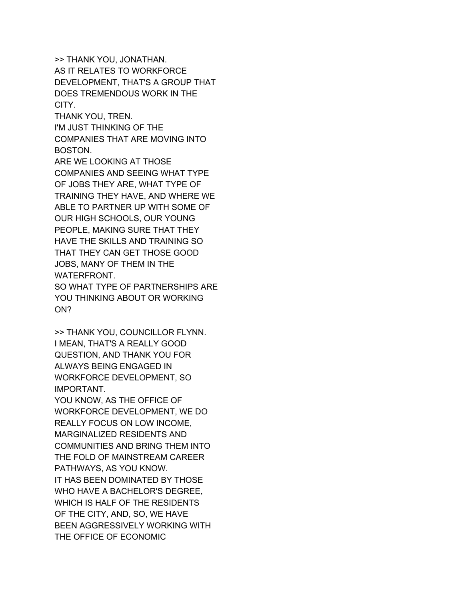>> THANK YOU, JONATHAN. AS IT RELATES TO WORKFORCE DEVELOPMENT, THAT'S A GROUP THAT DOES TREMENDOUS WORK IN THE CITY.

THANK YOU, TREN.

I'M JUST THINKING OF THE COMPANIES THAT ARE MOVING INTO BOSTON.

ARE WE LOOKING AT THOSE COMPANIES AND SEEING WHAT TYPE OF JOBS THEY ARE, WHAT TYPE OF TRAINING THEY HAVE, AND WHERE WE ABLE TO PARTNER UP WITH SOME OF OUR HIGH SCHOOLS, OUR YOUNG PEOPLE, MAKING SURE THAT THEY HAVE THE SKILLS AND TRAINING SO THAT THEY CAN GET THOSE GOOD JOBS, MANY OF THEM IN THE WATERFRONT. SO WHAT TYPE OF PARTNERSHIPS ARE YOU THINKING ABOUT OR WORKING

ON?

>> THANK YOU, COUNCILLOR FLYNN. I MEAN, THAT'S A REALLY GOOD QUESTION, AND THANK YOU FOR ALWAYS BEING ENGAGED IN WORKFORCE DEVELOPMENT, SO IMPORTANT.

YOU KNOW, AS THE OFFICE OF WORKFORCE DEVELOPMENT, WE DO REALLY FOCUS ON LOW INCOME, MARGINALIZED RESIDENTS AND COMMUNITIES AND BRING THEM INTO THE FOLD OF MAINSTREAM CAREER PATHWAYS, AS YOU KNOW. IT HAS BEEN DOMINATED BY THOSE WHO HAVE A BACHELOR'S DEGREE, WHICH IS HALF OF THE RESIDENTS OF THE CITY, AND, SO, WE HAVE BEEN AGGRESSIVELY WORKING WITH THE OFFICE OF ECONOMIC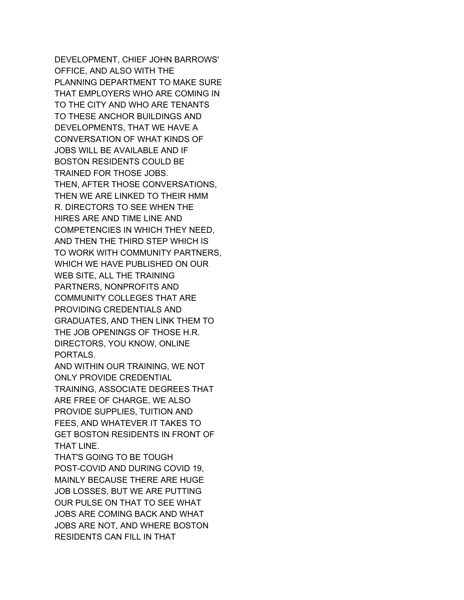DEVELOPMENT, CHIEF JOHN BARROWS' OFFICE, AND ALSO WITH THE PLANNING DEPARTMENT TO MAKE SURE THAT EMPLOYERS WHO ARE COMING IN TO THE CITY AND WHO ARE TENANTS TO THESE ANCHOR BUILDINGS AND DEVELOPMENTS, THAT WE HAVE A CONVERSATION OF WHAT KINDS OF JOBS WILL BE AVAILABLE AND IF BOSTON RESIDENTS COULD BE TRAINED FOR THOSE JOBS. THEN, AFTER THOSE CONVERSATIONS, THEN WE ARE LINKED TO THEIR HMM R. DIRECTORS TO SEE WHEN THE HIRES ARE AND TIME LINE AND COMPETENCIES IN WHICH THEY NEED, AND THEN THE THIRD STEP WHICH IS TO WORK WITH COMMUNITY PARTNERS, WHICH WE HAVE PUBLISHED ON OUR WEB SITE, ALL THE TRAINING PARTNERS, NONPROFITS AND COMMUNITY COLLEGES THAT ARE PROVIDING CREDENTIALS AND GRADUATES, AND THEN LINK THEM TO THE JOB OPENINGS OF THOSE H.R. DIRECTORS, YOU KNOW, ONLINE PORTALS. AND WITHIN OUR TRAINING, WE NOT ONLY PROVIDE CREDENTIAL

TRAINING, ASSOCIATE DEGREES THAT ARE FREE OF CHARGE, WE ALSO PROVIDE SUPPLIES, TUITION AND FEES, AND WHATEVER IT TAKES TO GET BOSTON RESIDENTS IN FRONT OF THAT LINE.

THAT'S GOING TO BE TOUGH POST-COVID AND DURING COVID 19, MAINLY BECAUSE THERE ARE HUGE JOB LOSSES, BUT WE ARE PUTTING OUR PULSE ON THAT TO SEE WHAT JOBS ARE COMING BACK AND WHAT JOBS ARE NOT, AND WHERE BOSTON RESIDENTS CAN FILL IN THAT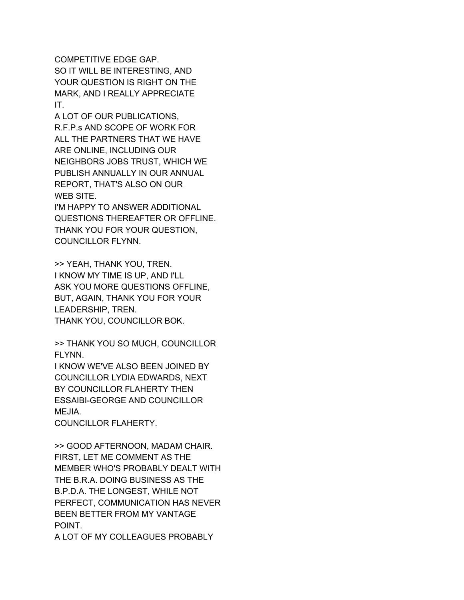COMPETITIVE EDGE GAP. SO IT WILL BE INTERESTING, AND YOUR QUESTION IS RIGHT ON THE MARK, AND I REALLY APPRECIATE IT.

A LOT OF OUR PUBLICATIONS, R.F.P.s AND SCOPE OF WORK FOR ALL THE PARTNERS THAT WE HAVE ARE ONLINE, INCLUDING OUR NEIGHBORS JOBS TRUST, WHICH WE PUBLISH ANNUALLY IN OUR ANNUAL REPORT, THAT'S ALSO ON OUR WEB SITE.

I'M HAPPY TO ANSWER ADDITIONAL QUESTIONS THEREAFTER OR OFFLINE. THANK YOU FOR YOUR QUESTION, COUNCILLOR FLYNN.

>> YEAH, THANK YOU, TREN. I KNOW MY TIME IS UP, AND I'LL ASK YOU MORE QUESTIONS OFFLINE, BUT, AGAIN, THANK YOU FOR YOUR LEADERSHIP, TREN. THANK YOU, COUNCILLOR BOK.

>> THANK YOU SO MUCH, COUNCILLOR FLYNN.

I KNOW WE'VE ALSO BEEN JOINED BY COUNCILLOR LYDIA EDWARDS, NEXT BY COUNCILLOR FLAHERTY THEN ESSAIBI-GEORGE AND COUNCILLOR MEJIA.

COUNCILLOR FLAHERTY.

>> GOOD AFTERNOON, MADAM CHAIR. FIRST, LET ME COMMENT AS THE MEMBER WHO'S PROBABLY DEALT WITH THE B.R.A. DOING BUSINESS AS THE B.P.D.A. THE LONGEST, WHILE NOT PERFECT, COMMUNICATION HAS NEVER BEEN BETTER FROM MY VANTAGE POINT.

A LOT OF MY COLLEAGUES PROBABLY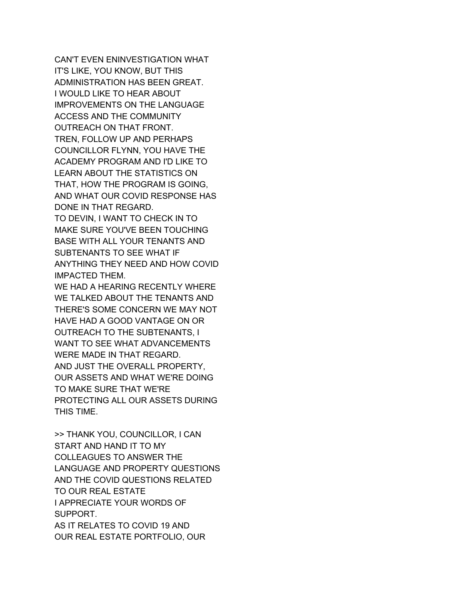CAN'T EVEN ENINVESTIGATION WHAT IT'S LIKE, YOU KNOW, BUT THIS ADMINISTRATION HAS BEEN GREAT. I WOULD LIKE TO HEAR ABOUT IMPROVEMENTS ON THE LANGUAGE ACCESS AND THE COMMUNITY OUTREACH ON THAT FRONT. TREN, FOLLOW UP AND PERHAPS COUNCILLOR FLYNN, YOU HAVE THE ACADEMY PROGRAM AND I'D LIKE TO LEARN ABOUT THE STATISTICS ON THAT, HOW THE PROGRAM IS GOING, AND WHAT OUR COVID RESPONSE HAS DONE IN THAT REGARD. TO DEVIN, I WANT TO CHECK IN TO

MAKE SURE YOU'VE BEEN TOUCHING BASE WITH ALL YOUR TENANTS AND SUBTENANTS TO SEE WHAT IF ANYTHING THEY NEED AND HOW COVID IMPACTED THEM.

WE HAD A HEARING RECENTLY WHERE WE TALKED ABOUT THE TENANTS AND THERE'S SOME CONCERN WE MAY NOT HAVE HAD A GOOD VANTAGE ON OR OUTREACH TO THE SUBTENANTS, I WANT TO SEE WHAT ADVANCEMENTS WERE MADE IN THAT REGARD. AND JUST THE OVERALL PROPERTY, OUR ASSETS AND WHAT WE'RE DOING TO MAKE SURE THAT WE'RE PROTECTING ALL OUR ASSETS DURING THIS TIME.

>> THANK YOU, COUNCILLOR, I CAN START AND HAND IT TO MY COLLEAGUES TO ANSWER THE LANGUAGE AND PROPERTY QUESTIONS AND THE COVID QUESTIONS RELATED TO OUR REAL ESTATE I APPRECIATE YOUR WORDS OF SUPPORT. AS IT RELATES TO COVID 19 AND OUR REAL ESTATE PORTFOLIO, OUR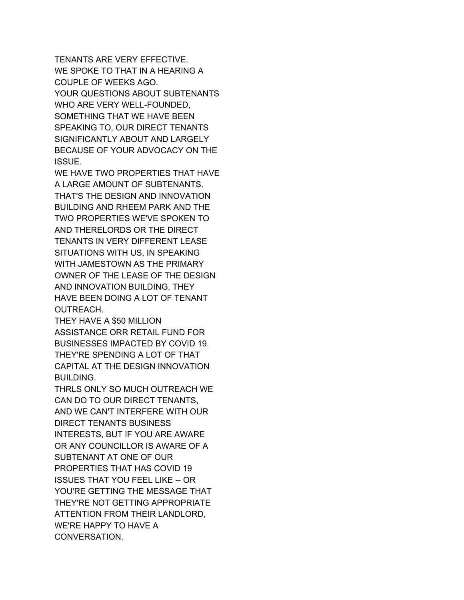TENANTS ARE VERY EFFECTIVE. WE SPOKE TO THAT IN A HEARING A COUPLE OF WEEKS AGO. YOUR QUESTIONS ABOUT SUBTENANTS WHO ARE VERY WELL-FOUNDED, SOMETHING THAT WE HAVE BEEN SPEAKING TO, OUR DIRECT TENANTS SIGNIFICANTLY ABOUT AND LARGELY BECAUSE OF YOUR ADVOCACY ON THE ISSUE.

WE HAVE TWO PROPERTIES THAT HAVE A LARGE AMOUNT OF SUBTENANTS. THAT'S THE DESIGN AND INNOVATION BUILDING AND RHEEM PARK AND THE TWO PROPERTIES WE'VE SPOKEN TO AND THERELORDS OR THE DIRECT TENANTS IN VERY DIFFERENT LEASE SITUATIONS WITH US, IN SPEAKING WITH JAMESTOWN AS THE PRIMARY OWNER OF THE LEASE OF THE DESIGN AND INNOVATION BUILDING, THEY HAVE BEEN DOING A LOT OF TENANT OUTREACH.

THEY HAVE A \$50 MILLION ASSISTANCE ORR RETAIL FUND FOR BUSINESSES IMPACTED BY COVID 19. THEY'RE SPENDING A LOT OF THAT CAPITAL AT THE DESIGN INNOVATION BUILDING.

THRLS ONLY SO MUCH OUTREACH WE CAN DO TO OUR DIRECT TENANTS, AND WE CAN'T INTERFERE WITH OUR DIRECT TENANTS BUSINESS INTERESTS, BUT IF YOU ARE AWARE OR ANY COUNCILLOR IS AWARE OF A SUBTENANT AT ONE OF OUR PROPERTIES THAT HAS COVID 19 ISSUES THAT YOU FEEL LIKE -- OR YOU'RE GETTING THE MESSAGE THAT THEY'RE NOT GETTING APPROPRIATE ATTENTION FROM THEIR LANDLORD, WE'RE HAPPY TO HAVE A CONVERSATION.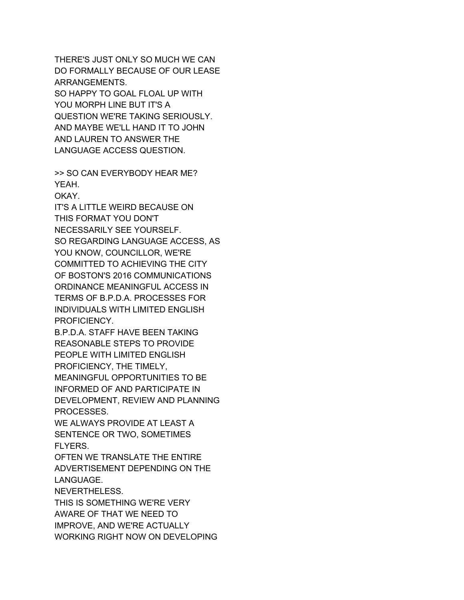THERE'S JUST ONLY SO MUCH WE CAN DO FORMALLY BECAUSE OF OUR LEASE ARRANGEMENTS. SO HAPPY TO GOAL FLOAL UP WITH YOU MORPH LINE BUT IT'S A QUESTION WE'RE TAKING SERIOUSLY. AND MAYBE WE'LL HAND IT TO JOHN AND LAUREN TO ANSWER THE LANGUAGE ACCESS QUESTION.

>> SO CAN EVERYBODY HEAR ME? YEAH.

OKAY.

IT'S A LITTLE WEIRD BECAUSE ON THIS FORMAT YOU DON'T NECESSARILY SEE YOURSELF. SO REGARDING LANGUAGE ACCESS, AS YOU KNOW, COUNCILLOR, WE'RE COMMITTED TO ACHIEVING THE CITY OF BOSTON'S 2016 COMMUNICATIONS ORDINANCE MEANINGFUL ACCESS IN TERMS OF B.P.D.A. PROCESSES FOR INDIVIDUALS WITH LIMITED ENGLISH PROFICIENCY.

B.P.D.A. STAFF HAVE BEEN TAKING REASONABLE STEPS TO PROVIDE PEOPLE WITH LIMITED ENGLISH PROFICIENCY, THE TIMELY, MEANINGFUL OPPORTUNITIES TO BE INFORMED OF AND PARTICIPATE IN DEVELOPMENT, REVIEW AND PLANNING PROCESSES.

WE ALWAYS PROVIDE AT LEAST A SENTENCE OR TWO, SOMETIMES FLYERS.

OFTEN WE TRANSLATE THE ENTIRE ADVERTISEMENT DEPENDING ON THE LANGUAGE.

NEVERTHELESS.

THIS IS SOMETHING WE'RE VERY AWARE OF THAT WE NEED TO IMPROVE, AND WE'RE ACTUALLY WORKING RIGHT NOW ON DEVELOPING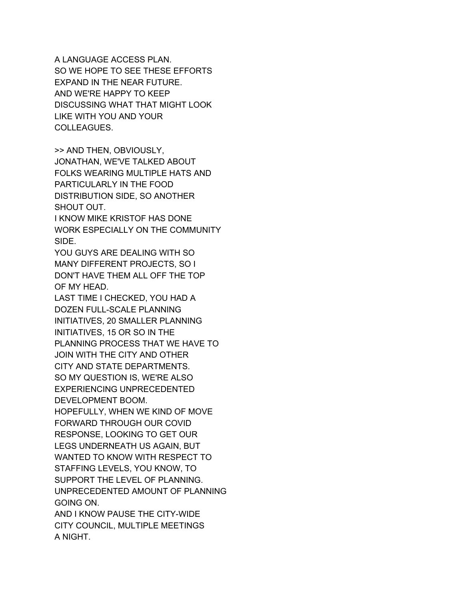A LANGUAGE ACCESS PLAN. SO WE HOPE TO SEE THESE EFFORTS EXPAND IN THE NEAR FUTURE. AND WE'RE HAPPY TO KEEP DISCUSSING WHAT THAT MIGHT LOOK LIKE WITH YOU AND YOUR COLLEAGUES.

>> AND THEN, OBVIOUSLY, JONATHAN, WE'VE TALKED ABOUT FOLKS WEARING MULTIPLE HATS AND PARTICULARLY IN THE FOOD DISTRIBUTION SIDE, SO ANOTHER SHOUT OUT.

I KNOW MIKE KRISTOF HAS DONE WORK ESPECIALLY ON THE COMMUNITY SIDE.

YOU GUYS ARE DEALING WITH SO MANY DIFFERENT PROJECTS, SO I DON'T HAVE THEM ALL OFF THE TOP OF MY HEAD.

LAST TIME I CHECKED, YOU HAD A DOZEN FULL-SCALE PLANNING INITIATIVES, 20 SMALLER PLANNING INITIATIVES, 15 OR SO IN THE PLANNING PROCESS THAT WE HAVE TO JOIN WITH THE CITY AND OTHER CITY AND STATE DEPARTMENTS. SO MY QUESTION IS, WE'RE ALSO EXPERIENCING UNPRECEDENTED DEVELOPMENT BOOM. HOPEFULLY, WHEN WE KIND OF MOVE FORWARD THROUGH OUR COVID RESPONSE, LOOKING TO GET OUR LEGS UNDERNEATH US AGAIN, BUT WANTED TO KNOW WITH RESPECT TO STAFFING LEVELS, YOU KNOW, TO

SUPPORT THE LEVEL OF PLANNING.

UNPRECEDENTED AMOUNT OF PLANNING GOING ON.

AND I KNOW PAUSE THE CITY-WIDE CITY COUNCIL, MULTIPLE MEETINGS A NIGHT.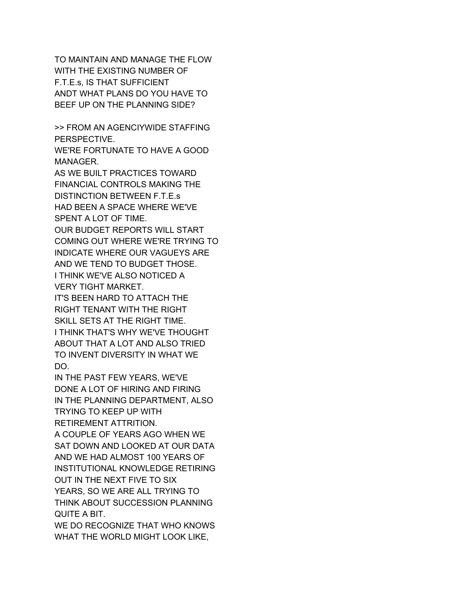TO MAINTAIN AND MANAGE THE FLOW WITH THE EXISTING NUMBER OF F.T.E.s, IS THAT SUFFICIENT ANDT WHAT PLANS DO YOU HAVE TO BEEF UP ON THE PLANNING SIDE?

>> FROM AN AGENCIYWIDE STAFFING PERSPECTIVE.

WE'RE FORTUNATE TO HAVE A GOOD MANAGER.

AS WE BUILT PRACTICES TOWARD FINANCIAL CONTROLS MAKING THE DISTINCTION BETWEEN F.T.E.s HAD BEEN A SPACE WHERE WE'VE SPENT A LOT OF TIME.

OUR BUDGET REPORTS WILL START COMING OUT WHERE WE'RE TRYING TO INDICATE WHERE OUR VAGUEYS ARE AND WE TEND TO BUDGET THOSE. I THINK WE'VE ALSO NOTICED A

VERY TIGHT MARKET.

IT'S BEEN HARD TO ATTACH THE RIGHT TENANT WITH THE RIGHT SKILL SETS AT THE RIGHT TIME. I THINK THAT'S WHY WE'VE THOUGHT ABOUT THAT A LOT AND ALSO TRIED TO INVENT DIVERSITY IN WHAT WE DO.

IN THE PAST FEW YEARS, WE'VE DONE A LOT OF HIRING AND FIRING IN THE PLANNING DEPARTMENT, ALSO TRYING TO KEEP UP WITH RETIREMENT ATTRITION. A COUPLE OF YEARS AGO WHEN WE SAT DOWN AND LOOKED AT OUR DATA AND WE HAD ALMOST 100 YEARS OF INSTITUTIONAL KNOWLEDGE RETIRING OUT IN THE NEXT FIVE TO SIX YEARS, SO WE ARE ALL TRYING TO THINK ABOUT SUCCESSION PLANNING QUITE A BIT.

WE DO RECOGNIZE THAT WHO KNOWS WHAT THE WORLD MIGHT LOOK LIKE,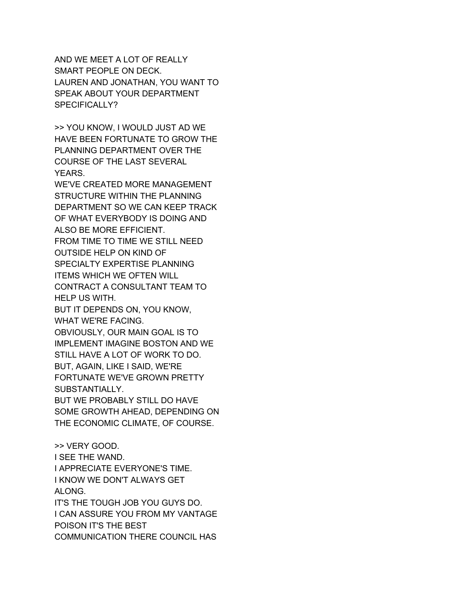AND WE MEET A LOT OF REALLY SMART PEOPLE ON DECK. LAUREN AND JONATHAN, YOU WANT TO SPEAK ABOUT YOUR DEPARTMENT SPECIFICALLY?

>> YOU KNOW, I WOULD JUST AD WE HAVE BEEN FORTUNATE TO GROW THE PLANNING DEPARTMENT OVER THE COURSE OF THE LAST SEVERAL YEARS.

WE'VE CREATED MORE MANAGEMENT STRUCTURE WITHIN THE PLANNING DEPARTMENT SO WE CAN KEEP TRACK OF WHAT EVERYBODY IS DOING AND ALSO BE MORE EFFICIENT. FROM TIME TO TIME WE STILL NEED OUTSIDE HELP ON KIND OF SPECIALTY EXPERTISE PLANNING ITEMS WHICH WE OFTEN WILL CONTRACT A CONSULTANT TEAM TO HELP US WITH.

BUT IT DEPENDS ON, YOU KNOW, WHAT WE'RE FACING.

OBVIOUSLY, OUR MAIN GOAL IS TO IMPLEMENT IMAGINE BOSTON AND WE STILL HAVE A LOT OF WORK TO DO. BUT, AGAIN, LIKE I SAID, WE'RE FORTUNATE WE'VE GROWN PRETTY SUBSTANTIALLY.

BUT WE PROBABLY STILL DO HAVE SOME GROWTH AHEAD, DEPENDING ON THE ECONOMIC CLIMATE, OF COURSE.

>> VERY GOOD. I SEE THE WAND. I APPRECIATE EVERYONE'S TIME. I KNOW WE DON'T ALWAYS GET ALONG. IT'S THE TOUGH JOB YOU GUYS DO. I CAN ASSURE YOU FROM MY VANTAGE POISON IT'S THE BEST COMMUNICATION THERE COUNCIL HAS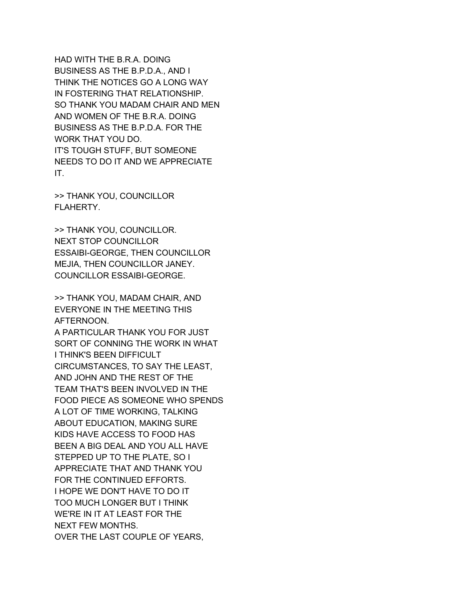HAD WITH THE B.R.A. DOING BUSINESS AS THE B.P.D.A., AND I THINK THE NOTICES GO A LONG WAY IN FOSTERING THAT RELATIONSHIP. SO THANK YOU MADAM CHAIR AND MEN AND WOMEN OF THE B.R.A. DOING BUSINESS AS THE B.P.D.A. FOR THE WORK THAT YOU DO. IT'S TOUGH STUFF, BUT SOMEONE NEEDS TO DO IT AND WE APPRECIATE IT.

>> THANK YOU, COUNCILLOR FLAHERTY.

>> THANK YOU, COUNCILLOR. NEXT STOP COUNCILLOR ESSAIBI-GEORGE, THEN COUNCILLOR MEJIA, THEN COUNCILLOR JANEY. COUNCILLOR ESSAIBI-GEORGE.

>> THANK YOU, MADAM CHAIR, AND EVERYONE IN THE MEETING THIS AFTERNOON.

A PARTICULAR THANK YOU FOR JUST SORT OF CONNING THE WORK IN WHAT I THINK'S BEEN DIFFICULT CIRCUMSTANCES, TO SAY THE LEAST, AND JOHN AND THE REST OF THE TEAM THAT'S BEEN INVOLVED IN THE FOOD PIECE AS SOMEONE WHO SPENDS A LOT OF TIME WORKING, TALKING ABOUT EDUCATION, MAKING SURE KIDS HAVE ACCESS TO FOOD HAS BEEN A BIG DEAL AND YOU ALL HAVE STEPPED UP TO THE PLATE, SO I APPRECIATE THAT AND THANK YOU FOR THE CONTINUED EFFORTS. I HOPE WE DON'T HAVE TO DO IT TOO MUCH LONGER BUT I THINK WE'RE IN IT AT LEAST FOR THE NEXT FEW MONTHS. OVER THE LAST COUPLE OF YEARS,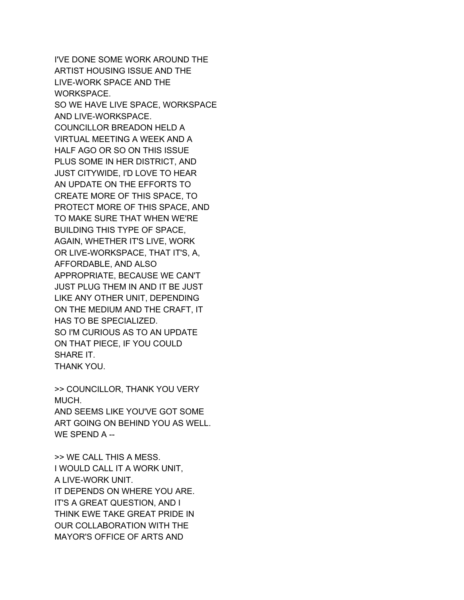I'VE DONE SOME WORK AROUND THE ARTIST HOUSING ISSUE AND THE LIVE-WORK SPACE AND THE WORKSPACE. SO WE HAVE LIVE SPACE, WORKSPACE AND LIVE-WORKSPACE. COUNCILLOR BREADON HELD A VIRTUAL MEETING A WEEK AND A HALF AGO OR SO ON THIS ISSUE PLUS SOME IN HER DISTRICT, AND JUST CITYWIDE, I'D LOVE TO HEAR AN UPDATE ON THE EFFORTS TO CREATE MORE OF THIS SPACE, TO PROTECT MORE OF THIS SPACE, AND TO MAKE SURE THAT WHEN WE'RE BUILDING THIS TYPE OF SPACE, AGAIN, WHETHER IT'S LIVE, WORK OR LIVE-WORKSPACE, THAT IT'S, A, AFFORDABLE, AND ALSO APPROPRIATE, BECAUSE WE CAN'T JUST PLUG THEM IN AND IT BE JUST LIKE ANY OTHER UNIT, DEPENDING ON THE MEDIUM AND THE CRAFT, IT HAS TO BE SPECIALIZED. SO I'M CURIOUS AS TO AN UPDATE ON THAT PIECE, IF YOU COULD SHARE IT. THANK YOU.

>> COUNCILLOR, THANK YOU VERY MUCH. AND SEEMS LIKE YOU'VE GOT SOME ART GOING ON BEHIND YOU AS WELL. WE SPEND A --

>> WE CALL THIS A MESS. I WOULD CALL IT A WORK UNIT, A LIVE-WORK UNIT. IT DEPENDS ON WHERE YOU ARE. IT'S A GREAT QUESTION, AND I THINK EWE TAKE GREAT PRIDE IN OUR COLLABORATION WITH THE MAYOR'S OFFICE OF ARTS AND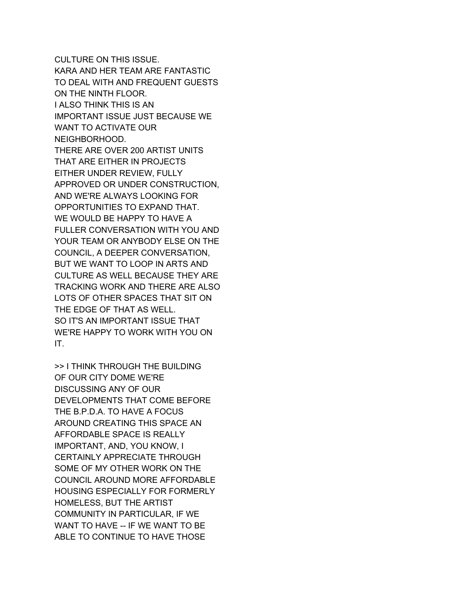CULTURE ON THIS ISSUE. KARA AND HER TEAM ARE FANTASTIC TO DEAL WITH AND FREQUENT GUESTS ON THE NINTH FLOOR. I ALSO THINK THIS IS AN IMPORTANT ISSUE JUST BECAUSE WE WANT TO ACTIVATE OUR NEIGHBORHOOD. THERE ARE OVER 200 ARTIST UNITS THAT ARE EITHER IN PROJECTS EITHER UNDER REVIEW, FULLY APPROVED OR UNDER CONSTRUCTION, AND WE'RE ALWAYS LOOKING FOR OPPORTUNITIES TO EXPAND THAT. WE WOULD BE HAPPY TO HAVE A FULLER CONVERSATION WITH YOU AND YOUR TEAM OR ANYBODY ELSE ON THE COUNCIL, A DEEPER CONVERSATION, BUT WE WANT TO LOOP IN ARTS AND CULTURE AS WELL BECAUSE THEY ARE TRACKING WORK AND THERE ARE ALSO LOTS OF OTHER SPACES THAT SIT ON THE EDGE OF THAT AS WELL. SO IT'S AN IMPORTANT ISSUE THAT WE'RE HAPPY TO WORK WITH YOU ON IT.

>> I THINK THROUGH THE BUILDING OF OUR CITY DOME WE'RE DISCUSSING ANY OF OUR DEVELOPMENTS THAT COME BEFORE THE B.P.D.A. TO HAVE A FOCUS AROUND CREATING THIS SPACE AN AFFORDABLE SPACE IS REALLY IMPORTANT, AND, YOU KNOW, I CERTAINLY APPRECIATE THROUGH SOME OF MY OTHER WORK ON THE COUNCIL AROUND MORE AFFORDABLE HOUSING ESPECIALLY FOR FORMERLY HOMELESS, BUT THE ARTIST COMMUNITY IN PARTICULAR, IF WE WANT TO HAVE -- IF WE WANT TO BE ABLE TO CONTINUE TO HAVE THOSE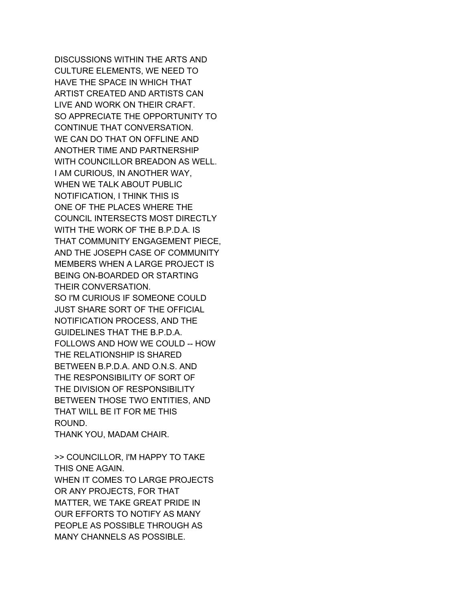DISCUSSIONS WITHIN THE ARTS AND CULTURE ELEMENTS, WE NEED TO HAVE THE SPACE IN WHICH THAT ARTIST CREATED AND ARTISTS CAN LIVE AND WORK ON THEIR CRAFT. SO APPRECIATE THE OPPORTUNITY TO CONTINUE THAT CONVERSATION. WE CAN DO THAT ON OFFLINE AND ANOTHER TIME AND PARTNERSHIP WITH COUNCILLOR BREADON AS WELL. I AM CURIOUS, IN ANOTHER WAY, WHEN WE TALK ABOUT PUBLIC NOTIFICATION, I THINK THIS IS ONE OF THE PLACES WHERE THE COUNCIL INTERSECTS MOST DIRECTLY WITH THE WORK OF THE B.P.D.A. IS THAT COMMUNITY ENGAGEMENT PIECE, AND THE JOSEPH CASE OF COMMUNITY MEMBERS WHEN A LARGE PROJECT IS BEING ON-BOARDED OR STARTING THEIR CONVERSATION. SO I'M CURIOUS IF SOMEONE COULD JUST SHARE SORT OF THE OFFICIAL NOTIFICATION PROCESS, AND THE GUIDELINES THAT THE B.P.D.A. FOLLOWS AND HOW WE COULD -- HOW THE RELATIONSHIP IS SHARED BETWEEN B.P.D.A. AND O.N.S. AND THE RESPONSIBILITY OF SORT OF THE DIVISION OF RESPONSIBILITY BETWEEN THOSE TWO ENTITIES, AND THAT WILL BE IT FOR ME THIS ROUND.

THANK YOU, MADAM CHAIR.

>> COUNCILLOR, I'M HAPPY TO TAKE THIS ONE AGAIN. WHEN IT COMES TO LARGE PROJECTS OR ANY PROJECTS, FOR THAT MATTER, WE TAKE GREAT PRIDE IN OUR EFFORTS TO NOTIFY AS MANY PEOPLE AS POSSIBLE THROUGH AS MANY CHANNELS AS POSSIBLE.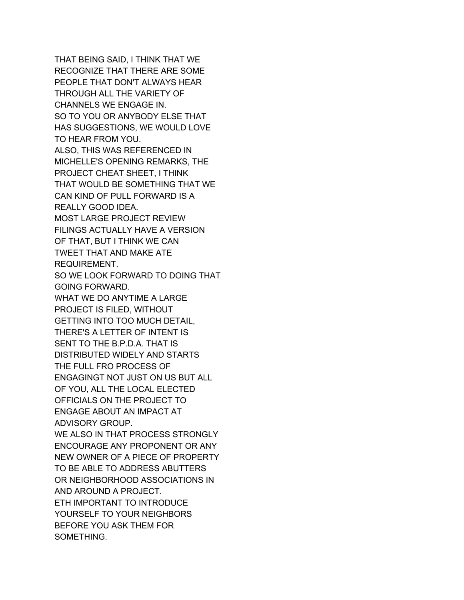THAT BEING SAID, I THINK THAT WE RECOGNIZE THAT THERE ARE SOME PEOPLE THAT DON'T ALWAYS HEAR THROUGH ALL THE VARIETY OF CHANNELS WE ENGAGE IN. SO TO YOU OR ANYBODY ELSE THAT HAS SUGGESTIONS, WE WOULD LOVE TO HEAR FROM YOU. ALSO, THIS WAS REFERENCED IN MICHELLE'S OPENING REMARKS, THE PROJECT CHEAT SHEET, I THINK THAT WOULD BE SOMETHING THAT WE CAN KIND OF PULL FORWARD IS A REALLY GOOD IDEA. MOST LARGE PROJECT REVIEW FILINGS ACTUALLY HAVE A VERSION OF THAT, BUT I THINK WE CAN TWEET THAT AND MAKE ATE REQUIREMENT. SO WE LOOK FORWARD TO DOING THAT GOING FORWARD. WHAT WE DO ANYTIME A LARGE PROJECT IS FILED, WITHOUT GETTING INTO TOO MUCH DETAIL, THERE'S A LETTER OF INTENT IS SENT TO THE B.P.D.A. THAT IS DISTRIBUTED WIDELY AND STARTS THE FULL FRO PROCESS OF ENGAGINGT NOT JUST ON US BUT ALL OF YOU, ALL THE LOCAL ELECTED OFFICIALS ON THE PROJECT TO ENGAGE ABOUT AN IMPACT AT ADVISORY GROUP. WE ALSO IN THAT PROCESS STRONGLY ENCOURAGE ANY PROPONENT OR ANY NEW OWNER OF A PIECE OF PROPERTY TO BE ABLE TO ADDRESS ABUTTERS OR NEIGHBORHOOD ASSOCIATIONS IN AND AROUND A PROJECT. ETH IMPORTANT TO INTRODUCE YOURSELF TO YOUR NEIGHBORS BEFORE YOU ASK THEM FOR SOMETHING.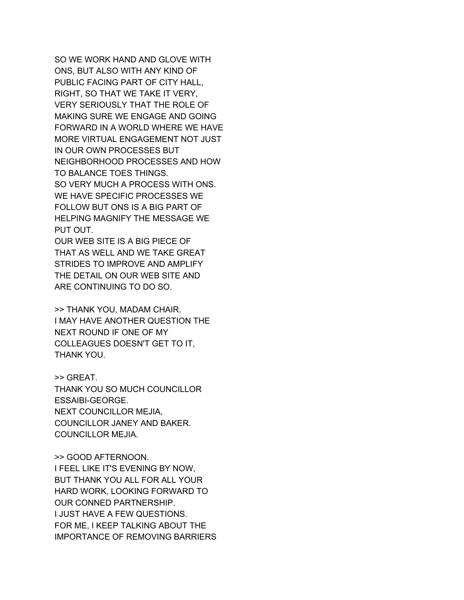SO WE WORK HAND AND GLOVE WITH ONS, BUT ALSO WITH ANY KIND OF PUBLIC FACING PART OF CITY HALL, RIGHT, SO THAT WE TAKE IT VERY, VERY SERIOUSLY THAT THE ROLE OF MAKING SURE WE ENGAGE AND GOING FORWARD IN A WORLD WHERE WE HAVE MORE VIRTUAL ENGAGEMENT NOT JUST IN OUR OWN PROCESSES BUT NEIGHBORHOOD PROCESSES AND HOW TO BALANCE TOES THINGS. SO VERY MUCH A PROCESS WITH ONS. WE HAVE SPECIFIC PROCESSES WE FOLLOW BUT ONS IS A BIG PART OF HELPING MAGNIFY THE MESSAGE WE PUT OUT.

OUR WEB SITE IS A BIG PIECE OF THAT AS WELL AND WE TAKE GREAT STRIDES TO IMPROVE AND AMPLIFY THE DETAIL ON OUR WEB SITE AND ARE CONTINUING TO DO SO.

>> THANK YOU, MADAM CHAIR. I MAY HAVE ANOTHER QUESTION THE NEXT ROUND IF ONE OF MY COLLEAGUES DOESN'T GET TO IT, THANK YOU.

>> GREAT. THANK YOU SO MUCH COUNCILLOR ESSAIBI-GEORGE. NEXT COUNCILLOR MEJIA, COUNCILLOR JANEY AND BAKER. COUNCILLOR MEJIA.

>> GOOD AFTERNOON. I FEEL LIKE IT'S EVENING BY NOW, BUT THANK YOU ALL FOR ALL YOUR HARD WORK, LOOKING FORWARD TO OUR CONNED PARTNERSHIP. I JUST HAVE A FEW QUESTIONS. FOR ME, I KEEP TALKING ABOUT THE IMPORTANCE OF REMOVING BARRIERS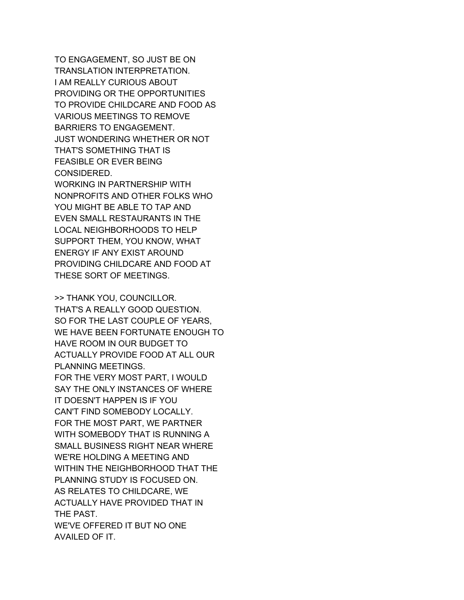TO ENGAGEMENT, SO JUST BE ON TRANSLATION INTERPRETATION. I AM REALLY CURIOUS ABOUT PROVIDING OR THE OPPORTUNITIES TO PROVIDE CHILDCARE AND FOOD AS VARIOUS MEETINGS TO REMOVE BARRIERS TO ENGAGEMENT. JUST WONDERING WHETHER OR NOT THAT'S SOMETHING THAT IS FEASIBLE OR EVER BEING CONSIDERED. WORKING IN PARTNERSHIP WITH

NONPROFITS AND OTHER FOLKS WHO YOU MIGHT BE ABLE TO TAP AND EVEN SMALL RESTAURANTS IN THE LOCAL NEIGHBORHOODS TO HELP SUPPORT THEM, YOU KNOW, WHAT ENERGY IF ANY EXIST AROUND PROVIDING CHILDCARE AND FOOD AT THESE SORT OF MEETINGS.

>> THANK YOU, COUNCILLOR. THAT'S A REALLY GOOD QUESTION. SO FOR THE LAST COUPLE OF YEARS, WE HAVE BEEN FORTUNATE ENOUGH TO HAVE ROOM IN OUR BUDGET TO ACTUALLY PROVIDE FOOD AT ALL OUR PLANNING MEETINGS. FOR THE VERY MOST PART, I WOULD SAY THE ONLY INSTANCES OF WHERE IT DOESN'T HAPPEN IS IF YOU CAN'T FIND SOMEBODY LOCALLY. FOR THE MOST PART, WE PARTNER WITH SOMEBODY THAT IS RUNNING A SMALL BUSINESS RIGHT NEAR WHERE WE'RE HOLDING A MEETING AND WITHIN THE NEIGHBORHOOD THAT THE PLANNING STUDY IS FOCUSED ON. AS RELATES TO CHILDCARE, WE ACTUALLY HAVE PROVIDED THAT IN THE PAST. WE'VE OFFERED IT BUT NO ONE AVAILED OF IT.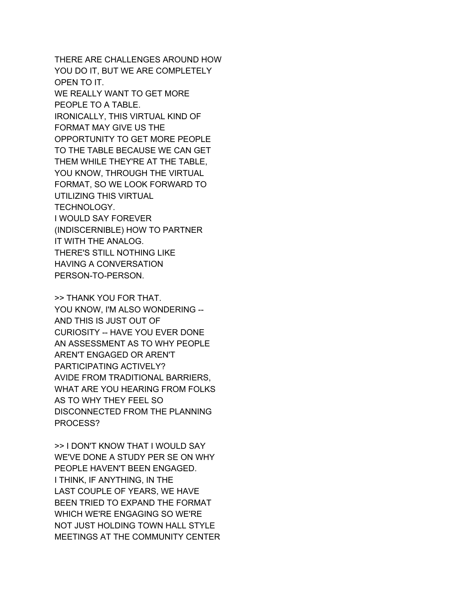THERE ARE CHALLENGES AROUND HOW YOU DO IT, BUT WE ARE COMPLETELY OPEN TO IT. WE REALLY WANT TO GET MORE PEOPLE TO A TABLE. IRONICALLY, THIS VIRTUAL KIND OF FORMAT MAY GIVE US THE OPPORTUNITY TO GET MORE PEOPLE TO THE TABLE BECAUSE WE CAN GET THEM WHILE THEY'RE AT THE TABLE, YOU KNOW, THROUGH THE VIRTUAL FORMAT, SO WE LOOK FORWARD TO UTILIZING THIS VIRTUAL TECHNOLOGY. I WOULD SAY FOREVER (INDISCERNIBLE) HOW TO PARTNER IT WITH THE ANALOG. THERE'S STILL NOTHING LIKE HAVING A CONVERSATION PERSON-TO-PERSON.

>> THANK YOU FOR THAT. YOU KNOW, I'M ALSO WONDERING -- AND THIS IS JUST OUT OF CURIOSITY -- HAVE YOU EVER DONE AN ASSESSMENT AS TO WHY PEOPLE AREN'T ENGAGED OR AREN'T PARTICIPATING ACTIVELY? AVIDE FROM TRADITIONAL BARRIERS, WHAT ARE YOU HEARING FROM FOLKS AS TO WHY THEY FEEL SO DISCONNECTED FROM THE PLANNING PROCESS?

>> I DON'T KNOW THAT I WOULD SAY WE'VE DONE A STUDY PER SE ON WHY PEOPLE HAVEN'T BEEN ENGAGED. I THINK, IF ANYTHING, IN THE LAST COUPLE OF YEARS, WE HAVE BEEN TRIED TO EXPAND THE FORMAT WHICH WE'RE ENGAGING SO WE'RE NOT JUST HOLDING TOWN HALL STYLE MEETINGS AT THE COMMUNITY CENTER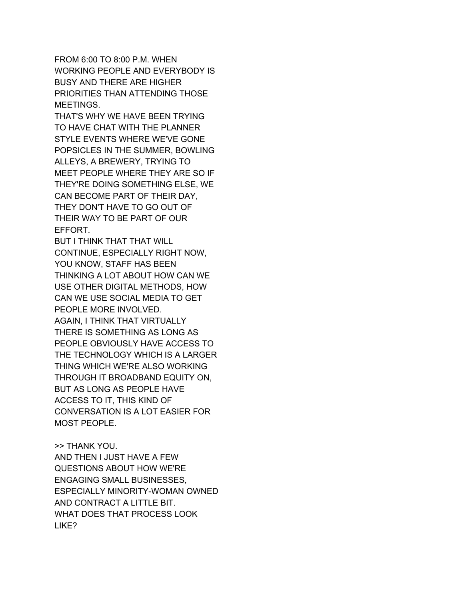FROM 6:00 TO 8:00 P.M. WHEN WORKING PEOPLE AND EVERYBODY IS BUSY AND THERE ARE HIGHER PRIORITIES THAN ATTENDING THOSE MEETINGS.

THAT'S WHY WE HAVE BEEN TRYING TO HAVE CHAT WITH THE PLANNER STYLE EVENTS WHERE WE'VE GONE POPSICLES IN THE SUMMER, BOWLING ALLEYS, A BREWERY, TRYING TO MEET PEOPLE WHERE THEY ARE SO IF THEY'RE DOING SOMETHING ELSE, WE CAN BECOME PART OF THEIR DAY, THEY DON'T HAVE TO GO OUT OF THEIR WAY TO BE PART OF OUR EFFORT.

BUT I THINK THAT THAT WILL CONTINUE, ESPECIALLY RIGHT NOW, YOU KNOW, STAFF HAS BEEN THINKING A LOT ABOUT HOW CAN WE USE OTHER DIGITAL METHODS, HOW CAN WE USE SOCIAL MEDIA TO GET PEOPLE MORE INVOLVED. AGAIN, I THINK THAT VIRTUALLY THERE IS SOMETHING AS LONG AS PEOPLE OBVIOUSLY HAVE ACCESS TO THE TECHNOLOGY WHICH IS A LARGER THING WHICH WE'RE ALSO WORKING THROUGH IT BROADBAND EQUITY ON, BUT AS LONG AS PEOPLE HAVE ACCESS TO IT, THIS KIND OF CONVERSATION IS A LOT EASIER FOR MOST PEOPLE.

>> THANK YOU. AND THEN I JUST HAVE A FEW QUESTIONS ABOUT HOW WE'RE ENGAGING SMALL BUSINESSES, ESPECIALLY MINORITY-WOMAN OWNED AND CONTRACT A LITTLE BIT. WHAT DOES THAT PROCESS LOOK LIKE?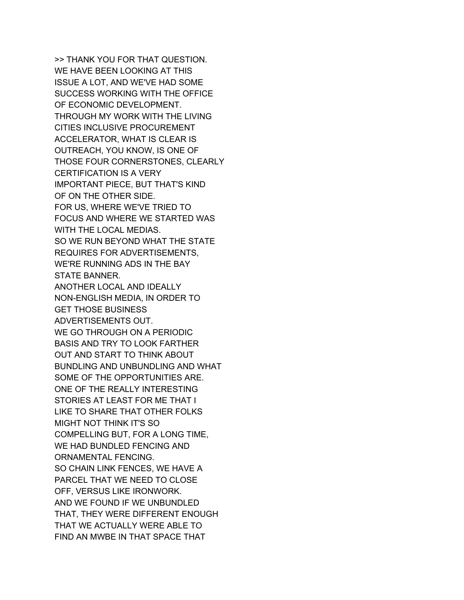>> THANK YOU FOR THAT QUESTION. WE HAVE BEEN LOOKING AT THIS ISSUE A LOT, AND WE'VE HAD SOME SUCCESS WORKING WITH THE OFFICE OF ECONOMIC DEVELOPMENT. THROUGH MY WORK WITH THE LIVING CITIES INCLUSIVE PROCUREMENT ACCELERATOR, WHAT IS CLEAR IS OUTREACH, YOU KNOW, IS ONE OF THOSE FOUR CORNERSTONES, CLEARLY CERTIFICATION IS A VERY IMPORTANT PIECE, BUT THAT'S KIND OF ON THE OTHER SIDE. FOR US, WHERE WE'VE TRIED TO FOCUS AND WHERE WE STARTED WAS WITH THE LOCAL MEDIAS. SO WE RUN BEYOND WHAT THE STATE REQUIRES FOR ADVERTISEMENTS, WE'RE RUNNING ADS IN THE BAY STATE BANNER. ANOTHER LOCAL AND IDEALLY NON-ENGLISH MEDIA, IN ORDER TO GET THOSE BUSINESS ADVERTISEMENTS OUT. WE GO THROUGH ON A PERIODIC BASIS AND TRY TO LOOK FARTHER OUT AND START TO THINK ABOUT BUNDLING AND UNBUNDLING AND WHAT SOME OF THE OPPORTUNITIES ARE. ONE OF THE REALLY INTERESTING STORIES AT LEAST FOR ME THAT I LIKE TO SHARE THAT OTHER FOLKS MIGHT NOT THINK IT'S SO COMPELLING BUT, FOR A LONG TIME, WE HAD BUNDLED FENCING AND ORNAMENTAL FENCING. SO CHAIN LINK FENCES, WE HAVE A PARCEL THAT WE NEED TO CLOSE OFF, VERSUS LIKE IRONWORK. AND WE FOUND IF WE UNBUNDLED THAT, THEY WERE DIFFERENT ENOUGH THAT WE ACTUALLY WERE ABLE TO FIND AN MWBE IN THAT SPACE THAT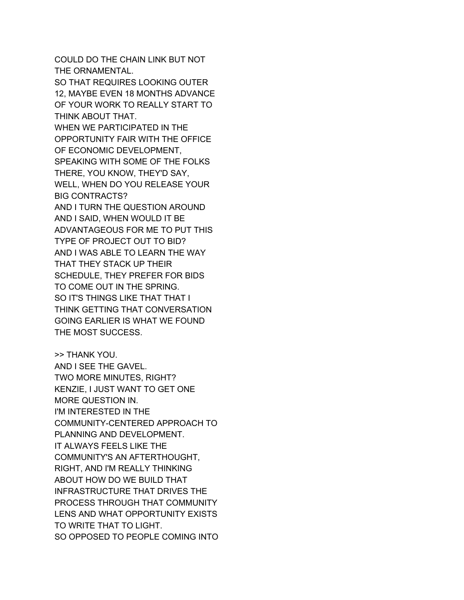COULD DO THE CHAIN LINK BUT NOT THE ORNAMENTAL. SO THAT REQUIRES LOOKING OUTER 12, MAYBE EVEN 18 MONTHS ADVANCE OF YOUR WORK TO REALLY START TO THINK ABOUT THAT. WHEN WE PARTICIPATED IN THE OPPORTUNITY FAIR WITH THE OFFICE OF ECONOMIC DEVELOPMENT, SPEAKING WITH SOME OF THE FOLKS THERE, YOU KNOW, THEY'D SAY, WELL, WHEN DO YOU RELEASE YOUR BIG CONTRACTS? AND I TURN THE QUESTION AROUND AND I SAID, WHEN WOULD IT BE ADVANTAGEOUS FOR ME TO PUT THIS TYPE OF PROJECT OUT TO BID? AND I WAS ABLE TO LEARN THE WAY THAT THEY STACK UP THEIR SCHEDULE, THEY PREFER FOR BIDS TO COME OUT IN THE SPRING. SO IT'S THINGS LIKE THAT THAT I THINK GETTING THAT CONVERSATION GOING EARLIER IS WHAT WE FOUND THE MOST SUCCESS.

>> THANK YOU. AND I SEE THE GAVEL. TWO MORE MINUTES, RIGHT? KENZIE, I JUST WANT TO GET ONE MORE QUESTION IN. I'M INTERESTED IN THE COMMUNITY-CENTERED APPROACH TO PLANNING AND DEVELOPMENT. IT ALWAYS FEELS LIKE THE COMMUNITY'S AN AFTERTHOUGHT, RIGHT, AND I'M REALLY THINKING ABOUT HOW DO WE BUILD THAT INFRASTRUCTURE THAT DRIVES THE PROCESS THROUGH THAT COMMUNITY LENS AND WHAT OPPORTUNITY EXISTS TO WRITE THAT TO LIGHT. SO OPPOSED TO PEOPLE COMING INTO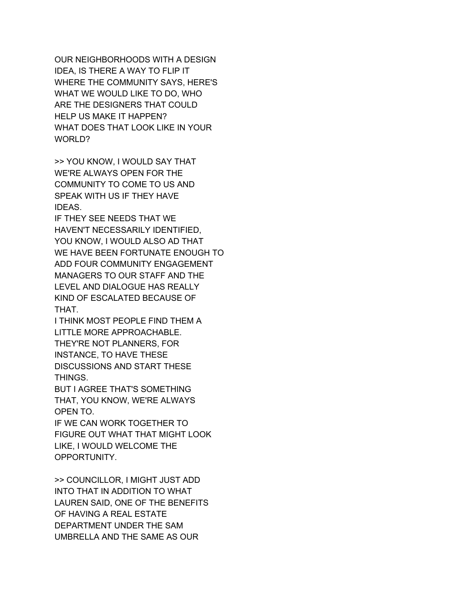OUR NEIGHBORHOODS WITH A DESIGN IDEA, IS THERE A WAY TO FLIP IT WHERE THE COMMUNITY SAYS, HERE'S WHAT WE WOULD LIKE TO DO, WHO ARE THE DESIGNERS THAT COULD HELP US MAKE IT HAPPEN? WHAT DOES THAT LOOK LIKE IN YOUR WORLD?

>> YOU KNOW, I WOULD SAY THAT WE'RE ALWAYS OPEN FOR THE COMMUNITY TO COME TO US AND SPEAK WITH US IF THEY HAVE IDEAS.

IF THEY SEE NEEDS THAT WE HAVEN'T NECESSARILY IDENTIFIED, YOU KNOW, I WOULD ALSO AD THAT WE HAVE BEEN FORTUNATE ENOUGH TO ADD FOUR COMMUNITY ENGAGEMENT MANAGERS TO OUR STAFF AND THE LEVEL AND DIALOGUE HAS REALLY KIND OF ESCALATED BECAUSE OF THAT.

I THINK MOST PEOPLE FIND THEM A LITTLE MORE APPROACHABLE. THEY'RE NOT PLANNERS, FOR INSTANCE, TO HAVE THESE DISCUSSIONS AND START THESE THINGS.

BUT I AGREE THAT'S SOMETHING THAT, YOU KNOW, WE'RE ALWAYS OPEN TO.

IF WE CAN WORK TOGETHER TO FIGURE OUT WHAT THAT MIGHT LOOK LIKE, I WOULD WELCOME THE OPPORTUNITY.

>> COUNCILLOR, I MIGHT JUST ADD INTO THAT IN ADDITION TO WHAT LAUREN SAID, ONE OF THE BENEFITS OF HAVING A REAL ESTATE DEPARTMENT UNDER THE SAM UMBRELLA AND THE SAME AS OUR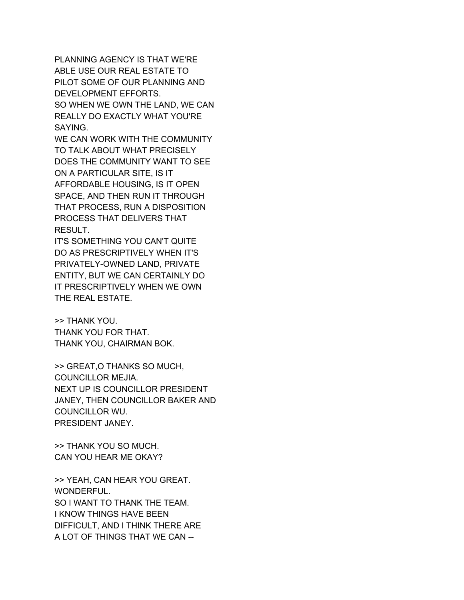PLANNING AGENCY IS THAT WE'RE ABLE USE OUR REAL ESTATE TO PILOT SOME OF OUR PLANNING AND DEVELOPMENT EFFORTS. SO WHEN WE OWN THE LAND, WE CAN REALLY DO EXACTLY WHAT YOU'RE SAYING.

WE CAN WORK WITH THE COMMUNITY TO TALK ABOUT WHAT PRECISELY DOES THE COMMUNITY WANT TO SEE ON A PARTICULAR SITE, IS IT AFFORDABLE HOUSING, IS IT OPEN SPACE, AND THEN RUN IT THROUGH THAT PROCESS, RUN A DISPOSITION PROCESS THAT DELIVERS THAT RESULT.

IT'S SOMETHING YOU CAN'T QUITE DO AS PRESCRIPTIVELY WHEN IT'S PRIVATELY-OWNED LAND, PRIVATE ENTITY, BUT WE CAN CERTAINLY DO IT PRESCRIPTIVELY WHEN WE OWN THE REAL ESTATE.

>> THANK YOU. THANK YOU FOR THAT. THANK YOU, CHAIRMAN BOK.

>> GREAT,O THANKS SO MUCH, COUNCILLOR MEJIA. NEXT UP IS COUNCILLOR PRESIDENT JANEY, THEN COUNCILLOR BAKER AND COUNCILLOR WU. PRESIDENT JANEY.

>> THANK YOU SO MUCH. CAN YOU HEAR ME OKAY?

>> YEAH, CAN HEAR YOU GREAT. WONDERFUL. SO I WANT TO THANK THE TEAM. I KNOW THINGS HAVE BEEN DIFFICULT, AND I THINK THERE ARE A LOT OF THINGS THAT WE CAN --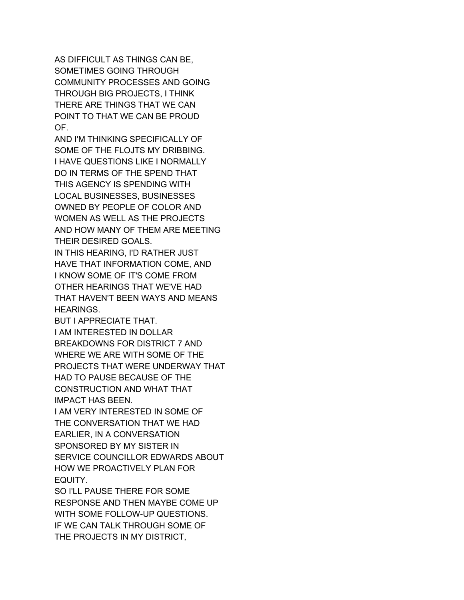AS DIFFICULT AS THINGS CAN BE, SOMETIMES GOING THROUGH COMMUNITY PROCESSES AND GOING THROUGH BIG PROJECTS, I THINK THERE ARE THINGS THAT WE CAN POINT TO THAT WE CAN BE PROUD OF.

AND I'M THINKING SPECIFICALLY OF SOME OF THE FLOJTS MY DRIBBING. I HAVE QUESTIONS LIKE I NORMALLY DO IN TERMS OF THE SPEND THAT THIS AGENCY IS SPENDING WITH LOCAL BUSINESSES, BUSINESSES OWNED BY PEOPLE OF COLOR AND WOMEN AS WELL AS THE PROJECTS AND HOW MANY OF THEM ARE MEETING THEIR DESIRED GOALS.

IN THIS HEARING, I'D RATHER JUST HAVE THAT INFORMATION COME, AND I KNOW SOME OF IT'S COME FROM OTHER HEARINGS THAT WE'VE HAD THAT HAVEN'T BEEN WAYS AND MEANS HEARINGS.

BUT I APPRECIATE THAT. I AM INTERESTED IN DOLLAR BREAKDOWNS FOR DISTRICT 7 AND WHERE WE ARE WITH SOME OF THE PROJECTS THAT WERE UNDERWAY THAT HAD TO PAUSE BECAUSE OF THE CONSTRUCTION AND WHAT THAT IMPACT HAS BEEN.

I AM VERY INTERESTED IN SOME OF THE CONVERSATION THAT WE HAD EARLIER, IN A CONVERSATION SPONSORED BY MY SISTER IN SERVICE COUNCILLOR EDWARDS ABOUT HOW WE PROACTIVELY PLAN FOR EQUITY.

SO I'LL PAUSE THERE FOR SOME RESPONSE AND THEN MAYBE COME UP WITH SOME FOLLOW-UP QUESTIONS. IF WE CAN TALK THROUGH SOME OF THE PROJECTS IN MY DISTRICT,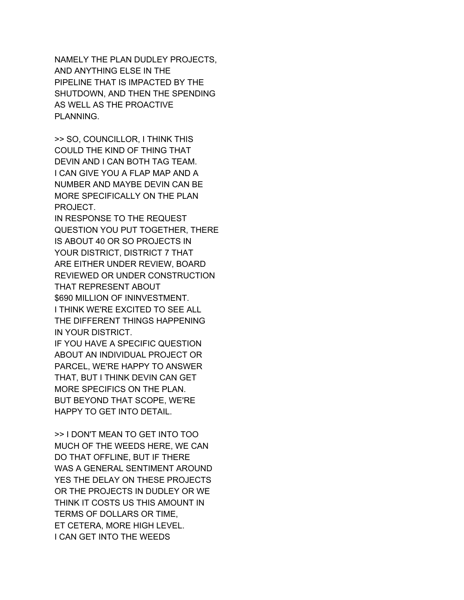NAMELY THE PLAN DUDLEY PROJECTS, AND ANYTHING ELSE IN THE PIPELINE THAT IS IMPACTED BY THE SHUTDOWN, AND THEN THE SPENDING AS WELL AS THE PROACTIVE PLANNING.

>> SO, COUNCILLOR, I THINK THIS COULD THE KIND OF THING THAT DEVIN AND I CAN BOTH TAG TEAM. I CAN GIVE YOU A FLAP MAP AND A NUMBER AND MAYBE DEVIN CAN BE MORE SPECIFICALLY ON THE PLAN PROJECT.

IN RESPONSE TO THE REQUEST QUESTION YOU PUT TOGETHER, THERE IS ABOUT 40 OR SO PROJECTS IN YOUR DISTRICT, DISTRICT 7 THAT ARE EITHER UNDER REVIEW, BOARD REVIEWED OR UNDER CONSTRUCTION THAT REPRESENT ABOUT \$690 MILLION OF ININVESTMENT. I THINK WE'RE EXCITED TO SEE ALL THE DIFFERENT THINGS HAPPENING IN YOUR DISTRICT.

IF YOU HAVE A SPECIFIC QUESTION ABOUT AN INDIVIDUAL PROJECT OR PARCEL, WE'RE HAPPY TO ANSWER THAT, BUT I THINK DEVIN CAN GET MORE SPECIFICS ON THE PLAN. BUT BEYOND THAT SCOPE, WE'RE HAPPY TO GET INTO DETAIL.

>> I DON'T MEAN TO GET INTO TOO MUCH OF THE WEEDS HERE, WE CAN DO THAT OFFLINE, BUT IF THERE WAS A GENERAL SENTIMENT AROUND YES THE DELAY ON THESE PROJECTS OR THE PROJECTS IN DUDLEY OR WE THINK IT COSTS US THIS AMOUNT IN TERMS OF DOLLARS OR TIME, ET CETERA, MORE HIGH LEVEL. I CAN GET INTO THE WEEDS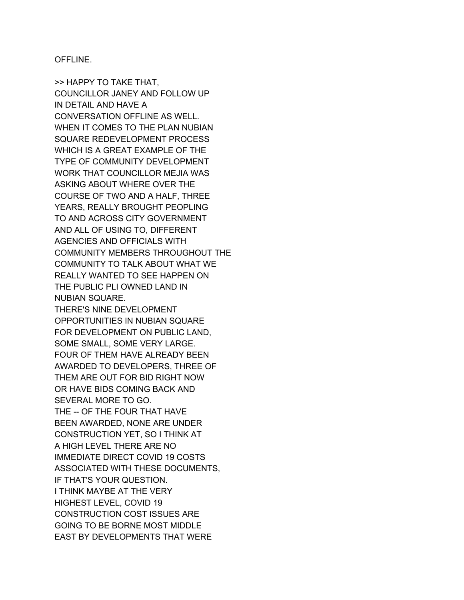OFFLINE.

>> HAPPY TO TAKE THAT, COUNCILLOR JANEY AND FOLLOW UP IN DETAIL AND HAVE A CONVERSATION OFFLINE AS WELL. WHEN IT COMES TO THE PLAN NUBIAN SQUARE REDEVELOPMENT PROCESS WHICH IS A GREAT EXAMPLE OF THE TYPE OF COMMUNITY DEVELOPMENT WORK THAT COUNCILLOR MEJIA WAS ASKING ABOUT WHERE OVER THE COURSE OF TWO AND A HALF, THREE YEARS, REALLY BROUGHT PEOPLING TO AND ACROSS CITY GOVERNMENT AND ALL OF USING TO, DIFFERENT AGENCIES AND OFFICIALS WITH COMMUNITY MEMBERS THROUGHOUT THE COMMUNITY TO TALK ABOUT WHAT WE REALLY WANTED TO SEE HAPPEN ON THE PUBLIC PLI OWNED LAND IN NUBIAN SQUARE. THERE'S NINE DEVELOPMENT OPPORTUNITIES IN NUBIAN SQUARE FOR DEVELOPMENT ON PUBLIC LAND, SOME SMALL, SOME VERY LARGE. FOUR OF THEM HAVE ALREADY BEEN AWARDED TO DEVELOPERS, THREE OF THEM ARE OUT FOR BID RIGHT NOW OR HAVE BIDS COMING BACK AND SEVERAL MORE TO GO. THE -- OF THE FOUR THAT HAVE BEEN AWARDED, NONE ARE UNDER CONSTRUCTION YET, SO I THINK AT A HIGH LEVEL THERE ARE NO IMMEDIATE DIRECT COVID 19 COSTS ASSOCIATED WITH THESE DOCUMENTS, IF THAT'S YOUR QUESTION. I THINK MAYBE AT THE VERY HIGHEST LEVEL, COVID 19 CONSTRUCTION COST ISSUES ARE GOING TO BE BORNE MOST MIDDLE EAST BY DEVELOPMENTS THAT WERE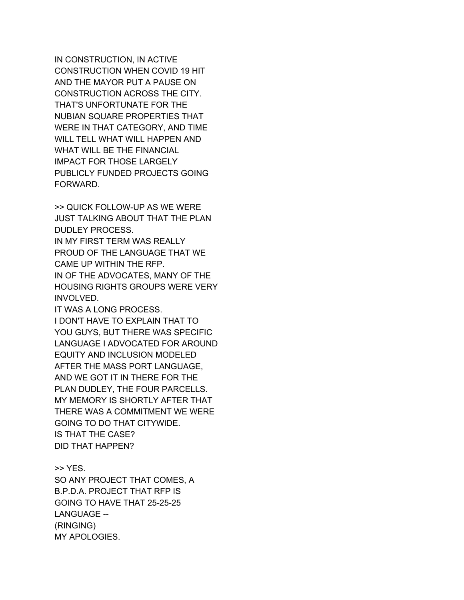IN CONSTRUCTION, IN ACTIVE CONSTRUCTION WHEN COVID 19 HIT AND THE MAYOR PUT A PAUSE ON CONSTRUCTION ACROSS THE CITY. THAT'S UNFORTUNATE FOR THE NUBIAN SQUARE PROPERTIES THAT WERE IN THAT CATEGORY, AND TIME WILL TELL WHAT WILL HAPPEN AND WHAT WILL BE THE FINANCIAL IMPACT FOR THOSE LARGELY PUBLICLY FUNDED PROJECTS GOING FORWARD.

>> QUICK FOLLOW-UP AS WE WERE JUST TALKING ABOUT THAT THE PLAN DUDLEY PROCESS. IN MY FIRST TERM WAS REALLY PROUD OF THE LANGUAGE THAT WE CAME UP WITHIN THE RFP. IN OF THE ADVOCATES, MANY OF THE HOUSING RIGHTS GROUPS WERE VERY INVOLVED. IT WAS A LONG PROCESS.

I DON'T HAVE TO EXPLAIN THAT TO YOU GUYS, BUT THERE WAS SPECIFIC LANGUAGE I ADVOCATED FOR AROUND EQUITY AND INCLUSION MODELED AFTER THE MASS PORT LANGUAGE, AND WE GOT IT IN THERE FOR THE PLAN DUDLEY, THE FOUR PARCELLS. MY MEMORY IS SHORTLY AFTER THAT THERE WAS A COMMITMENT WE WERE GOING TO DO THAT CITYWIDE. IS THAT THE CASE? DID THAT HAPPEN?

>> YES. SO ANY PROJECT THAT COMES, A B.P.D.A. PROJECT THAT RFP IS GOING TO HAVE THAT 25-25-25 LANGUAGE -- (RINGING) MY APOLOGIES.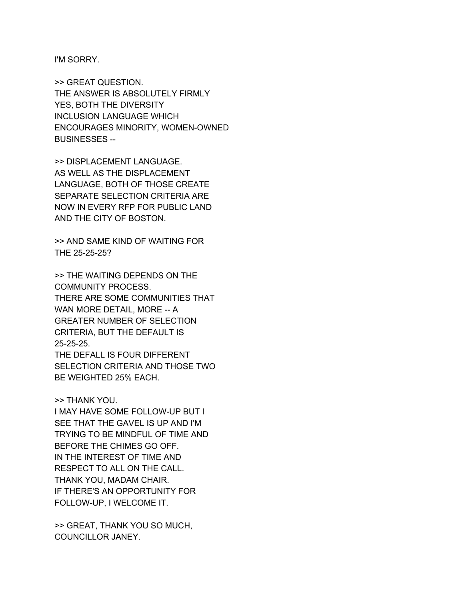I'M SORRY.

>> GREAT QUESTION. THE ANSWER IS ABSOLUTELY FIRMLY YES, BOTH THE DIVERSITY INCLUSION LANGUAGE WHICH ENCOURAGES MINORITY, WOMEN-OWNED BUSINESSES --

>> DISPLACEMENT LANGUAGE. AS WELL AS THE DISPLACEMENT LANGUAGE, BOTH OF THOSE CREATE SEPARATE SELECTION CRITERIA ARE NOW IN EVERY RFP FOR PUBLIC LAND AND THE CITY OF BOSTON.

>> AND SAME KIND OF WAITING FOR THE 25-25-25?

>> THE WAITING DEPENDS ON THE COMMUNITY PROCESS. THERE ARE SOME COMMUNITIES THAT WAN MORE DETAIL, MORE -- A GREATER NUMBER OF SELECTION CRITERIA, BUT THE DEFAULT IS 25-25-25. THE DEFALL IS FOUR DIFFERENT SELECTION CRITERIA AND THOSE TWO

BE WEIGHTED 25% EACH.

## >> THANK YOU.

I MAY HAVE SOME FOLLOW-UP BUT I SEE THAT THE GAVEL IS UP AND I'M TRYING TO BE MINDFUL OF TIME AND BEFORE THE CHIMES GO OFF. IN THE INTEREST OF TIME AND RESPECT TO ALL ON THE CALL. THANK YOU, MADAM CHAIR. IF THERE'S AN OPPORTUNITY FOR FOLLOW-UP, I WELCOME IT.

>> GREAT, THANK YOU SO MUCH, COUNCILLOR JANEY.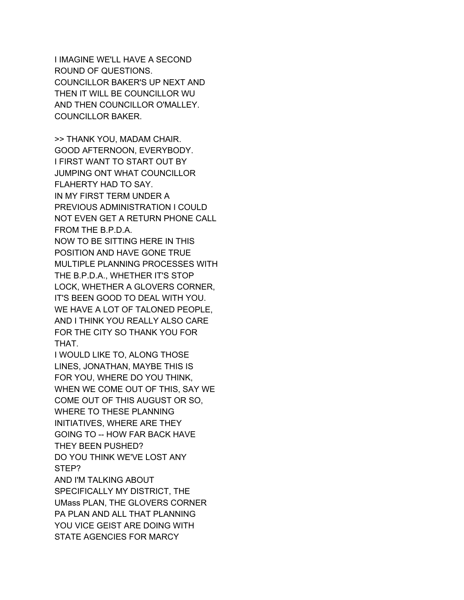I IMAGINE WE'LL HAVE A SECOND ROUND OF QUESTIONS. COUNCILLOR BAKER'S UP NEXT AND THEN IT WILL BE COUNCILLOR WU AND THEN COUNCILLOR O'MALLEY. COUNCILLOR BAKER.

>> THANK YOU, MADAM CHAIR. GOOD AFTERNOON, EVERYBODY. I FIRST WANT TO START OUT BY JUMPING ONT WHAT COUNCILLOR FLAHERTY HAD TO SAY. IN MY FIRST TERM UNDER A PREVIOUS ADMINISTRATION I COULD NOT EVEN GET A RETURN PHONE CALL FROM THE B.P.D.A. NOW TO BE SITTING HERE IN THIS POSITION AND HAVE GONE TRUE MULTIPLE PLANNING PROCESSES WITH THE B.P.D.A., WHETHER IT'S STOP LOCK, WHETHER A GLOVERS CORNER, IT'S BEEN GOOD TO DEAL WITH YOU. WE HAVE A LOT OF TALONED PEOPLE, AND I THINK YOU REALLY ALSO CARE

FOR THE CITY SO THANK YOU FOR THAT.

I WOULD LIKE TO, ALONG THOSE LINES, JONATHAN, MAYBE THIS IS FOR YOU, WHERE DO YOU THINK, WHEN WE COME OUT OF THIS, SAY WE COME OUT OF THIS AUGUST OR SO, WHERE TO THESE PLANNING INITIATIVES, WHERE ARE THEY GOING TO -- HOW FAR BACK HAVE THEY BEEN PUSHED? DO YOU THINK WE'VE LOST ANY STEP? AND I'M TALKING ABOUT SPECIFICALLY MY DISTRICT, THE

UMass PLAN, THE GLOVERS CORNER PA PLAN AND ALL THAT PLANNING YOU VICE GEIST ARE DOING WITH STATE AGENCIES FOR MARCY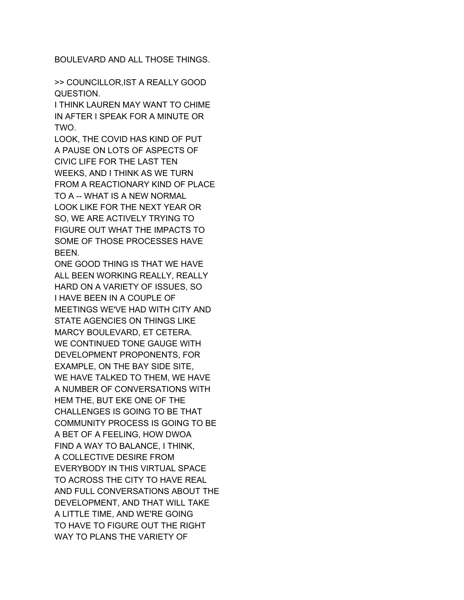BOULEVARD AND ALL THOSE THINGS.

>> COUNCILLOR,IST A REALLY GOOD QUESTION.

I THINK LAUREN MAY WANT TO CHIME IN AFTER I SPEAK FOR A MINUTE OR TWO.

LOOK, THE COVID HAS KIND OF PUT A PAUSE ON LOTS OF ASPECTS OF CIVIC LIFE FOR THE LAST TEN WEEKS, AND I THINK AS WE TURN FROM A REACTIONARY KIND OF PLACE TO A -- WHAT IS A NEW NORMAL LOOK LIKE FOR THE NEXT YEAR OR SO, WE ARE ACTIVELY TRYING TO FIGURE OUT WHAT THE IMPACTS TO SOME OF THOSE PROCESSES HAVE BEEN.

ONE GOOD THING IS THAT WE HAVE ALL BEEN WORKING REALLY, REALLY HARD ON A VARIETY OF ISSUES, SO I HAVE BEEN IN A COUPLE OF MEETINGS WE'VE HAD WITH CITY AND STATE AGENCIES ON THINGS LIKE MARCY BOULEVARD, ET CETERA. WE CONTINUED TONE GAUGE WITH DEVELOPMENT PROPONENTS, FOR EXAMPLE, ON THE BAY SIDE SITE, WE HAVE TALKED TO THEM, WE HAVE A NUMBER OF CONVERSATIONS WITH HEM THE, BUT EKE ONE OF THE CHALLENGES IS GOING TO BE THAT COMMUNITY PROCESS IS GOING TO BE A BET OF A FEELING, HOW DWOA FIND A WAY TO BALANCE, I THINK, A COLLECTIVE DESIRE FROM EVERYBODY IN THIS VIRTUAL SPACE TO ACROSS THE CITY TO HAVE REAL AND FULL CONVERSATIONS ABOUT THE DEVELOPMENT, AND THAT WILL TAKE A LITTLE TIME, AND WE'RE GOING TO HAVE TO FIGURE OUT THE RIGHT WAY TO PLANS THE VARIETY OF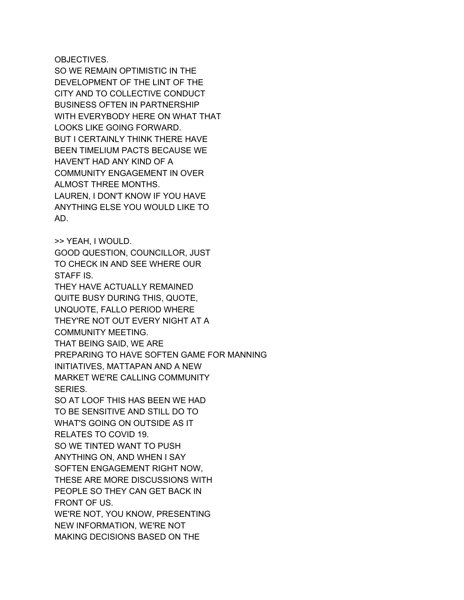OBJECTIVES.

SO WE REMAIN OPTIMISTIC IN THE DEVELOPMENT OF THE LINT OF THE CITY AND TO COLLECTIVE CONDUCT BUSINESS OFTEN IN PARTNERSHIP WITH EVERYBODY HERE ON WHAT THAT LOOKS LIKE GOING FORWARD. BUT I CERTAINLY THINK THERE HAVE BEEN TIMELIUM PACTS BECAUSE WE HAVEN'T HAD ANY KIND OF A COMMUNITY ENGAGEMENT IN OVER ALMOST THREE MONTHS. LAUREN, I DON'T KNOW IF YOU HAVE ANYTHING ELSE YOU WOULD LIKE TO AD.

>> YEAH, I WOULD. GOOD QUESTION, COUNCILLOR, JUST TO CHECK IN AND SEE WHERE OUR STAFF IS.

THEY HAVE ACTUALLY REMAINED QUITE BUSY DURING THIS, QUOTE, UNQUOTE, FALLO PERIOD WHERE THEY'RE NOT OUT EVERY NIGHT AT A COMMUNITY MEETING. THAT BEING SAID, WE ARE

PREPARING TO HAVE SOFTEN GAME FOR MANNING INITIATIVES, MATTAPAN AND A NEW MARKET WE'RE CALLING COMMUNITY SERIES.

SO AT LOOF THIS HAS BEEN WE HAD TO BE SENSITIVE AND STILL DO TO WHAT'S GOING ON OUTSIDE AS IT RELATES TO COVID 19. SO WE TINTED WANT TO PUSH ANYTHING ON, AND WHEN I SAY SOFTEN ENGAGEMENT RIGHT NOW, THESE ARE MORE DISCUSSIONS WITH PEOPLE SO THEY CAN GET BACK IN FRONT OF US. WE'RE NOT, YOU KNOW, PRESENTING

NEW INFORMATION, WE'RE NOT MAKING DECISIONS BASED ON THE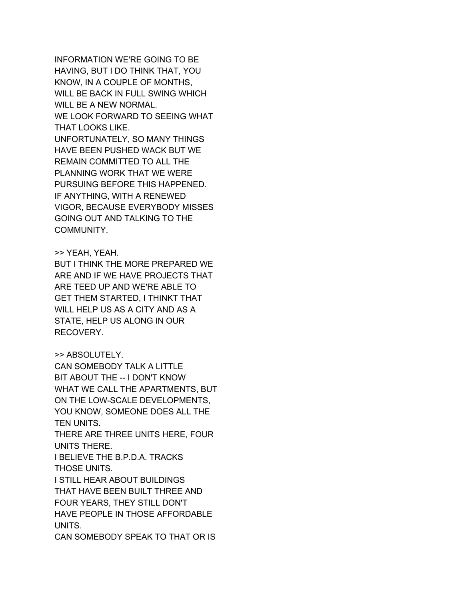INFORMATION WE'RE GOING TO BE HAVING, BUT I DO THINK THAT, YOU KNOW, IN A COUPLE OF MONTHS, WILL BE BACK IN FULL SWING WHICH WILL BE A NEW NORMAL. WE LOOK FORWARD TO SEEING WHAT THAT LOOKS LIKE. UNFORTUNATELY, SO MANY THINGS HAVE BEEN PUSHED WACK BUT WE REMAIN COMMITTED TO ALL THE PLANNING WORK THAT WE WERE PURSUING BEFORE THIS HAPPENED. IF ANYTHING, WITH A RENEWED VIGOR, BECAUSE EVERYBODY MISSES GOING OUT AND TALKING TO THE COMMUNITY.

#### >> YEAH, YEAH.

BUT I THINK THE MORE PREPARED WE ARE AND IF WE HAVE PROJECTS THAT ARE TEED UP AND WE'RE ABLE TO GET THEM STARTED, I THINKT THAT WILL HELP US AS A CITY AND AS A STATE, HELP US ALONG IN OUR RECOVERY.

# >> ABSOLUTELY.

CAN SOMEBODY TALK A LITTLE BIT ABOUT THE -- I DON'T KNOW WHAT WE CALL THE APARTMENTS, BUT ON THE LOW-SCALE DEVELOPMENTS, YOU KNOW, SOMEONE DOES ALL THE TEN UNITS. THERE ARE THREE UNITS HERE, FOUR UNITS THERE. I BELIEVE THE B.P.D.A. TRACKS THOSE UNITS. I STILL HEAR ABOUT BUILDINGS THAT HAVE BEEN BUILT THREE AND FOUR YEARS, THEY STILL DON'T HAVE PEOPLE IN THOSE AFFORDABLE UNITS. CAN SOMEBODY SPEAK TO THAT OR IS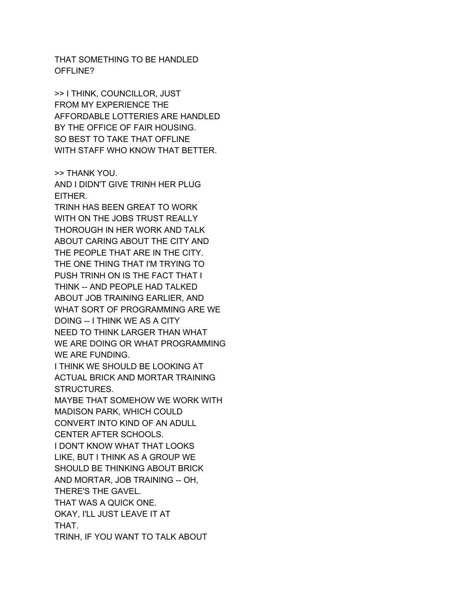THAT SOMETHING TO BE HANDLED OFFLINE?

>> I THINK, COUNCILLOR, JUST FROM MY EXPERIENCE THE AFFORDABLE LOTTERIES ARE HANDLED BY THE OFFICE OF FAIR HOUSING. SO BEST TO TAKE THAT OFFLINE WITH STAFF WHO KNOW THAT BETTER.

>> THANK YOU. AND I DIDN'T GIVE TRINH HER PLUG EITHER.

TRINH HAS BEEN GREAT TO WORK WITH ON THE JOBS TRUST REALLY THOROUGH IN HER WORK AND TALK ABOUT CARING ABOUT THE CITY AND THE PEOPLE THAT ARE IN THE CITY. THE ONE THING THAT I'M TRYING TO PUSH TRINH ON IS THE FACT THAT I THINK -- AND PEOPLE HAD TALKED ABOUT JOB TRAINING EARLIER, AND WHAT SORT OF PROGRAMMING ARE WE DOING -- I THINK WE AS A CITY NEED TO THINK LARGER THAN WHAT WE ARE DOING OR WHAT PROGRAMMING WE ARE FUNDING.

I THINK WE SHOULD BE LOOKING AT ACTUAL BRICK AND MORTAR TRAINING STRUCTURES.

MAYBE THAT SOMEHOW WE WORK WITH MADISON PARK, WHICH COULD CONVERT INTO KIND OF AN ADULL

CENTER AFTER SCHOOLS.

I DON'T KNOW WHAT THAT LOOKS LIKE, BUT I THINK AS A GROUP WE

SHOULD BE THINKING ABOUT BRICK

AND MORTAR, JOB TRAINING -- OH,

THERE'S THE GAVEL.

THAT WAS A QUICK ONE.

OKAY, I'LL JUST LEAVE IT AT

THAT.

TRINH, IF YOU WANT TO TALK ABOUT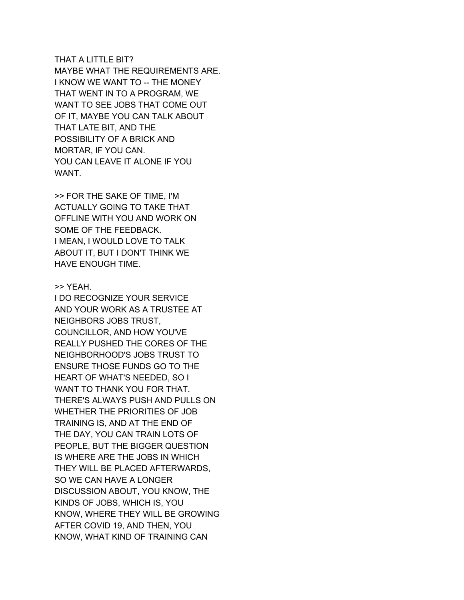#### THAT A LITTLE BIT?

MAYBE WHAT THE REQUIREMENTS ARE. I KNOW WE WANT TO -- THE MONEY THAT WENT IN TO A PROGRAM, WE WANT TO SEE JOBS THAT COME OUT OF IT, MAYBE YOU CAN TALK ABOUT THAT LATE BIT, AND THE POSSIBILITY OF A BRICK AND MORTAR, IF YOU CAN. YOU CAN LEAVE IT ALONE IF YOU WANT.

>> FOR THE SAKE OF TIME, I'M ACTUALLY GOING TO TAKE THAT OFFLINE WITH YOU AND WORK ON SOME OF THE FEEDBACK. I MEAN, I WOULD LOVE TO TALK ABOUT IT, BUT I DON'T THINK WE HAVE ENOUGH TIME.

## >> YEAH.

I DO RECOGNIZE YOUR SERVICE AND YOUR WORK AS A TRUSTEE AT NEIGHBORS JOBS TRUST, COUNCILLOR, AND HOW YOU'VE REALLY PUSHED THE CORES OF THE NEIGHBORHOOD'S JOBS TRUST TO ENSURE THOSE FUNDS GO TO THE HEART OF WHAT'S NEEDED, SO I WANT TO THANK YOU FOR THAT. THERE'S ALWAYS PUSH AND PULLS ON WHETHER THE PRIORITIES OF JOB TRAINING IS, AND AT THE END OF THE DAY, YOU CAN TRAIN LOTS OF PEOPLE, BUT THE BIGGER QUESTION IS WHERE ARE THE JOBS IN WHICH THEY WILL BE PLACED AFTERWARDS, SO WE CAN HAVE A LONGER DISCUSSION ABOUT, YOU KNOW, THE KINDS OF JOBS, WHICH IS, YOU KNOW, WHERE THEY WILL BE GROWING AFTER COVID 19, AND THEN, YOU KNOW, WHAT KIND OF TRAINING CAN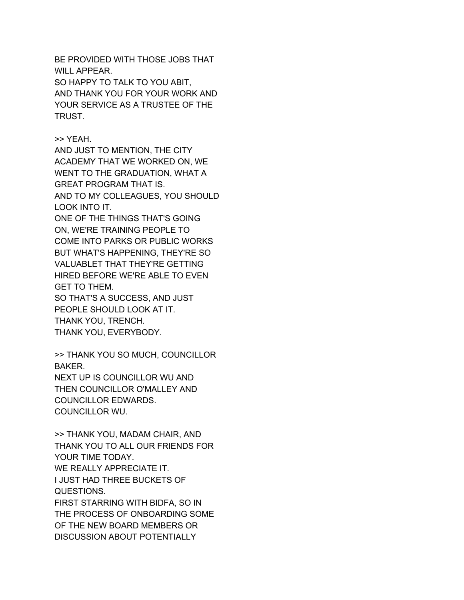BE PROVIDED WITH THOSE JOBS THAT WILL APPEAR. SO HAPPY TO TALK TO YOU ABIT, AND THANK YOU FOR YOUR WORK AND YOUR SERVICE AS A TRUSTEE OF THE TRUST.

>> YEAH.

AND JUST TO MENTION, THE CITY ACADEMY THAT WE WORKED ON, WE WENT TO THE GRADUATION, WHAT A GREAT PROGRAM THAT IS. AND TO MY COLLEAGUES, YOU SHOULD

LOOK INTO IT.

ONE OF THE THINGS THAT'S GOING ON, WE'RE TRAINING PEOPLE TO COME INTO PARKS OR PUBLIC WORKS BUT WHAT'S HAPPENING, THEY'RE SO VALUABLET THAT THEY'RE GETTING HIRED BEFORE WE'RE ABLE TO EVEN GET TO THEM.

SO THAT'S A SUCCESS, AND JUST PEOPLE SHOULD LOOK AT IT. THANK YOU, TRENCH. THANK YOU, EVERYBODY.

>> THANK YOU SO MUCH, COUNCILLOR BAKER. NEXT UP IS COUNCILLOR WU AND THEN COUNCILLOR O'MALLEY AND COUNCILLOR EDWARDS. COUNCILLOR WU.

>> THANK YOU, MADAM CHAIR, AND THANK YOU TO ALL OUR FRIENDS FOR YOUR TIME TODAY. WE REALLY APPRECIATE IT. I JUST HAD THREE BUCKETS OF QUESTIONS. FIRST STARRING WITH BIDFA, SO IN THE PROCESS OF ONBOARDING SOME OF THE NEW BOARD MEMBERS OR DISCUSSION ABOUT POTENTIALLY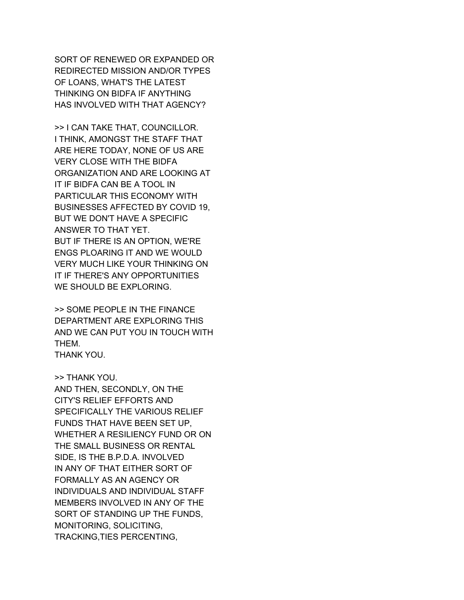SORT OF RENEWED OR EXPANDED OR REDIRECTED MISSION AND/OR TYPES OF LOANS, WHAT'S THE LATEST THINKING ON BIDFA IF ANYTHING HAS INVOLVED WITH THAT AGENCY?

>> I CAN TAKE THAT, COUNCILLOR. I THINK, AMONGST THE STAFF THAT ARE HERE TODAY, NONE OF US ARE VERY CLOSE WITH THE BIDFA ORGANIZATION AND ARE LOOKING AT IT IF BIDFA CAN BE A TOOL IN PARTICULAR THIS ECONOMY WITH BUSINESSES AFFECTED BY COVID 19, BUT WE DON'T HAVE A SPECIFIC ANSWER TO THAT YET. BUT IF THERE IS AN OPTION, WE'RE ENGS PLOARING IT AND WE WOULD VERY MUCH LIKE YOUR THINKING ON IT IF THERE'S ANY OPPORTUNITIES WE SHOULD BE EXPLORING.

>> SOME PEOPLE IN THE FINANCE DEPARTMENT ARE EXPLORING THIS AND WE CAN PUT YOU IN TOUCH WITH THEM. THANK YOU.

>> THANK YOU.

AND THEN, SECONDLY, ON THE CITY'S RELIEF EFFORTS AND SPECIFICALLY THE VARIOUS RELIEF FUNDS THAT HAVE BEEN SET UP, WHETHER A RESILIENCY FUND OR ON THE SMALL BUSINESS OR RENTAL SIDE, IS THE B.P.D.A. INVOLVED IN ANY OF THAT EITHER SORT OF FORMALLY AS AN AGENCY OR INDIVIDUALS AND INDIVIDUAL STAFF MEMBERS INVOLVED IN ANY OF THE SORT OF STANDING UP THE FUNDS, MONITORING, SOLICITING, TRACKING,TIES PERCENTING,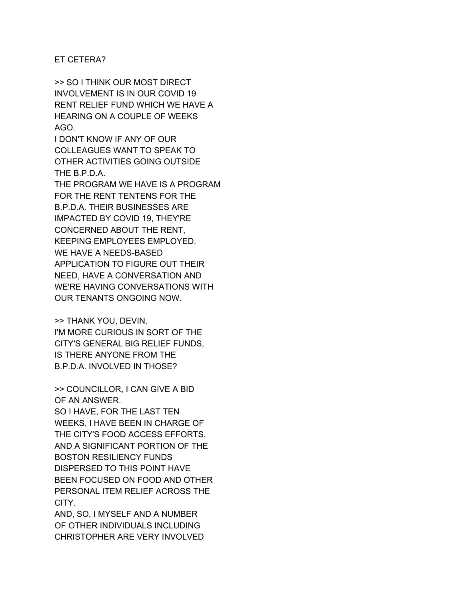## ET CETERA?

>> SO I THINK OUR MOST DIRECT INVOLVEMENT IS IN OUR COVID 19 RENT RELIEF FUND WHICH WE HAVE A HEARING ON A COUPLE OF WEEKS AGO.

I DON'T KNOW IF ANY OF OUR COLLEAGUES WANT TO SPEAK TO OTHER ACTIVITIES GOING OUTSIDE THE B.P.D.A.

THE PROGRAM WE HAVE IS A PROGRAM FOR THE RENT TENTENS FOR THE B.P.D.A. THEIR BUSINESSES ARE IMPACTED BY COVID 19, THEY'RE CONCERNED ABOUT THE RENT, KEEPING EMPLOYEES EMPLOYED. WE HAVE A NEEDS-BASED APPLICATION TO FIGURE OUT THEIR NEED, HAVE A CONVERSATION AND WE'RE HAVING CONVERSATIONS WITH OUR TENANTS ONGOING NOW.

>> THANK YOU, DEVIN. I'M MORE CURIOUS IN SORT OF THE CITY'S GENERAL BIG RELIEF FUNDS, IS THERE ANYONE FROM THE B.P.D.A. INVOLVED IN THOSE?

>> COUNCILLOR, I CAN GIVE A BID OF AN ANSWER.

SO I HAVE, FOR THE LAST TEN WEEKS, I HAVE BEEN IN CHARGE OF THE CITY'S FOOD ACCESS EFFORTS, AND A SIGNIFICANT PORTION OF THE BOSTON RESILIENCY FUNDS DISPERSED TO THIS POINT HAVE BEEN FOCUSED ON FOOD AND OTHER PERSONAL ITEM RELIEF ACROSS THE CITY.

AND, SO, I MYSELF AND A NUMBER OF OTHER INDIVIDUALS INCLUDING CHRISTOPHER ARE VERY INVOLVED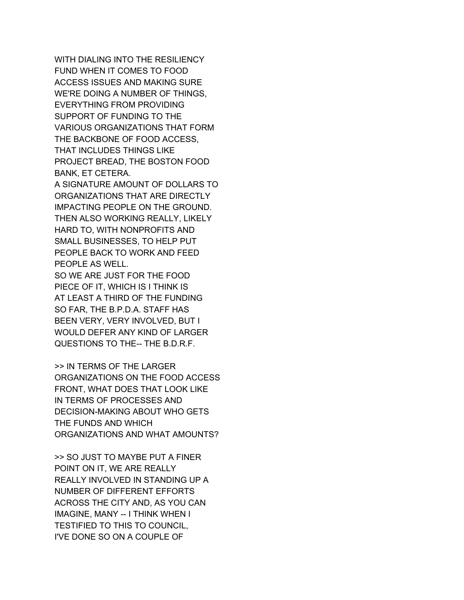WITH DIALING INTO THE RESILIENCY FUND WHEN IT COMES TO FOOD ACCESS ISSUES AND MAKING SURE WE'RE DOING A NUMBER OF THINGS, EVERYTHING FROM PROVIDING SUPPORT OF FUNDING TO THE VARIOUS ORGANIZATIONS THAT FORM THE BACKBONE OF FOOD ACCESS, THAT INCLUDES THINGS LIKE PROJECT BREAD, THE BOSTON FOOD BANK, ET CETERA.

A SIGNATURE AMOUNT OF DOLLARS TO ORGANIZATIONS THAT ARE DIRECTLY IMPACTING PEOPLE ON THE GROUND. THEN ALSO WORKING REALLY, LIKELY HARD TO, WITH NONPROFITS AND SMALL BUSINESSES, TO HELP PUT PEOPLE BACK TO WORK AND FEED PEOPLE AS WELL.

SO WE ARE JUST FOR THE FOOD PIECE OF IT, WHICH IS I THINK IS AT LEAST A THIRD OF THE FUNDING SO FAR, THE B.P.D.A. STAFF HAS BEEN VERY, VERY INVOLVED, BUT I WOULD DEFER ANY KIND OF LARGER QUESTIONS TO THE-- THE B.D.R.F.

>> IN TERMS OF THE LARGER ORGANIZATIONS ON THE FOOD ACCESS FRONT, WHAT DOES THAT LOOK LIKE IN TERMS OF PROCESSES AND DECISION-MAKING ABOUT WHO GETS THE FUNDS AND WHICH ORGANIZATIONS AND WHAT AMOUNTS?

>> SO JUST TO MAYBE PUT A FINER POINT ON IT, WE ARE REALLY REALLY INVOLVED IN STANDING UP A NUMBER OF DIFFERENT EFFORTS ACROSS THE CITY AND, AS YOU CAN IMAGINE, MANY -- I THINK WHEN I TESTIFIED TO THIS TO COUNCIL, I'VE DONE SO ON A COUPLE OF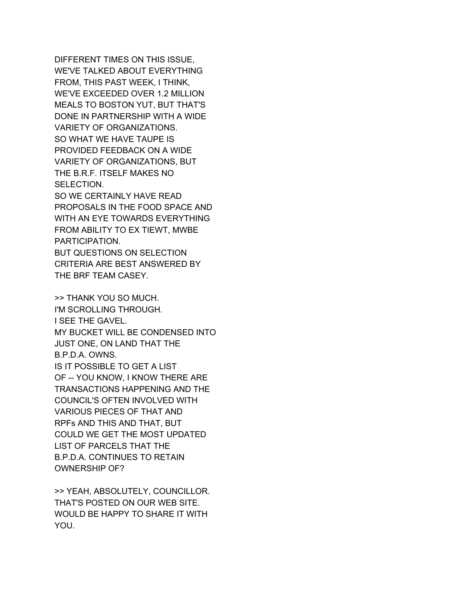DIFFERENT TIMES ON THIS ISSUE, WE'VE TALKED ABOUT EVERYTHING FROM, THIS PAST WEEK, I THINK, WE'VE EXCEEDED OVER 1.2 MILLION MEALS TO BOSTON YUT, BUT THAT'S DONE IN PARTNERSHIP WITH A WIDE VARIETY OF ORGANIZATIONS. SO WHAT WE HAVE TAUPE IS PROVIDED FEEDBACK ON A WIDE VARIETY OF ORGANIZATIONS, BUT THE B.R.F. ITSELF MAKES NO SELECTION. SO WE CERTAINLY HAVE READ PROPOSALS IN THE FOOD SPACE AND WITH AN EYE TOWARDS EVERYTHING

FROM ABILITY TO EX TIEWT, MWBE PARTICIPATION. BUT QUESTIONS ON SELECTION

CRITERIA ARE BEST ANSWERED BY THE BRF TEAM CASEY.

>> THANK YOU SO MUCH. I'M SCROLLING THROUGH. I SEE THE GAVEL. MY BUCKET WILL BE CONDENSED INTO JUST ONE, ON LAND THAT THE B.P.D.A. OWNS. IS IT POSSIBLE TO GET A LIST OF -- YOU KNOW, I KNOW THERE ARE TRANSACTIONS HAPPENING AND THE COUNCIL'S OFTEN INVOLVED WITH VARIOUS PIECES OF THAT AND RPFs AND THIS AND THAT, BUT COULD WE GET THE MOST UPDATED LIST OF PARCELS THAT THE B.P.D.A. CONTINUES TO RETAIN OWNERSHIP OF?

>> YEAH, ABSOLUTELY, COUNCILLOR. THAT'S POSTED ON OUR WEB SITE. WOULD BE HAPPY TO SHARE IT WITH YOU.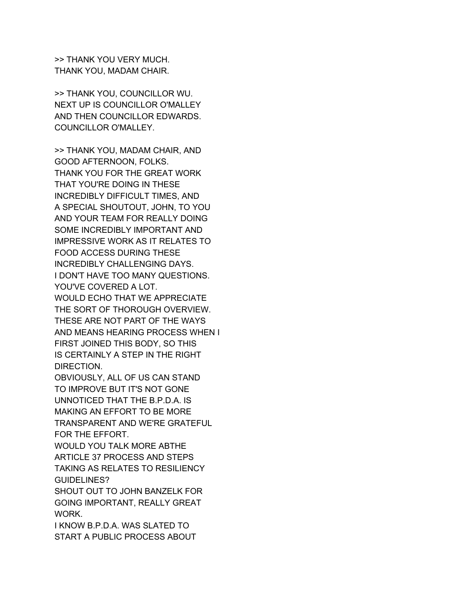>> THANK YOU VERY MUCH. THANK YOU, MADAM CHAIR.

>> THANK YOU, COUNCILLOR WU. NEXT UP IS COUNCILLOR O'MALLEY AND THEN COUNCILLOR EDWARDS. COUNCILLOR O'MALLEY.

>> THANK YOU, MADAM CHAIR, AND GOOD AFTERNOON, FOLKS. THANK YOU FOR THE GREAT WORK THAT YOU'RE DOING IN THESE INCREDIBLY DIFFICULT TIMES, AND A SPECIAL SHOUTOUT, JOHN, TO YOU AND YOUR TEAM FOR REALLY DOING SOME INCREDIBLY IMPORTANT AND IMPRESSIVE WORK AS IT RELATES TO FOOD ACCESS DURING THESE INCREDIBLY CHALLENGING DAYS. I DON'T HAVE TOO MANY QUESTIONS. YOU'VE COVERED A LOT. WOULD ECHO THAT WE APPRECIATE THE SORT OF THOROUGH OVERVIEW. THESE ARE NOT PART OF THE WAYS AND MEANS HEARING PROCESS WHEN I FIRST JOINED THIS BODY, SO THIS IS CERTAINLY A STEP IN THE RIGHT DIRECTION. OBVIOUSLY, ALL OF US CAN STAND TO IMPROVE BUT IT'S NOT GONE UNNOTICED THAT THE B.P.D.A. IS MAKING AN EFFORT TO BE MORE TRANSPARENT AND WE'RE GRATEFUL

FOR THE EFFORT. WOULD YOU TALK MORE ABTHE

ARTICLE 37 PROCESS AND STEPS TAKING AS RELATES TO RESILIENCY GUIDELINES?

SHOUT OUT TO JOHN BANZELK FOR GOING IMPORTANT, REALLY GREAT WORK.

I KNOW B.P.D.A. WAS SLATED TO START A PUBLIC PROCESS ABOUT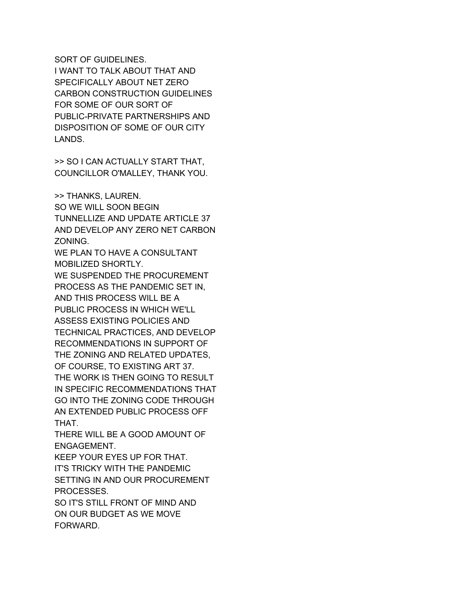SORT OF GUIDELINES. I WANT TO TALK ABOUT THAT AND SPECIFICALLY ABOUT NET ZERO CARBON CONSTRUCTION GUIDELINES FOR SOME OF OUR SORT OF PUBLIC-PRIVATE PARTNERSHIPS AND DISPOSITION OF SOME OF OUR CITY LANDS.

>> SO I CAN ACTUALLY START THAT, COUNCILLOR O'MALLEY, THANK YOU.

>> THANKS, LAUREN. SO WE WILL SOON BEGIN TUNNELLIZE AND UPDATE ARTICLE 37 AND DEVELOP ANY ZERO NET CARBON ZONING.

WE PLAN TO HAVE A CONSULTANT MOBILIZED SHORTLY.

WE SUSPENDED THE PROCUREMENT PROCESS AS THE PANDEMIC SET IN, AND THIS PROCESS WILL BE A PUBLIC PROCESS IN WHICH WE'LL ASSESS EXISTING POLICIES AND TECHNICAL PRACTICES, AND DEVELOP RECOMMENDATIONS IN SUPPORT OF THE ZONING AND RELATED UPDATES, OF COURSE, TO EXISTING ART 37. THE WORK IS THEN GOING TO RESULT IN SPECIFIC RECOMMENDATIONS THAT GO INTO THE ZONING CODE THROUGH AN EXTENDED PUBLIC PROCESS OFF THAT.

THERE WILL BE A GOOD AMOUNT OF ENGAGEMENT.

KEEP YOUR EYES UP FOR THAT. IT'S TRICKY WITH THE PANDEMIC SETTING IN AND OUR PROCUREMENT PROCESSES.

SO IT'S STILL FRONT OF MIND AND ON OUR BUDGET AS WE MOVE FORWARD.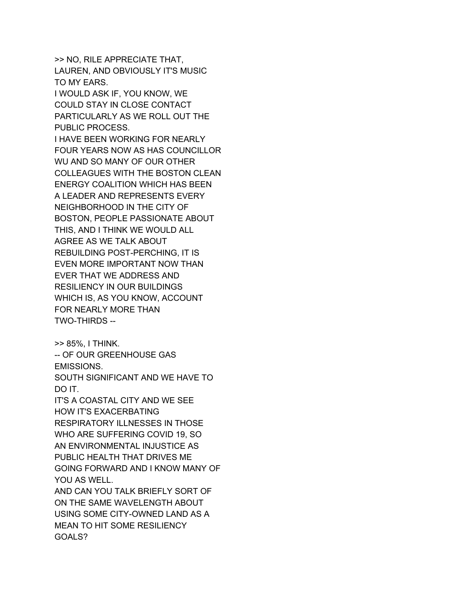>> NO, RILE APPRECIATE THAT, LAUREN, AND OBVIOUSLY IT'S MUSIC TO MY EARS.

I WOULD ASK IF, YOU KNOW, WE COULD STAY IN CLOSE CONTACT PARTICULARLY AS WE ROLL OUT THE PUBLIC PROCESS.

I HAVE BEEN WORKING FOR NEARLY FOUR YEARS NOW AS HAS COUNCILLOR WU AND SO MANY OF OUR OTHER COLLEAGUES WITH THE BOSTON CLEAN ENERGY COALITION WHICH HAS BEEN A LEADER AND REPRESENTS EVERY NEIGHBORHOOD IN THE CITY OF BOSTON, PEOPLE PASSIONATE ABOUT THIS, AND I THINK WE WOULD ALL AGREE AS WE TALK ABOUT REBUILDING POST-PERCHING, IT IS EVEN MORE IMPORTANT NOW THAN EVER THAT WE ADDRESS AND RESILIENCY IN OUR BUILDINGS WHICH IS, AS YOU KNOW, ACCOUNT FOR NEARLY MORE THAN TWO-THIRDS --

>> 85%, I THINK.

-- OF OUR GREENHOUSE GAS EMISSIONS. SOUTH SIGNIFICANT AND WE HAVE TO

DO IT.

IT'S A COASTAL CITY AND WE SEE HOW IT'S EXACERBATING RESPIRATORY ILLNESSES IN THOSE WHO ARE SUFFERING COVID 19, SO AN ENVIRONMENTAL INJUSTICE AS PUBLIC HEALTH THAT DRIVES ME GOING FORWARD AND I KNOW MANY OF YOU AS WELL.

AND CAN YOU TALK BRIEFLY SORT OF ON THE SAME WAVELENGTH ABOUT USING SOME CITY-OWNED LAND AS A MEAN TO HIT SOME RESILIENCY GOALS?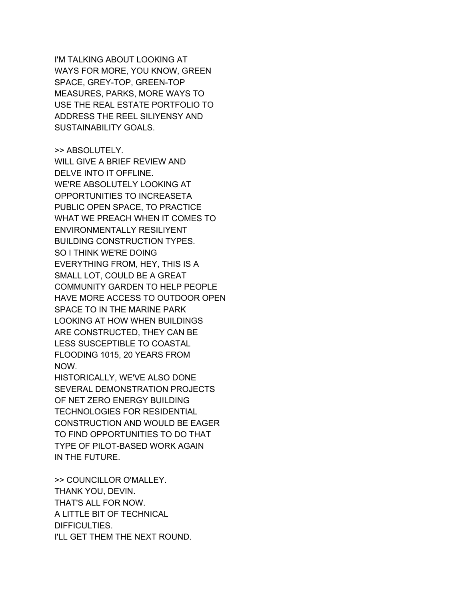I'M TALKING ABOUT LOOKING AT WAYS FOR MORE, YOU KNOW, GREEN SPACE, GREY-TOP, GREEN-TOP MEASURES, PARKS, MORE WAYS TO USE THE REAL ESTATE PORTFOLIO TO ADDRESS THE REEL SILIYENSY AND SUSTAINABILITY GOALS.

>> ABSOLUTELY. WILL GIVE A BRIEF REVIEW AND DELVE INTO IT OFFLINE. WE'RE ABSOLUTELY LOOKING AT OPPORTUNITIES TO INCREASETA PUBLIC OPEN SPACE, TO PRACTICE WHAT WE PREACH WHEN IT COMES TO ENVIRONMENTALLY RESILIYENT BUILDING CONSTRUCTION TYPES. SO I THINK WE'RE DOING EVERYTHING FROM, HEY, THIS IS A SMALL LOT, COULD BE A GREAT COMMUNITY GARDEN TO HELP PEOPLE HAVE MORE ACCESS TO OUTDOOR OPEN SPACE TO IN THE MARINE PARK LOOKING AT HOW WHEN BUILDINGS ARE CONSTRUCTED, THEY CAN BE LESS SUSCEPTIBLE TO COASTAL FLOODING 1015, 20 YEARS FROM NOW.

HISTORICALLY, WE'VE ALSO DONE SEVERAL DEMONSTRATION PROJECTS OF NET ZERO ENERGY BUILDING TECHNOLOGIES FOR RESIDENTIAL CONSTRUCTION AND WOULD BE EAGER TO FIND OPPORTUNITIES TO DO THAT TYPE OF PILOT-BASED WORK AGAIN IN THE FUTURE.

>> COUNCILLOR O'MALLEY. THANK YOU, DEVIN. THAT'S ALL FOR NOW. A LITTLE BIT OF TECHNICAL DIFFICULTIES. I'LL GET THEM THE NEXT ROUND.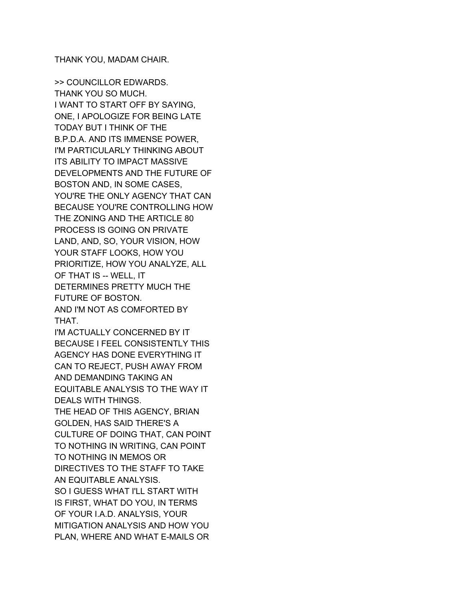THANK YOU, MADAM CHAIR.

>> COUNCILLOR EDWARDS. THANK YOU SO MUCH. I WANT TO START OFF BY SAYING, ONE, I APOLOGIZE FOR BEING LATE TODAY BUT I THINK OF THE B.P.D.A. AND ITS IMMENSE POWER, I'M PARTICULARLY THINKING ABOUT ITS ABILITY TO IMPACT MASSIVE DEVELOPMENTS AND THE FUTURE OF BOSTON AND, IN SOME CASES, YOU'RE THE ONLY AGENCY THAT CAN BECAUSE YOU'RE CONTROLLING HOW THE ZONING AND THE ARTICLE 80 PROCESS IS GOING ON PRIVATE LAND, AND, SO, YOUR VISION, HOW YOUR STAFF LOOKS, HOW YOU PRIORITIZE, HOW YOU ANALYZE, ALL OF THAT IS -- WELL, IT DETERMINES PRETTY MUCH THE FUTURE OF BOSTON. AND I'M NOT AS COMFORTED BY THAT. I'M ACTUALLY CONCERNED BY IT BECAUSE I FEEL CONSISTENTLY THIS AGENCY HAS DONE EVERYTHING IT CAN TO REJECT, PUSH AWAY FROM AND DEMANDING TAKING AN EQUITABLE ANALYSIS TO THE WAY IT DEALS WITH THINGS. THE HEAD OF THIS AGENCY, BRIAN GOLDEN, HAS SAID THERE'S A CULTURE OF DOING THAT, CAN POINT TO NOTHING IN WRITING, CAN POINT TO NOTHING IN MEMOS OR DIRECTIVES TO THE STAFF TO TAKE AN EQUITABLE ANALYSIS. SO I GUESS WHAT I'LL START WITH IS FIRST, WHAT DO YOU, IN TERMS OF YOUR I.A.D. ANALYSIS, YOUR MITIGATION ANALYSIS AND HOW YOU PLAN, WHERE AND WHAT E-MAILS OR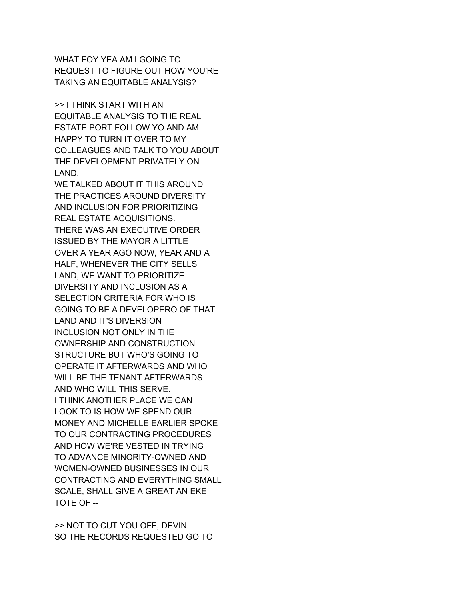WHAT FOY YEA AM I GOING TO REQUEST TO FIGURE OUT HOW YOU'RE TAKING AN EQUITABLE ANALYSIS?

>> I THINK START WITH AN EQUITABLE ANALYSIS TO THE REAL ESTATE PORT FOLLOW YO AND AM HAPPY TO TURN IT OVER TO MY COLLEAGUES AND TALK TO YOU ABOUT THE DEVELOPMENT PRIVATELY ON LAND.

WE TALKED ABOUT IT THIS AROUND THE PRACTICES AROUND DIVERSITY AND INCLUSION FOR PRIORITIZING REAL ESTATE ACQUISITIONS. THERE WAS AN EXECUTIVE ORDER ISSUED BY THE MAYOR A LITTLE OVER A YEAR AGO NOW, YEAR AND A HALF, WHENEVER THE CITY SELLS LAND, WE WANT TO PRIORITIZE DIVERSITY AND INCLUSION AS A SELECTION CRITERIA FOR WHO IS GOING TO BE A DEVELOPERO OF THAT LAND AND IT'S DIVERSION INCLUSION NOT ONLY IN THE OWNERSHIP AND CONSTRUCTION STRUCTURE BUT WHO'S GOING TO OPERATE IT AFTERWARDS AND WHO WILL BE THE TENANT AFTERWARDS AND WHO WILL THIS SERVE. I THINK ANOTHER PLACE WE CAN LOOK TO IS HOW WE SPEND OUR MONEY AND MICHELLE EARLIER SPOKE TO OUR CONTRACTING PROCEDURES AND HOW WE'RE VESTED IN TRYING TO ADVANCE MINORITY-OWNED AND WOMEN-OWNED BUSINESSES IN OUR CONTRACTING AND EVERYTHING SMALL SCALE, SHALL GIVE A GREAT AN EKE TOTE OF --

>> NOT TO CUT YOU OFF, DEVIN. SO THE RECORDS REQUESTED GO TO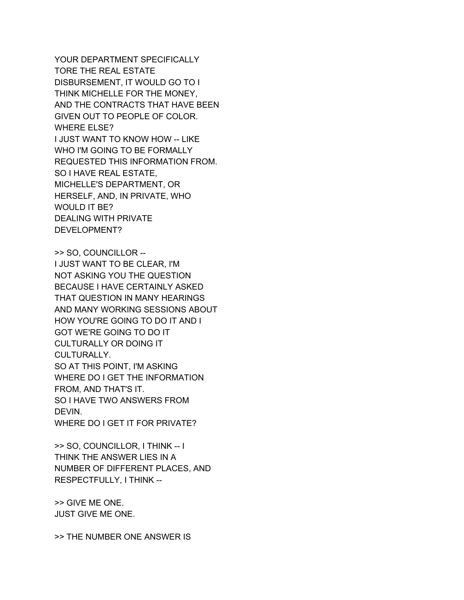YOUR DEPARTMENT SPECIFICALLY TORE THE REAL ESTATE DISBURSEMENT, IT WOULD GO TO I THINK MICHELLE FOR THE MONEY, AND THE CONTRACTS THAT HAVE BEEN GIVEN OUT TO PEOPLE OF COLOR. WHERE ELSE? I JUST WANT TO KNOW HOW -- LIKE WHO I'M GOING TO BE FORMALLY REQUESTED THIS INFORMATION FROM. SO I HAVE REAL ESTATE, MICHELLE'S DEPARTMENT, OR HERSELF, AND, IN PRIVATE, WHO WOULD IT BE? DEALING WITH PRIVATE DEVELOPMENT?

>> SO, COUNCILLOR -- I JUST WANT TO BE CLEAR, I'M NOT ASKING YOU THE QUESTION BECAUSE I HAVE CERTAINLY ASKED THAT QUESTION IN MANY HEARINGS AND MANY WORKING SESSIONS ABOUT HOW YOU'RE GOING TO DO IT AND I GOT WE'RE GOING TO DO IT CULTURALLY OR DOING IT CULTURALLY. SO AT THIS POINT, I'M ASKING WHERE DO I GET THE INFORMATION FROM, AND THAT'S IT. SO I HAVE TWO ANSWERS FROM DEVIN. WHERE DO I GET IT FOR PRIVATE?

>> SO, COUNCILLOR, I THINK -- I THINK THE ANSWER LIES IN A NUMBER OF DIFFERENT PLACES, AND RESPECTFULLY, I THINK --

>> GIVE ME ONE. JUST GIVE ME ONE.

>> THE NUMBER ONE ANSWER IS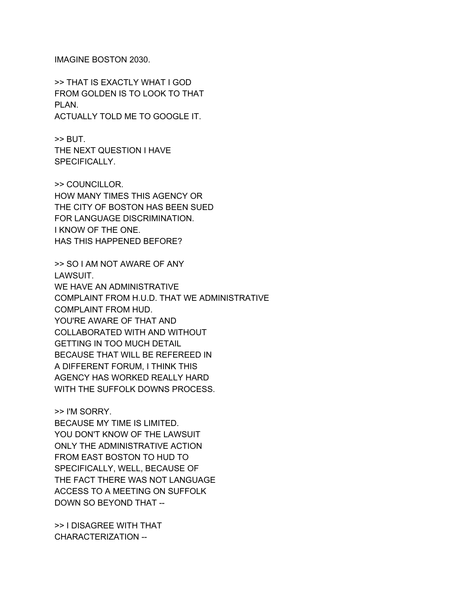IMAGINE BOSTON 2030.

>> THAT IS EXACTLY WHAT I GOD FROM GOLDEN IS TO LOOK TO THAT PLAN. ACTUALLY TOLD ME TO GOOGLE IT.

>> BUT. THE NEXT QUESTION I HAVE SPECIFICALLY.

>> COUNCILLOR. HOW MANY TIMES THIS AGENCY OR THE CITY OF BOSTON HAS BEEN SUED FOR LANGUAGE DISCRIMINATION. I KNOW OF THE ONE. HAS THIS HAPPENED BEFORE?

>> SO I AM NOT AWARE OF ANY LAWSUIT. WE HAVE AN ADMINISTRATIVE COMPLAINT FROM H.U.D. THAT WE ADMINISTRATIVE COMPLAINT FROM HUD. YOU'RE AWARE OF THAT AND COLLABORATED WITH AND WITHOUT GETTING IN TOO MUCH DETAIL BECAUSE THAT WILL BE REFEREED IN A DIFFERENT FORUM, I THINK THIS AGENCY HAS WORKED REALLY HARD WITH THE SUFFOLK DOWNS PROCESS.

>> I'M SORRY. BECAUSE MY TIME IS LIMITED. YOU DON'T KNOW OF THE LAWSUIT ONLY THE ADMINISTRATIVE ACTION FROM EAST BOSTON TO HUD TO SPECIFICALLY, WELL, BECAUSE OF THE FACT THERE WAS NOT LANGUAGE ACCESS TO A MEETING ON SUFFOLK DOWN SO BEYOND THAT --

>> I DISAGREE WITH THAT CHARACTERIZATION --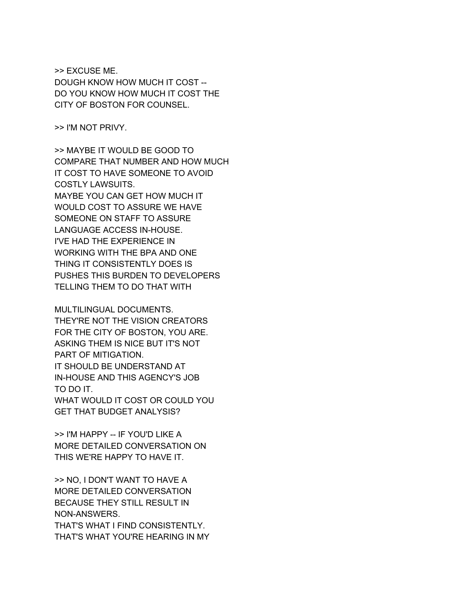>> EXCUSE ME. DOUGH KNOW HOW MUCH IT COST -- DO YOU KNOW HOW MUCH IT COST THE CITY OF BOSTON FOR COUNSEL.

>> I'M NOT PRIVY.

>> MAYBE IT WOULD BE GOOD TO COMPARE THAT NUMBER AND HOW MUCH IT COST TO HAVE SOMEONE TO AVOID COSTLY LAWSUITS. MAYBE YOU CAN GET HOW MUCH IT WOULD COST TO ASSURE WE HAVE SOMEONE ON STAFF TO ASSURE LANGUAGE ACCESS IN-HOUSE. I'VE HAD THE EXPERIENCE IN WORKING WITH THE BPA AND ONE THING IT CONSISTENTLY DOES IS PUSHES THIS BURDEN TO DEVELOPERS TELLING THEM TO DO THAT WITH

MULTILINGUAL DOCUMENTS. THEY'RE NOT THE VISION CREATORS FOR THE CITY OF BOSTON, YOU ARE. ASKING THEM IS NICE BUT IT'S NOT PART OF MITIGATION. IT SHOULD BE UNDERSTAND AT IN-HOUSE AND THIS AGENCY'S JOB TO DO IT. WHAT WOULD IT COST OR COULD YOU

GET THAT BUDGET ANALYSIS?

>> I'M HAPPY -- IF YOU'D LIKE A MORE DETAILED CONVERSATION ON THIS WE'RE HAPPY TO HAVE IT.

>> NO, I DON'T WANT TO HAVE A MORE DETAILED CONVERSATION BECAUSE THEY STILL RESULT IN NON-ANSWERS. THAT'S WHAT I FIND CONSISTENTLY. THAT'S WHAT YOU'RE HEARING IN MY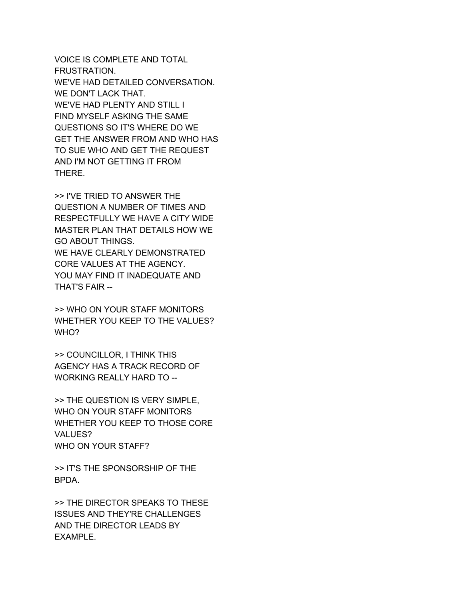VOICE IS COMPLETE AND TOTAL FRUSTRATION. WE'VE HAD DETAILED CONVERSATION. WE DON'T LACK THAT. WE'VE HAD PLENTY AND STILL I FIND MYSELF ASKING THE SAME QUESTIONS SO IT'S WHERE DO WE GET THE ANSWER FROM AND WHO HAS TO SUE WHO AND GET THE REQUEST AND I'M NOT GETTING IT FROM THERE.

>> I'VE TRIED TO ANSWER THE QUESTION A NUMBER OF TIMES AND RESPECTFULLY WE HAVE A CITY WIDE MASTER PLAN THAT DETAILS HOW WE GO ABOUT THINGS. WE HAVE CLEARLY DEMONSTRATED CORE VALUES AT THE AGENCY. YOU MAY FIND IT INADEQUATE AND THAT'S FAIR --

>> WHO ON YOUR STAFF MONITORS WHETHER YOU KEEP TO THE VALUES? WHO?

>> COUNCILLOR, I THINK THIS AGENCY HAS A TRACK RECORD OF WORKING REALLY HARD TO --

>> THE QUESTION IS VERY SIMPLE, WHO ON YOUR STAFF MONITORS WHETHER YOU KEEP TO THOSE CORE VALUES? WHO ON YOUR STAFF?

>> IT'S THE SPONSORSHIP OF THE BPDA.

>> THE DIRECTOR SPEAKS TO THESE ISSUES AND THEY'RE CHALLENGES AND THE DIRECTOR LEADS BY EXAMPLE.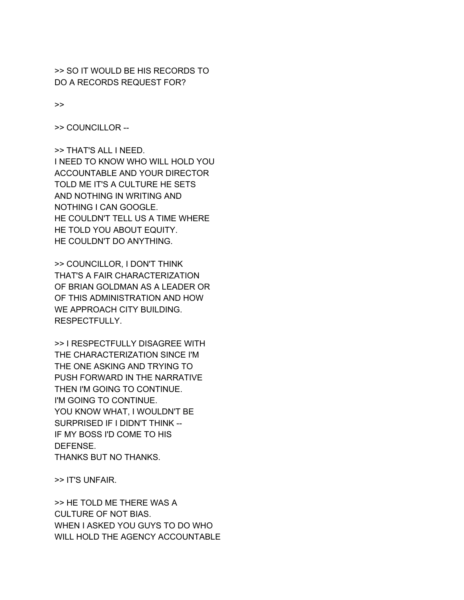>> SO IT WOULD BE HIS RECORDS TO DO A RECORDS REQUEST FOR?

>>

>> COUNCILLOR --

>> THAT'S ALL I NEED. I NEED TO KNOW WHO WILL HOLD YOU ACCOUNTABLE AND YOUR DIRECTOR TOLD ME IT'S A CULTURE HE SETS AND NOTHING IN WRITING AND NOTHING I CAN GOOGLE. HE COULDN'T TELL US A TIME WHERE HE TOLD YOU ABOUT EQUITY. HE COULDN'T DO ANYTHING.

>> COUNCILLOR, I DON'T THINK THAT'S A FAIR CHARACTERIZATION OF BRIAN GOLDMAN AS A LEADER OR OF THIS ADMINISTRATION AND HOW WE APPROACH CITY BUILDING. RESPECTFULLY.

>> I RESPECTFULLY DISAGREE WITH THE CHARACTERIZATION SINCE I'M THE ONE ASKING AND TRYING TO PUSH FORWARD IN THE NARRATIVE THEN I'M GOING TO CONTINUE. I'M GOING TO CONTINUE. YOU KNOW WHAT, I WOULDN'T BE SURPRISED IF I DIDN'T THINK -- IF MY BOSS I'D COME TO HIS DEFENSE. THANKS BUT NO THANKS.

>> IT'S UNFAIR.

>> HE TOLD ME THERE WAS A CULTURE OF NOT BIAS. WHEN I ASKED YOU GUYS TO DO WHO WILL HOLD THE AGENCY ACCOUNTABLE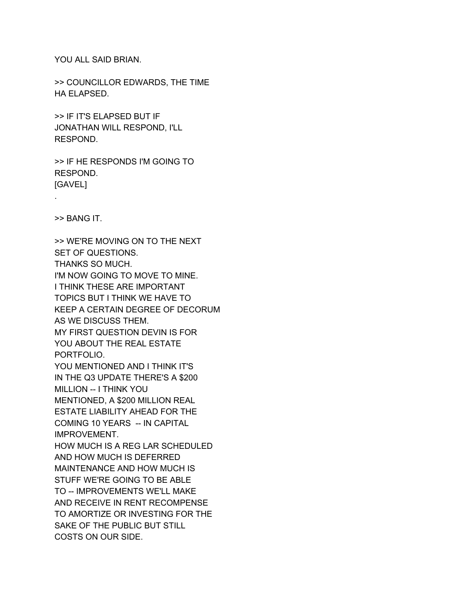YOU ALL SAID BRIAN.

>> COUNCILLOR EDWARDS, THE TIME HA ELAPSED.

>> IF IT'S ELAPSED BUT IF JONATHAN WILL RESPOND, I'LL RESPOND.

>> IF HE RESPONDS I'M GOING TO RESPOND. [GAVEL]

.

>> BANG IT.

>> WE'RE MOVING ON TO THE NEXT SET OF QUESTIONS. THANKS SO MUCH. I'M NOW GOING TO MOVE TO MINE. I THINK THESE ARE IMPORTANT TOPICS BUT I THINK WE HAVE TO KEEP A CERTAIN DEGREE OF DECORUM AS WE DISCUSS THEM. MY FIRST QUESTION DEVIN IS FOR YOU ABOUT THE REAL ESTATE PORTFOLIO. YOU MENTIONED AND I THINK IT'S IN THE Q3 UPDATE THERE'S A \$200 MILLION -- I THINK YOU MENTIONED, A \$200 MILLION REAL ESTATE LIABILITY AHEAD FOR THE COMING 10 YEARS -- IN CAPITAL IMPROVEMENT. HOW MUCH IS A REG LAR SCHEDULED AND HOW MUCH IS DEFERRED MAINTENANCE AND HOW MUCH IS STUFF WE'RE GOING TO BE ABLE TO -- IMPROVEMENTS WE'LL MAKE AND RECEIVE IN RENT RECOMPENSE TO AMORTIZE OR INVESTING FOR THE SAKE OF THE PUBLIC BUT STILL COSTS ON OUR SIDE.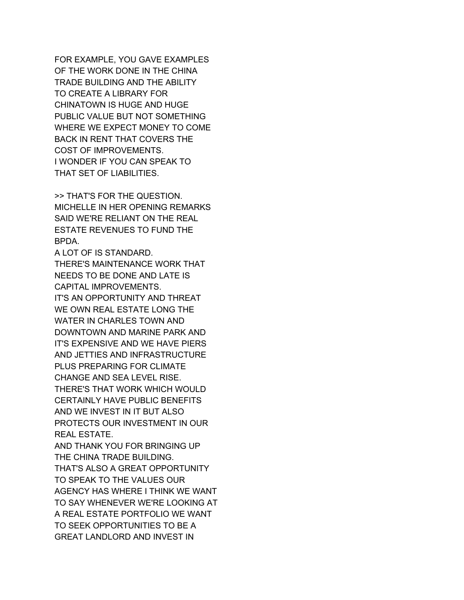FOR EXAMPLE, YOU GAVE EXAMPLES OF THE WORK DONE IN THE CHINA TRADE BUILDING AND THE ABILITY TO CREATE A LIBRARY FOR CHINATOWN IS HUGE AND HUGE PUBLIC VALUE BUT NOT SOMETHING WHERE WE EXPECT MONEY TO COME BACK IN RENT THAT COVERS THE COST OF IMPROVEMENTS. I WONDER IF YOU CAN SPEAK TO THAT SET OF LIABILITIES.

>> THAT'S FOR THE QUESTION. MICHELLE IN HER OPENING REMARKS SAID WE'RE RELIANT ON THE REAL ESTATE REVENUES TO FUND THE BPDA.

A LOT OF IS STANDARD. THERE'S MAINTENANCE WORK THAT NEEDS TO BE DONE AND LATE IS CAPITAL IMPROVEMENTS. IT'S AN OPPORTUNITY AND THREAT WE OWN REAL ESTATE LONG THE WATER IN CHARLES TOWN AND DOWNTOWN AND MARINE PARK AND IT'S EXPENSIVE AND WE HAVE PIERS AND JETTIES AND INFRASTRUCTURE PLUS PREPARING FOR CLIMATE CHANGE AND SEA LEVEL RISE. THERE'S THAT WORK WHICH WOULD CERTAINLY HAVE PUBLIC BENEFITS AND WE INVEST IN IT BUT ALSO PROTECTS OUR INVESTMENT IN OUR REAL ESTATE. AND THANK YOU FOR BRINGING UP THE CHINA TRADE BUILDING. THAT'S ALSO A GREAT OPPORTUNITY TO SPEAK TO THE VALUES OUR

AGENCY HAS WHERE I THINK WE WANT TO SAY WHENEVER WE'RE LOOKING AT A REAL ESTATE PORTFOLIO WE WANT TO SEEK OPPORTUNITIES TO BE A GREAT LANDLORD AND INVEST IN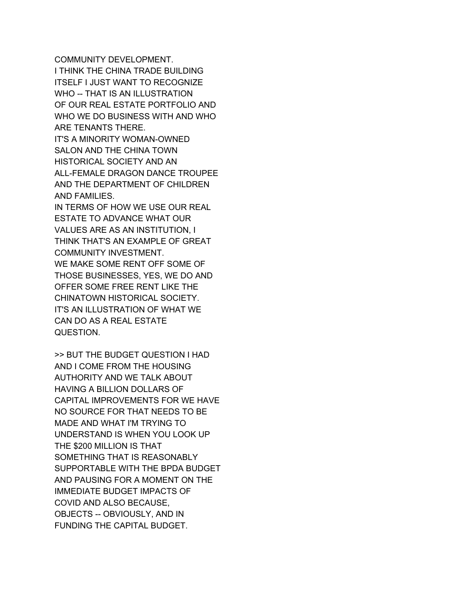COMMUNITY DEVELOPMENT. I THINK THE CHINA TRADE BUILDING ITSELF I JUST WANT TO RECOGNIZE WHO -- THAT IS AN ILLUSTRATION OF OUR REAL ESTATE PORTFOLIO AND WHO WE DO BUSINESS WITH AND WHO ARE TENANTS THERE. IT'S A MINORITY WOMAN-OWNED SALON AND THE CHINA TOWN HISTORICAL SOCIETY AND AN ALL-FEMALE DRAGON DANCE TROUPEE AND THE DEPARTMENT OF CHILDREN AND FAMILIES. IN TERMS OF HOW WE USE OUR REAL ESTATE TO ADVANCE WHAT OUR VALUES ARE AS AN INSTITUTION, I THINK THAT'S AN EXAMPLE OF GREAT COMMUNITY INVESTMENT. WE MAKE SOME RENT OFF SOME OF THOSE BUSINESSES, YES, WE DO AND OFFER SOME FREE RENT LIKE THE CHINATOWN HISTORICAL SOCIETY. IT'S AN ILLUSTRATION OF WHAT WE CAN DO AS A REAL ESTATE QUESTION.

>> BUT THE BUDGET QUESTION I HAD AND I COME FROM THE HOUSING AUTHORITY AND WE TALK ABOUT HAVING A BILLION DOLLARS OF CAPITAL IMPROVEMENTS FOR WE HAVE NO SOURCE FOR THAT NEEDS TO BE MADE AND WHAT I'M TRYING TO UNDERSTAND IS WHEN YOU LOOK UP THE \$200 MILLION IS THAT SOMETHING THAT IS REASONABLY SUPPORTABLE WITH THE BPDA BUDGET AND PAUSING FOR A MOMENT ON THE IMMEDIATE BUDGET IMPACTS OF COVID AND ALSO BECAUSE, OBJECTS -- OBVIOUSLY, AND IN FUNDING THE CAPITAL BUDGET.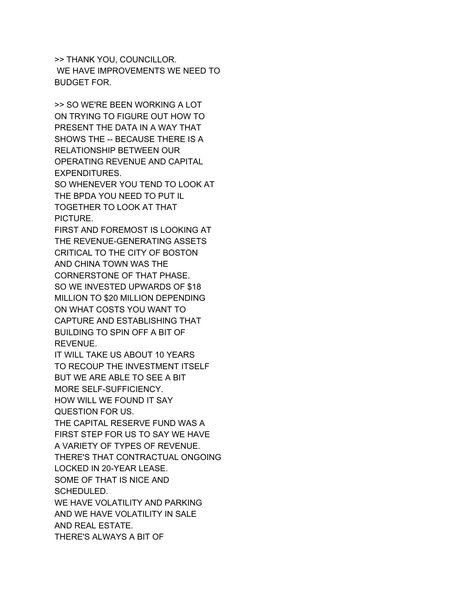>> THANK YOU, COUNCILLOR. WE HAVE IMPROVEMENTS WE NEED TO BUDGET FOR.

>> SO WE'RE BEEN WORKING A LOT ON TRYING TO FIGURE OUT HOW TO PRESENT THE DATA IN A WAY THAT SHOWS THE -- BECAUSE THERE IS A RELATIONSHIP BETWEEN OUR OPERATING REVENUE AND CAPITAL EXPENDITURES.

SO WHENEVER YOU TEND TO LOOK AT THE BPDA YOU NEED TO PUT IL TOGETHER TO LOOK AT THAT PICTURE.

FIRST AND FOREMOST IS LOOKING AT THE REVENUE-GENERATING ASSETS CRITICAL TO THE CITY OF BOSTON AND CHINA TOWN WAS THE CORNERSTONE OF THAT PHASE. SO WE INVESTED UPWARDS OF \$18 MILLION TO \$20 MILLION DEPENDING ON WHAT COSTS YOU WANT TO CAPTURE AND ESTABLISHING THAT BUILDING TO SPIN OFF A BIT OF REVENUE.

IT WILL TAKE US ABOUT 10 YEARS TO RECOUP THE INVESTMENT ITSELF BUT WE ARE ABLE TO SEE A BIT MORE SELF-SUFFICIENCY. HOW WILL WE FOUND IT SAY

QUESTION FOR US. THE CAPITAL RESERVE FUND WAS A

FIRST STEP FOR US TO SAY WE HAVE A VARIETY OF TYPES OF REVENUE. THERE'S THAT CONTRACTUAL ONGOING LOCKED IN 20-YEAR LEASE. SOME OF THAT IS NICE AND

SCHEDULED.

WE HAVE VOLATILITY AND PARKING AND WE HAVE VOLATILITY IN SALE AND REAL ESTATE. THERE'S ALWAYS A BIT OF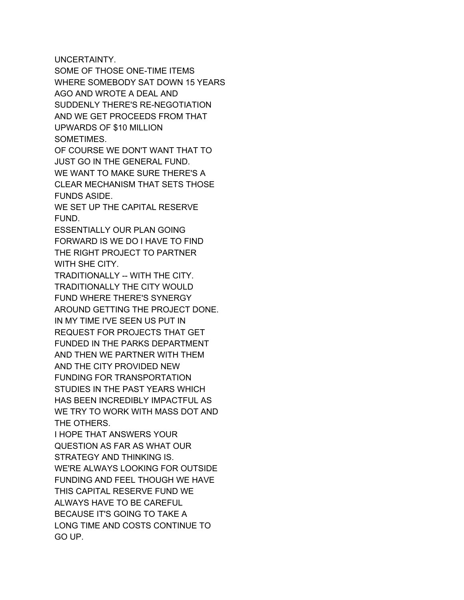UNCERTAINTY.

SOME OF THOSE ONE-TIME ITEMS WHERE SOMEBODY SAT DOWN 15 YEARS AGO AND WROTE A DEAL AND SUDDENLY THERE'S RE-NEGOTIATION AND WE GET PROCEEDS FROM THAT UPWARDS OF \$10 MILLION SOMETIMES.

OF COURSE WE DON'T WANT THAT TO JUST GO IN THE GENERAL FUND. WE WANT TO MAKE SURE THERE'S A CLEAR MECHANISM THAT SETS THOSE FUNDS ASIDE.

WE SET UP THE CAPITAL RESERVE **FUND** 

ESSENTIALLY OUR PLAN GOING FORWARD IS WE DO I HAVE TO FIND THE RIGHT PROJECT TO PARTNER WITH SHE CITY.

TRADITIONALLY -- WITH THE CITY. TRADITIONALLY THE CITY WOULD FUND WHERE THERE'S SYNERGY AROUND GETTING THE PROJECT DONE. IN MY TIME I'VE SEEN US PUT IN REQUEST FOR PROJECTS THAT GET FUNDED IN THE PARKS DEPARTMENT AND THEN WE PARTNER WITH THEM AND THE CITY PROVIDED NEW FUNDING FOR TRANSPORTATION STUDIES IN THE PAST YEARS WHICH HAS BEEN INCREDIBLY IMPACTFUL AS WE TRY TO WORK WITH MASS DOT AND THE OTHERS.

I HOPE THAT ANSWERS YOUR QUESTION AS FAR AS WHAT OUR STRATEGY AND THINKING IS. WE'RE ALWAYS LOOKING FOR OUTSIDE FUNDING AND FEEL THOUGH WE HAVE THIS CAPITAL RESERVE FUND WE ALWAYS HAVE TO BE CAREFUL BECAUSE IT'S GOING TO TAKE A LONG TIME AND COSTS CONTINUE TO GO UP.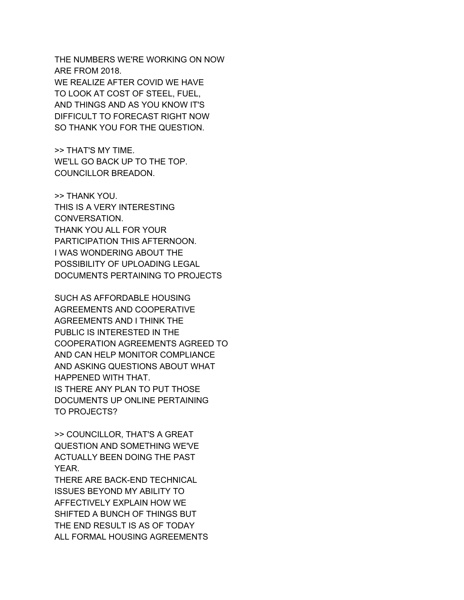THE NUMBERS WE'RE WORKING ON NOW ARE FROM 2018. WE REALIZE AFTER COVID WE HAVE TO LOOK AT COST OF STEEL, FUEL, AND THINGS AND AS YOU KNOW IT'S DIFFICULT TO FORECAST RIGHT NOW SO THANK YOU FOR THE QUESTION.

>> THAT'S MY TIME. WE'LL GO BACK UP TO THE TOP. COUNCILLOR BREADON.

>> THANK YOU. THIS IS A VERY INTERESTING CONVERSATION. THANK YOU ALL FOR YOUR PARTICIPATION THIS AFTERNOON. I WAS WONDERING ABOUT THE POSSIBILITY OF UPLOADING LEGAL DOCUMENTS PERTAINING TO PROJECTS

SUCH AS AFFORDABLE HOUSING AGREEMENTS AND COOPERATIVE AGREEMENTS AND I THINK THE PUBLIC IS INTERESTED IN THE COOPERATION AGREEMENTS AGREED TO AND CAN HELP MONITOR COMPLIANCE AND ASKING QUESTIONS ABOUT WHAT HAPPENED WITH THAT. IS THERE ANY PLAN TO PUT THOSE DOCUMENTS UP ONLINE PERTAINING TO PROJECTS?

>> COUNCILLOR, THAT'S A GREAT QUESTION AND SOMETHING WE'VE ACTUALLY BEEN DOING THE PAST YEAR.

THERE ARE BACK-END TECHNICAL ISSUES BEYOND MY ABILITY TO AFFECTIVELY EXPLAIN HOW WE SHIFTED A BUNCH OF THINGS BUT THE END RESULT IS AS OF TODAY ALL FORMAL HOUSING AGREEMENTS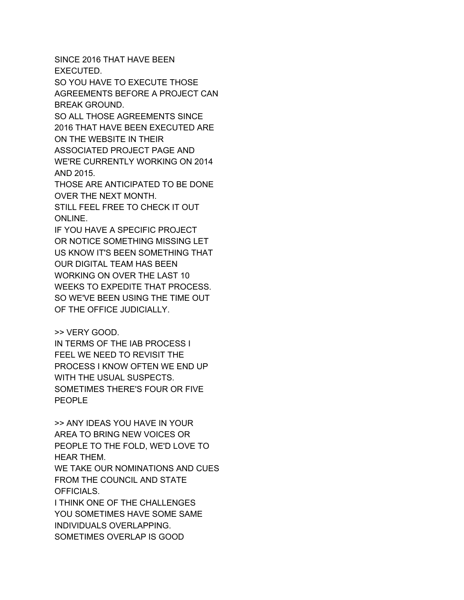SINCE 2016 THAT HAVE BEEN EXECUTED.

SO YOU HAVE TO EXECUTE THOSE AGREEMENTS BEFORE A PROJECT CAN BREAK GROUND.

SO ALL THOSE AGREEMENTS SINCE 2016 THAT HAVE BEEN EXECUTED ARE ON THE WEBSITE IN THEIR ASSOCIATED PROJECT PAGE AND

WE'RE CURRENTLY WORKING ON 2014 AND 2015.

THOSE ARE ANTICIPATED TO BE DONE OVER THE NEXT MONTH.

STILL FEEL FREE TO CHECK IT OUT ONLINE.

IF YOU HAVE A SPECIFIC PROJECT OR NOTICE SOMETHING MISSING LET US KNOW IT'S BEEN SOMETHING THAT OUR DIGITAL TEAM HAS BEEN WORKING ON OVER THE LAST 10 WEEKS TO EXPEDITE THAT PROCESS. SO WE'VE BEEN USING THE TIME OUT OF THE OFFICE JUDICIALLY.

## >> VERY GOOD.

IN TERMS OF THE IAB PROCESS I FEEL WE NEED TO REVISIT THE PROCESS I KNOW OFTEN WE END UP WITH THE USUAL SUSPECTS. SOMETIMES THERE'S FOUR OR FIVE PEOPLE

>> ANY IDEAS YOU HAVE IN YOUR AREA TO BRING NEW VOICES OR PEOPLE TO THE FOLD, WE'D LOVE TO HEAR THEM. WE TAKE OUR NOMINATIONS AND CUES

FROM THE COUNCIL AND STATE OFFICIALS.

I THINK ONE OF THE CHALLENGES YOU SOMETIMES HAVE SOME SAME INDIVIDUALS OVERLAPPING. SOMETIMES OVERLAP IS GOOD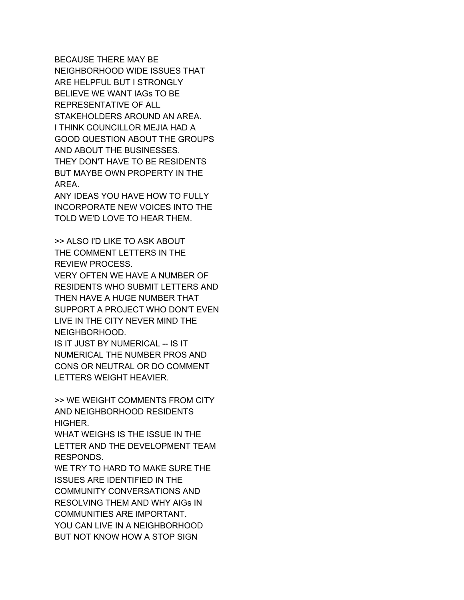BECAUSE THERE MAY BE NEIGHBORHOOD WIDE ISSUES THAT ARE HELPFUL BUT I STRONGLY BELIEVE WE WANT IAGs TO BE REPRESENTATIVE OF ALL STAKEHOLDERS AROUND AN AREA. I THINK COUNCILLOR MEJIA HAD A GOOD QUESTION ABOUT THE GROUPS AND ABOUT THE BUSINESSES. THEY DON'T HAVE TO BE RESIDENTS BUT MAYBE OWN PROPERTY IN THE AREA.

ANY IDEAS YOU HAVE HOW TO FULLY INCORPORATE NEW VOICES INTO THE TOLD WE'D LOVE TO HEAR THEM.

>> ALSO I'D LIKE TO ASK ABOUT THE COMMENT LETTERS IN THE REVIEW PROCESS.

VERY OFTEN WE HAVE A NUMBER OF RESIDENTS WHO SUBMIT LETTERS AND THEN HAVE A HUGE NUMBER THAT SUPPORT A PROJECT WHO DON'T EVEN LIVE IN THE CITY NEVER MIND THE NEIGHBORHOOD.

IS IT JUST BY NUMERICAL -- IS IT NUMERICAL THE NUMBER PROS AND CONS OR NEUTRAL OR DO COMMENT LETTERS WEIGHT HEAVIER.

>> WE WEIGHT COMMENTS FROM CITY AND NEIGHBORHOOD RESIDENTS HIGHER.

WHAT WEIGHS IS THE ISSUE IN THE LETTER AND THE DEVELOPMENT TEAM RESPONDS.

WE TRY TO HARD TO MAKE SURE THE ISSUES ARE IDENTIFIED IN THE COMMUNITY CONVERSATIONS AND RESOLVING THEM AND WHY AIGs IN COMMUNITIES ARE IMPORTANT. YOU CAN LIVE IN A NEIGHBORHOOD BUT NOT KNOW HOW A STOP SIGN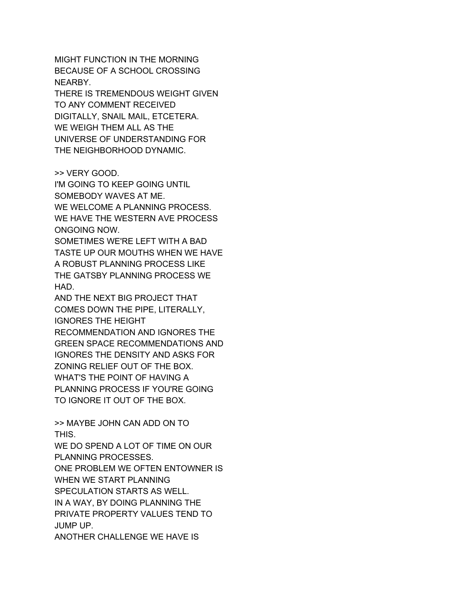MIGHT FUNCTION IN THE MORNING BECAUSE OF A SCHOOL CROSSING NEARBY.

THERE IS TREMENDOUS WEIGHT GIVEN TO ANY COMMENT RECEIVED DIGITALLY, SNAIL MAIL, ETCETERA. WE WEIGH THEM ALL AS THE UNIVERSE OF UNDERSTANDING FOR THE NEIGHBORHOOD DYNAMIC.

>> VERY GOOD.

I'M GOING TO KEEP GOING UNTIL SOMEBODY WAVES AT ME. WE WELCOME A PLANNING PROCESS. WE HAVE THE WESTERN AVE PROCESS ONGOING NOW.

SOMETIMES WE'RE LEFT WITH A BAD TASTE UP OUR MOUTHS WHEN WE HAVE A ROBUST PLANNING PROCESS LIKE THE GATSBY PLANNING PROCESS WE HAD.

AND THE NEXT BIG PROJECT THAT COMES DOWN THE PIPE, LITERALLY, IGNORES THE HEIGHT

RECOMMENDATION AND IGNORES THE GREEN SPACE RECOMMENDATIONS AND IGNORES THE DENSITY AND ASKS FOR ZONING RELIEF OUT OF THE BOX. WHAT'S THE POINT OF HAVING A PLANNING PROCESS IF YOU'RE GOING TO IGNORE IT OUT OF THE BOX.

>> MAYBE JOHN CAN ADD ON TO THIS.

WE DO SPEND A LOT OF TIME ON OUR PLANNING PROCESSES. ONE PROBLEM WE OFTEN ENTOWNER IS WHEN WE START PLANNING SPECULATION STARTS AS WELL. IN A WAY, BY DOING PLANNING THE PRIVATE PROPERTY VALUES TEND TO JUMP UP. ANOTHER CHALLENGE WE HAVE IS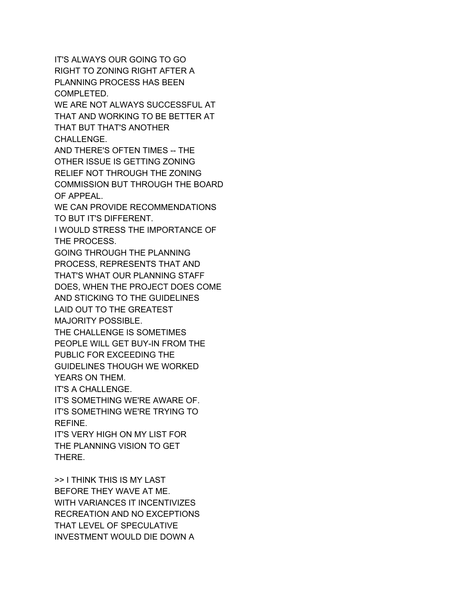IT'S ALWAYS OUR GOING TO GO RIGHT TO ZONING RIGHT AFTER A PLANNING PROCESS HAS BEEN COMPLETED. WE ARE NOT ALWAYS SUCCESSFUL AT THAT AND WORKING TO BE BETTER AT THAT BUT THAT'S ANOTHER CHALLENGE. AND THERE'S OFTEN TIMES -- THE OTHER ISSUE IS GETTING ZONING RELIEF NOT THROUGH THE ZONING COMMISSION BUT THROUGH THE BOARD OF APPEAL. WE CAN PROVIDE RECOMMENDATIONS TO BUT IT'S DIFFERENT. I WOULD STRESS THE IMPORTANCE OF THE PROCESS. GOING THROUGH THE PLANNING PROCESS, REPRESENTS THAT AND THAT'S WHAT OUR PLANNING STAFF DOES, WHEN THE PROJECT DOES COME AND STICKING TO THE GUIDELINES LAID OUT TO THE GREATEST MAJORITY POSSIBLE. THE CHALLENGE IS SOMETIMES PEOPLE WILL GET BUY-IN FROM THE PUBLIC FOR EXCEEDING THE GUIDELINES THOUGH WE WORKED YEARS ON THEM. IT'S A CHALLENGE. IT'S SOMETHING WE'RE AWARE OF. IT'S SOMETHING WE'RE TRYING TO REFINE. IT'S VERY HIGH ON MY LIST FOR THE PLANNING VISION TO GET THERE. >> I THINK THIS IS MY LAST

BEFORE THEY WAVE AT ME. WITH VARIANCES IT INCENTIVIZES RECREATION AND NO EXCEPTIONS THAT LEVEL OF SPECULATIVE INVESTMENT WOULD DIE DOWN A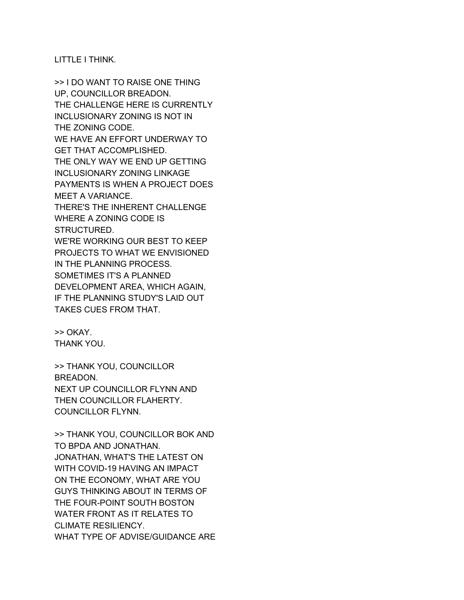LITTLE I THINK.

>> I DO WANT TO RAISE ONE THING UP, COUNCILLOR BREADON. THE CHALLENGE HERE IS CURRENTLY INCLUSIONARY ZONING IS NOT IN THE ZONING CODE. WE HAVE AN EFFORT UNDERWAY TO GET THAT ACCOMPLISHED. THE ONLY WAY WE END UP GETTING INCLUSIONARY ZONING LINKAGE PAYMENTS IS WHEN A PROJECT DOES MEET A VARIANCE. THERE'S THE INHERENT CHALLENGE WHERE A ZONING CODE IS STRUCTURED. WE'RE WORKING OUR BEST TO KEEP PROJECTS TO WHAT WE ENVISIONED IN THE PLANNING PROCESS. SOMETIMES IT'S A PLANNED DEVELOPMENT AREA, WHICH AGAIN, IF THE PLANNING STUDY'S LAID OUT TAKES CUES FROM THAT.

>> OKAY. THANK YOU.

>> THANK YOU, COUNCILLOR BREADON. NEXT UP COUNCILLOR FLYNN AND THEN COUNCILLOR FLAHERTY. COUNCILLOR FLYNN.

>> THANK YOU, COUNCILLOR BOK AND TO BPDA AND JONATHAN. JONATHAN, WHAT'S THE LATEST ON WITH COVID-19 HAVING AN IMPACT ON THE ECONOMY, WHAT ARE YOU GUYS THINKING ABOUT IN TERMS OF THE FOUR-POINT SOUTH BOSTON WATER FRONT AS IT RELATES TO CLIMATE RESILIENCY. WHAT TYPE OF ADVISE/GUIDANCE ARE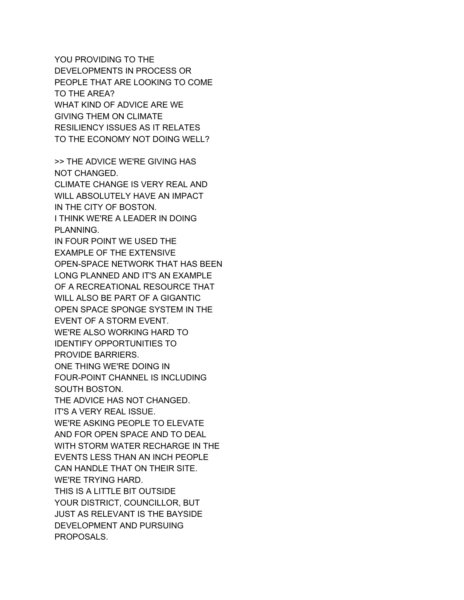YOU PROVIDING TO THE DEVELOPMENTS IN PROCESS OR PEOPLE THAT ARE LOOKING TO COME TO THE AREA? WHAT KIND OF ADVICE ARE WE GIVING THEM ON CLIMATE RESILIENCY ISSUES AS IT RELATES TO THE ECONOMY NOT DOING WELL?

>> THE ADVICE WE'RE GIVING HAS NOT CHANGED. CLIMATE CHANGE IS VERY REAL AND WILL ABSOLUTELY HAVE AN IMPACT IN THE CITY OF BOSTON. I THINK WE'RE A LEADER IN DOING PLANNING. IN FOUR POINT WE USED THE EXAMPLE OF THE EXTENSIVE OPEN-SPACE NETWORK THAT HAS BEEN LONG PLANNED AND IT'S AN EXAMPLE OF A RECREATIONAL RESOURCE THAT WILL ALSO BE PART OF A GIGANTIC OPEN SPACE SPONGE SYSTEM IN THE EVENT OF A STORM EVENT. WE'RE ALSO WORKING HARD TO IDENTIFY OPPORTUNITIES TO PROVIDE BARRIERS. ONE THING WE'RE DOING IN FOUR-POINT CHANNEL IS INCLUDING SOUTH BOSTON. THE ADVICE HAS NOT CHANGED. IT'S A VERY REAL ISSUE. WE'RE ASKING PEOPLE TO ELEVATE AND FOR OPEN SPACE AND TO DEAL WITH STORM WATER RECHARGE IN THE EVENTS LESS THAN AN INCH PEOPLE CAN HANDLE THAT ON THEIR SITE. WE'RE TRYING HARD. THIS IS A LITTLE BIT OUTSIDE YOUR DISTRICT, COUNCILLOR, BUT JUST AS RELEVANT IS THE BAYSIDE DEVELOPMENT AND PURSUING PROPOSALS.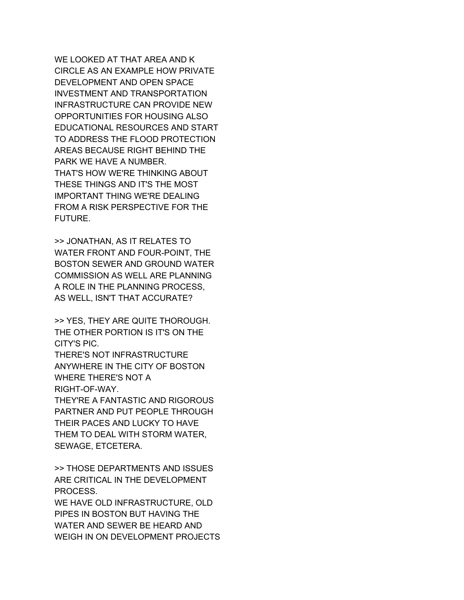WE LOOKED AT THAT AREA AND K CIRCLE AS AN EXAMPLE HOW PRIVATE DEVELOPMENT AND OPEN SPACE INVESTMENT AND TRANSPORTATION INFRASTRUCTURE CAN PROVIDE NEW OPPORTUNITIES FOR HOUSING ALSO EDUCATIONAL RESOURCES AND START TO ADDRESS THE FLOOD PROTECTION AREAS BECAUSE RIGHT BEHIND THE PARK WE HAVE A NUMBER. THAT'S HOW WE'RE THINKING ABOUT THESE THINGS AND IT'S THE MOST IMPORTANT THING WE'RE DEALING FROM A RISK PERSPECTIVE FOR THE FUTURE.

>> JONATHAN, AS IT RELATES TO WATER FRONT AND FOUR-POINT, THE BOSTON SEWER AND GROUND WATER COMMISSION AS WELL ARE PLANNING A ROLE IN THE PLANNING PROCESS, AS WELL, ISN'T THAT ACCURATE?

>> YES, THEY ARE QUITE THOROUGH. THE OTHER PORTION IS IT'S ON THE CITY'S PIC.

THERE'S NOT INFRASTRUCTURE ANYWHERE IN THE CITY OF BOSTON WHERE THERE'S NOT A RIGHT-OF-WAY.

THEY'RE A FANTASTIC AND RIGOROUS PARTNER AND PUT PEOPLE THROUGH THEIR PACES AND LUCKY TO HAVE THEM TO DEAL WITH STORM WATER, SEWAGE, ETCETERA.

>> THOSE DEPARTMENTS AND ISSUES ARE CRITICAL IN THE DEVELOPMENT PROCESS.

WE HAVE OLD INFRASTRUCTURE, OLD PIPES IN BOSTON BUT HAVING THE WATER AND SEWER BE HEARD AND WEIGH IN ON DEVELOPMENT PROJECTS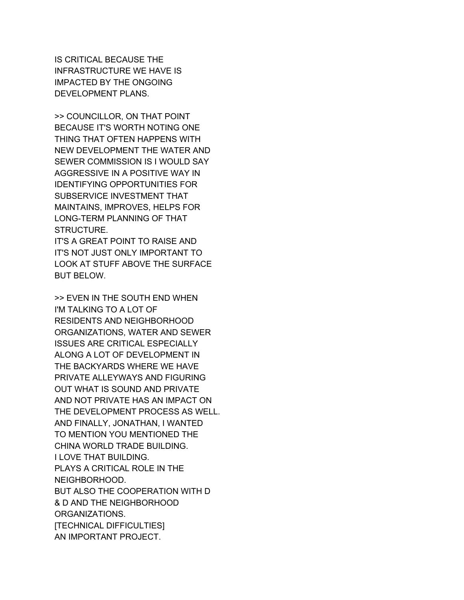IS CRITICAL BECAUSE THE INFRASTRUCTURE WE HAVE IS IMPACTED BY THE ONGOING DEVELOPMENT PLANS.

>> COUNCILLOR, ON THAT POINT BECAUSE IT'S WORTH NOTING ONE THING THAT OFTEN HAPPENS WITH NEW DEVELOPMENT THE WATER AND SEWER COMMISSION IS I WOULD SAY AGGRESSIVE IN A POSITIVE WAY IN IDENTIFYING OPPORTUNITIES FOR SUBSERVICE INVESTMENT THAT MAINTAINS, IMPROVES, HELPS FOR LONG-TERM PLANNING OF THAT STRUCTURE.

IT'S A GREAT POINT TO RAISE AND IT'S NOT JUST ONLY IMPORTANT TO LOOK AT STUFF ABOVE THE SURFACE BUT BELOW.

>> EVEN IN THE SOUTH END WHEN I'M TALKING TO A LOT OF RESIDENTS AND NEIGHBORHOOD ORGANIZATIONS, WATER AND SEWER ISSUES ARE CRITICAL ESPECIALLY ALONG A LOT OF DEVELOPMENT IN THE BACKYARDS WHERE WE HAVE PRIVATE ALLEYWAYS AND FIGURING OUT WHAT IS SOUND AND PRIVATE AND NOT PRIVATE HAS AN IMPACT ON THE DEVELOPMENT PROCESS AS WELL. AND FINALLY, JONATHAN, I WANTED TO MENTION YOU MENTIONED THE CHINA WORLD TRADE BUILDING. I LOVE THAT BUILDING. PLAYS A CRITICAL ROLE IN THE NEIGHBORHOOD. BUT ALSO THE COOPERATION WITH D & D AND THE NEIGHBORHOOD ORGANIZATIONS. [TECHNICAL DIFFICULTIES] AN IMPORTANT PROJECT.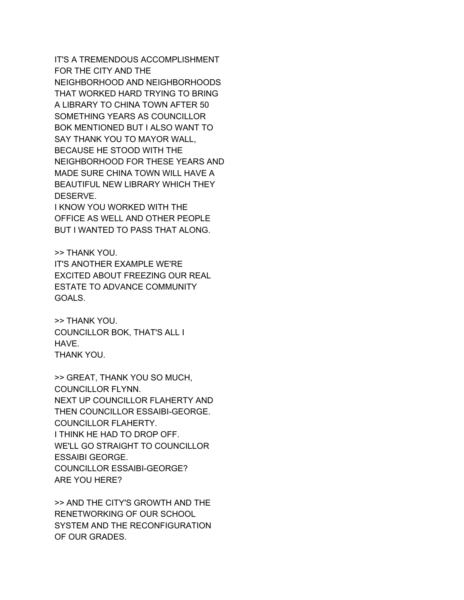IT'S A TREMENDOUS ACCOMPLISHMENT FOR THE CITY AND THE NEIGHBORHOOD AND NEIGHBORHOODS THAT WORKED HARD TRYING TO BRING A LIBRARY TO CHINA TOWN AFTER 50 SOMETHING YEARS AS COUNCILLOR BOK MENTIONED BUT I ALSO WANT TO SAY THANK YOU TO MAYOR WALL, BECAUSE HE STOOD WITH THE NEIGHBORHOOD FOR THESE YEARS AND MADE SURE CHINA TOWN WILL HAVE A BEAUTIFUL NEW LIBRARY WHICH THEY DESERVE.

I KNOW YOU WORKED WITH THE OFFICE AS WELL AND OTHER PEOPLE BUT I WANTED TO PASS THAT ALONG.

>> THANK YOU. IT'S ANOTHER EXAMPLE WE'RE EXCITED ABOUT FREEZING OUR REAL ESTATE TO ADVANCE COMMUNITY GOALS.

>> THANK YOU. COUNCILLOR BOK, THAT'S ALL I HAVE. THANK YOU.

>> GREAT, THANK YOU SO MUCH, COUNCILLOR FLYNN. NEXT UP COUNCILLOR FLAHERTY AND THEN COUNCILLOR ESSAIBI-GEORGE. COUNCILLOR FLAHERTY. I THINK HE HAD TO DROP OFF. WE'LL GO STRAIGHT TO COUNCILLOR ESSAIBI GEORGE. COUNCILLOR ESSAIBI-GEORGE? ARE YOU HERE?

>> AND THE CITY'S GROWTH AND THE RENETWORKING OF OUR SCHOOL SYSTEM AND THE RECONFIGURATION OF OUR GRADES.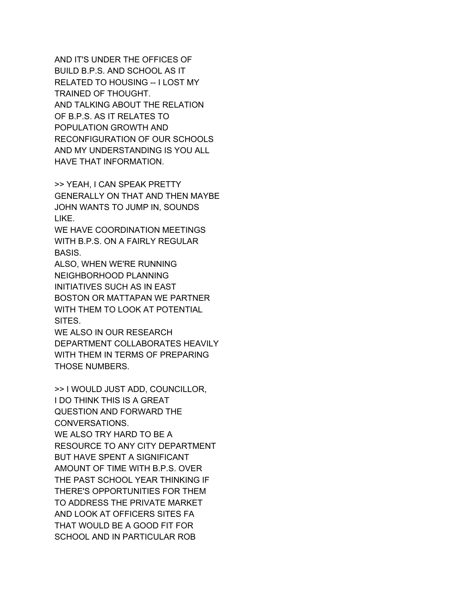AND IT'S UNDER THE OFFICES OF BUILD B.P.S. AND SCHOOL AS IT RELATED TO HOUSING -- I LOST MY TRAINED OF THOUGHT. AND TALKING ABOUT THE RELATION OF B.P.S. AS IT RELATES TO POPULATION GROWTH AND RECONFIGURATION OF OUR SCHOOLS AND MY UNDERSTANDING IS YOU ALL HAVE THAT INFORMATION.

>> YEAH, I CAN SPEAK PRETTY GENERALLY ON THAT AND THEN MAYBE JOHN WANTS TO JUMP IN, SOUNDS LIKE.

WE HAVE COORDINATION MEETINGS WITH B.P.S. ON A FAIRLY REGULAR BASIS.

ALSO, WHEN WE'RE RUNNING NEIGHBORHOOD PLANNING INITIATIVES SUCH AS IN EAST BOSTON OR MATTAPAN WE PARTNER WITH THEM TO LOOK AT POTENTIAL SITES.

WE ALSO IN OUR RESEARCH DEPARTMENT COLLABORATES HEAVILY WITH THEM IN TERMS OF PREPARING THOSE NUMBERS.

>> I WOULD JUST ADD, COUNCILLOR, I DO THINK THIS IS A GREAT QUESTION AND FORWARD THE CONVERSATIONS. WE ALSO TRY HARD TO BE A RESOURCE TO ANY CITY DEPARTMENT BUT HAVE SPENT A SIGNIFICANT AMOUNT OF TIME WITH B.P.S. OVER THE PAST SCHOOL YEAR THINKING IF THERE'S OPPORTUNITIES FOR THEM TO ADDRESS THE PRIVATE MARKET AND LOOK AT OFFICERS SITES FA THAT WOULD BE A GOOD FIT FOR SCHOOL AND IN PARTICULAR ROB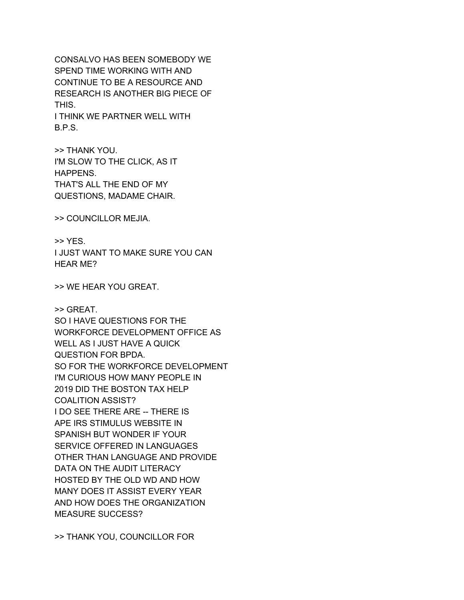CONSALVO HAS BEEN SOMEBODY WE SPEND TIME WORKING WITH AND CONTINUE TO BE A RESOURCE AND RESEARCH IS ANOTHER BIG PIECE OF THIS. I THINK WE PARTNER WELL WITH

B.P.S.

>> THANK YOU. I'M SLOW TO THE CLICK, AS IT HAPPENS. THAT'S ALL THE END OF MY QUESTIONS, MADAME CHAIR.

>> COUNCILLOR MEJIA.

>> YES. I JUST WANT TO MAKE SURE YOU CAN HEAR ME?

>> WE HEAR YOU GREAT.

>> GREAT. SO I HAVE QUESTIONS FOR THE WORKFORCE DEVELOPMENT OFFICE AS WELL AS I JUST HAVE A QUICK QUESTION FOR BPDA. SO FOR THE WORKFORCE DEVELOPMENT I'M CURIOUS HOW MANY PEOPLE IN 2019 DID THE BOSTON TAX HELP COALITION ASSIST? I DO SEE THERE ARE -- THERE IS APE IRS STIMULUS WEBSITE IN SPANISH BUT WONDER IF YOUR SERVICE OFFERED IN LANGUAGES OTHER THAN LANGUAGE AND PROVIDE DATA ON THE AUDIT LITERACY HOSTED BY THE OLD WD AND HOW MANY DOES IT ASSIST EVERY YEAR AND HOW DOES THE ORGANIZATION MEASURE SUCCESS?

>> THANK YOU, COUNCILLOR FOR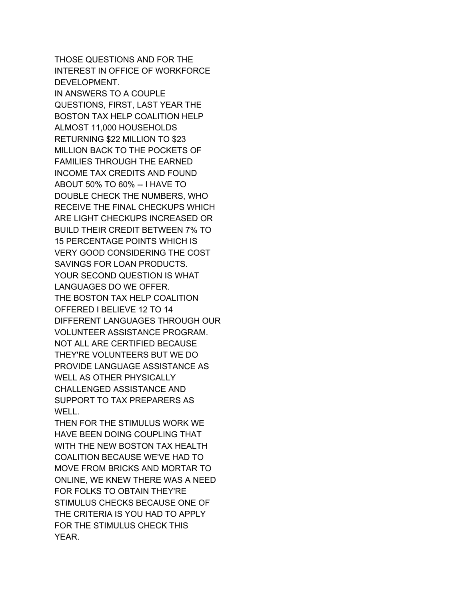THOSE QUESTIONS AND FOR THE INTEREST IN OFFICE OF WORKFORCE DEVELOPMENT. IN ANSWERS TO A COUPLE QUESTIONS, FIRST, LAST YEAR THE BOSTON TAX HELP COALITION HELP ALMOST 11,000 HOUSEHOLDS RETURNING \$22 MILLION TO \$23 MILLION BACK TO THE POCKETS OF FAMILIES THROUGH THE EARNED INCOME TAX CREDITS AND FOUND ABOUT 50% TO 60% -- I HAVE TO DOUBLE CHECK THE NUMBERS, WHO RECEIVE THE FINAL CHECKUPS WHICH ARE LIGHT CHECKUPS INCREASED OR BUILD THEIR CREDIT BETWEEN 7% TO 15 PERCENTAGE POINTS WHICH IS VERY GOOD CONSIDERING THE COST SAVINGS FOR LOAN PRODUCTS. YOUR SECOND QUESTION IS WHAT LANGUAGES DO WE OFFER. THE BOSTON TAX HELP COALITION OFFERED I BELIEVE 12 TO 14 DIFFERENT LANGUAGES THROUGH OUR VOLUNTEER ASSISTANCE PROGRAM. NOT ALL ARE CERTIFIED BECAUSE THEY'RE VOLUNTEERS BUT WE DO PROVIDE LANGUAGE ASSISTANCE AS WELL AS OTHER PHYSICALLY CHALLENGED ASSISTANCE AND SUPPORT TO TAX PREPARERS AS WELL.

THEN FOR THE STIMULUS WORK WE HAVE BEEN DOING COUPLING THAT WITH THE NEW BOSTON TAX HEALTH COALITION BECAUSE WE'VE HAD TO MOVE FROM BRICKS AND MORTAR TO ONLINE, WE KNEW THERE WAS A NEED FOR FOLKS TO OBTAIN THEY'RE STIMULUS CHECKS BECAUSE ONE OF THE CRITERIA IS YOU HAD TO APPLY FOR THE STIMULUS CHECK THIS YEAR.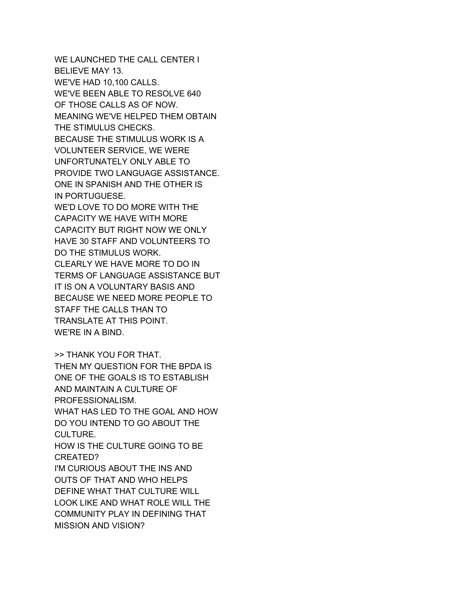WE LAUNCHED THE CALL CENTER I BELIEVE MAY 13. WE'VE HAD 10,100 CALLS. WE'VE BEEN ABLE TO RESOLVE 640 OF THOSE CALLS AS OF NOW. MEANING WE'VE HELPED THEM OBTAIN THE STIMULUS CHECKS. BECAUSE THE STIMULUS WORK IS A VOLUNTEER SERVICE, WE WERE UNFORTUNATELY ONLY ABLE TO PROVIDE TWO LANGUAGE ASSISTANCE. ONE IN SPANISH AND THE OTHER IS IN PORTUGUESE. WE'D LOVE TO DO MORE WITH THE CAPACITY WE HAVE WITH MORE CAPACITY BUT RIGHT NOW WE ONLY HAVE 30 STAFF AND VOLUNTEERS TO DO THE STIMULUS WORK. CLEARLY WE HAVE MORE TO DO IN TERMS OF LANGUAGE ASSISTANCE BUT IT IS ON A VOLUNTARY BASIS AND BECAUSE WE NEED MORE PEOPLE TO STAFF THE CALLS THAN TO TRANSLATE AT THIS POINT. WE'RE IN A BIND.

>> THANK YOU FOR THAT. THEN MY QUESTION FOR THE BPDA IS ONE OF THE GOALS IS TO ESTABLISH AND MAINTAIN A CULTURE OF PROFESSIONALISM. WHAT HAS LED TO THE GOAL AND HOW DO YOU INTEND TO GO ABOUT THE CULTURE. HOW IS THE CULTURE GOING TO BE CREATED? I'M CURIOUS ABOUT THE INS AND OUTS OF THAT AND WHO HELPS DEFINE WHAT THAT CULTURE WILL LOOK LIKE AND WHAT ROLE WILL THE COMMUNITY PLAY IN DEFINING THAT MISSION AND VISION?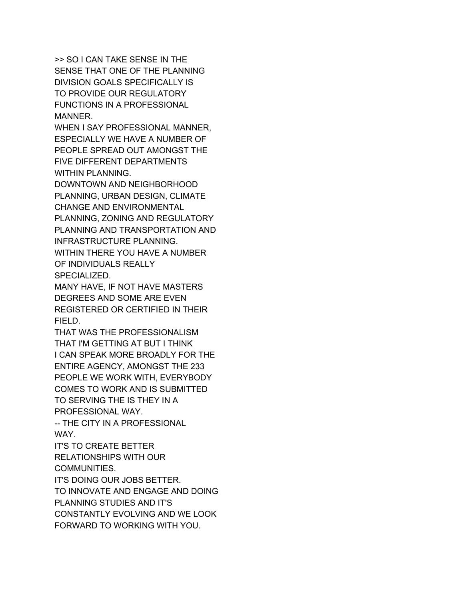>> SO I CAN TAKE SENSE IN THE SENSE THAT ONE OF THE PLANNING DIVISION GOALS SPECIFICALLY IS TO PROVIDE OUR REGULATORY FUNCTIONS IN A PROFESSIONAL MANNER.

WHEN I SAY PROFESSIONAL MANNER, ESPECIALLY WE HAVE A NUMBER OF PEOPLE SPREAD OUT AMONGST THE FIVE DIFFERENT DEPARTMENTS WITHIN PLANNING.

DOWNTOWN AND NEIGHBORHOOD PLANNING, URBAN DESIGN, CLIMATE CHANGE AND ENVIRONMENTAL PLANNING, ZONING AND REGULATORY

PLANNING AND TRANSPORTATION AND INFRASTRUCTURE PLANNING. WITHIN THERE YOU HAVE A NUMBER OF INDIVIDUALS REALLY

SPECIALIZED.

MANY HAVE, IF NOT HAVE MASTERS DEGREES AND SOME ARE EVEN REGISTERED OR CERTIFIED IN THEIR FIELD.

THAT WAS THE PROFESSIONALISM THAT I'M GETTING AT BUT I THINK I CAN SPEAK MORE BROADLY FOR THE ENTIRE AGENCY, AMONGST THE 233 PEOPLE WE WORK WITH, EVERYBODY COMES TO WORK AND IS SUBMITTED TO SERVING THE IS THEY IN A PROFESSIONAL WAY.

-- THE CITY IN A PROFESSIONAL WAY.

IT'S TO CREATE BETTER RELATIONSHIPS WITH OUR COMMUNITIES.

IT'S DOING OUR JOBS BETTER. TO INNOVATE AND ENGAGE AND DOING PLANNING STUDIES AND IT'S CONSTANTLY EVOLVING AND WE LOOK FORWARD TO WORKING WITH YOU.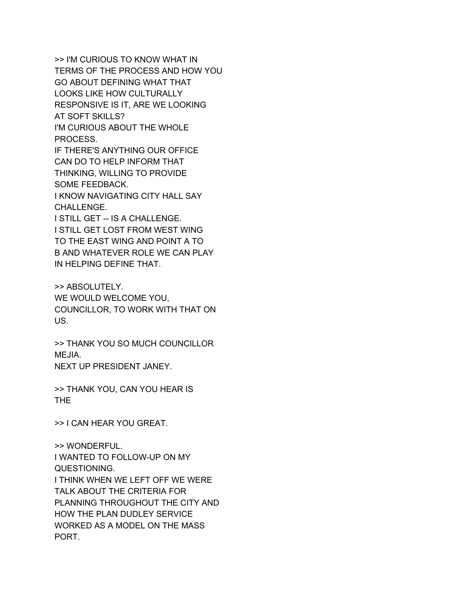>> I'M CURIOUS TO KNOW WHAT IN TERMS OF THE PROCESS AND HOW YOU GO ABOUT DEFINING WHAT THAT LOOKS LIKE HOW CULTURALLY RESPONSIVE IS IT, ARE WE LOOKING AT SOFT SKILLS? I'M CURIOUS ABOUT THE WHOLE PROCESS. IF THERE'S ANYTHING OUR OFFICE CAN DO TO HELP INFORM THAT THINKING, WILLING TO PROVIDE SOME FEEDBACK. I KNOW NAVIGATING CITY HALL SAY CHALLENGE. I STILL GET -- IS A CHALLENGE. I STILL GET LOST FROM WEST WING TO THE EAST WING AND POINT A TO B AND WHATEVER ROLE WE CAN PLAY IN HELPING DEFINE THAT.

>> ABSOLUTELY. WE WOULD WELCOME YOU, COUNCILLOR, TO WORK WITH THAT ON US.

>> THANK YOU SO MUCH COUNCILLOR MEJIA. NEXT UP PRESIDENT JANEY.

>> THANK YOU, CAN YOU HEAR IS THE

>> I CAN HEAR YOU GREAT.

>> WONDERFUL. I WANTED TO FOLLOW-UP ON MY QUESTIONING. I THINK WHEN WE LEFT OFF WE WERE TALK ABOUT THE CRITERIA FOR PLANNING THROUGHOUT THE CITY AND HOW THE PLAN DUDLEY SERVICE WORKED AS A MODEL ON THE MASS PORT.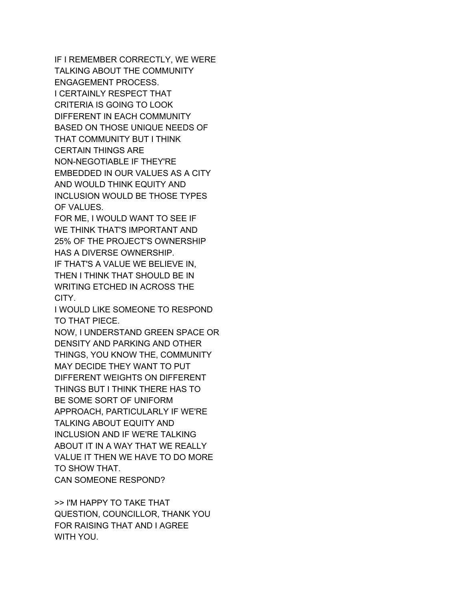IF I REMEMBER CORRECTLY, WE WERE TALKING ABOUT THE COMMUNITY ENGAGEMENT PROCESS. I CERTAINLY RESPECT THAT CRITERIA IS GOING TO LOOK DIFFERENT IN EACH COMMUNITY BASED ON THOSE UNIQUE NEEDS OF THAT COMMUNITY BUT I THINK CERTAIN THINGS ARE NON-NEGOTIABLE IF THEY'RE EMBEDDED IN OUR VALUES AS A CITY AND WOULD THINK EQUITY AND INCLUSION WOULD BE THOSE TYPES OF VALUES.

FOR ME, I WOULD WANT TO SEE IF WE THINK THAT'S IMPORTANT AND 25% OF THE PROJECT'S OWNERSHIP HAS A DIVERSE OWNERSHIP.

IF THAT'S A VALUE WE BELIEVE IN, THEN I THINK THAT SHOULD BE IN WRITING ETCHED IN ACROSS THE CITY.

I WOULD LIKE SOMEONE TO RESPOND TO THAT PIECE.

NOW, I UNDERSTAND GREEN SPACE OR DENSITY AND PARKING AND OTHER THINGS, YOU KNOW THE, COMMUNITY MAY DECIDE THEY WANT TO PUT DIFFERENT WEIGHTS ON DIFFERENT THINGS BUT I THINK THERE HAS TO BE SOME SORT OF UNIFORM APPROACH, PARTICULARLY IF WE'RE TALKING ABOUT EQUITY AND INCLUSION AND IF WE'RE TALKING ABOUT IT IN A WAY THAT WE REALLY VALUE IT THEN WE HAVE TO DO MORE TO SHOW THAT. CAN SOMEONE RESPOND?

>> I'M HAPPY TO TAKE THAT QUESTION, COUNCILLOR, THANK YOU FOR RAISING THAT AND I AGREE WITH YOU.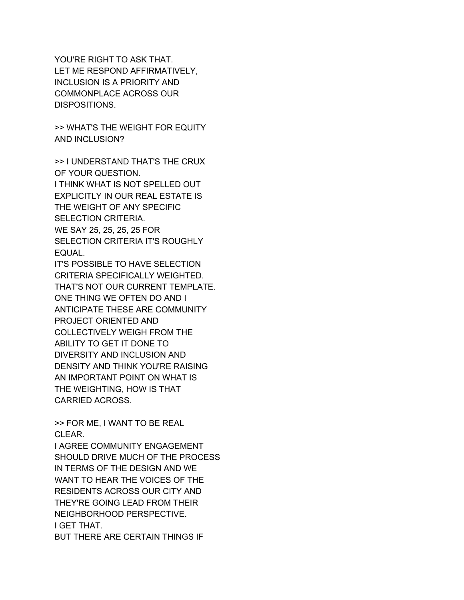YOU'RE RIGHT TO ASK THAT. LET ME RESPOND AFFIRMATIVELY, INCLUSION IS A PRIORITY AND COMMONPLACE ACROSS OUR DISPOSITIONS.

>> WHAT'S THE WEIGHT FOR EQUITY AND INCLUSION?

>> I UNDERSTAND THAT'S THE CRUX OF YOUR QUESTION. I THINK WHAT IS NOT SPELLED OUT EXPLICITLY IN OUR REAL ESTATE IS THE WEIGHT OF ANY SPECIFIC SELECTION CRITERIA. WE SAY 25, 25, 25, 25 FOR SELECTION CRITERIA IT'S ROUGHLY EQUAL.

IT'S POSSIBLE TO HAVE SELECTION CRITERIA SPECIFICALLY WEIGHTED. THAT'S NOT OUR CURRENT TEMPLATE. ONE THING WE OFTEN DO AND I ANTICIPATE THESE ARE COMMUNITY PROJECT ORIENTED AND COLLECTIVELY WEIGH FROM THE ABILITY TO GET IT DONE TO DIVERSITY AND INCLUSION AND DENSITY AND THINK YOU'RE RAISING AN IMPORTANT POINT ON WHAT IS THE WEIGHTING, HOW IS THAT CARRIED ACROSS.

>> FOR ME, I WANT TO BE REAL CLEAR.

I AGREE COMMUNITY ENGAGEMENT SHOULD DRIVE MUCH OF THE PROCESS IN TERMS OF THE DESIGN AND WE WANT TO HEAR THE VOICES OF THE RESIDENTS ACROSS OUR CITY AND THEY'RE GOING LEAD FROM THEIR NEIGHBORHOOD PERSPECTIVE. I GET THAT. BUT THERE ARE CERTAIN THINGS IF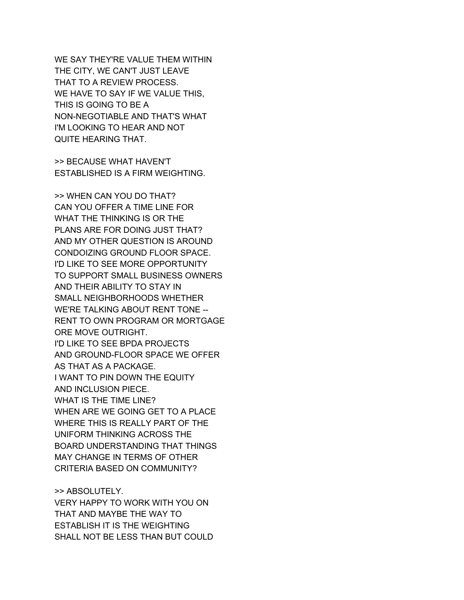WE SAY THEY'RE VALUE THEM WITHIN THE CITY, WE CAN'T JUST LEAVE THAT TO A REVIEW PROCESS. WE HAVE TO SAY IF WE VALUE THIS. THIS IS GOING TO BE A NON-NEGOTIABLE AND THAT'S WHAT I'M LOOKING TO HEAR AND NOT QUITE HEARING THAT.

>> BECAUSE WHAT HAVEN'T ESTABLISHED IS A FIRM WEIGHTING.

>> WHEN CAN YOU DO THAT? CAN YOU OFFER A TIME LINE FOR WHAT THE THINKING IS OR THE PLANS ARE FOR DOING JUST THAT? AND MY OTHER QUESTION IS AROUND CONDOIZING GROUND FLOOR SPACE. I'D LIKE TO SEE MORE OPPORTUNITY TO SUPPORT SMALL BUSINESS OWNERS AND THEIR ABILITY TO STAY IN SMALL NEIGHBORHOODS WHETHER WE'RE TALKING ABOUT RENT TONE -- RENT TO OWN PROGRAM OR MORTGAGE ORE MOVE OUTRIGHT. I'D LIKE TO SEE BPDA PROJECTS AND GROUND-FLOOR SPACE WE OFFER AS THAT AS A PACKAGE. I WANT TO PIN DOWN THE EQUITY AND INCLUSION PIECE. WHAT IS THE TIME LINE? WHEN ARE WE GOING GET TO A PLACE WHERE THIS IS REALLY PART OF THE UNIFORM THINKING ACROSS THE BOARD UNDERSTANDING THAT THINGS MAY CHANGE IN TERMS OF OTHER CRITERIA BASED ON COMMUNITY?

>> ABSOLUTELY.

VERY HAPPY TO WORK WITH YOU ON THAT AND MAYBE THE WAY TO ESTABLISH IT IS THE WEIGHTING SHALL NOT BE LESS THAN BUT COULD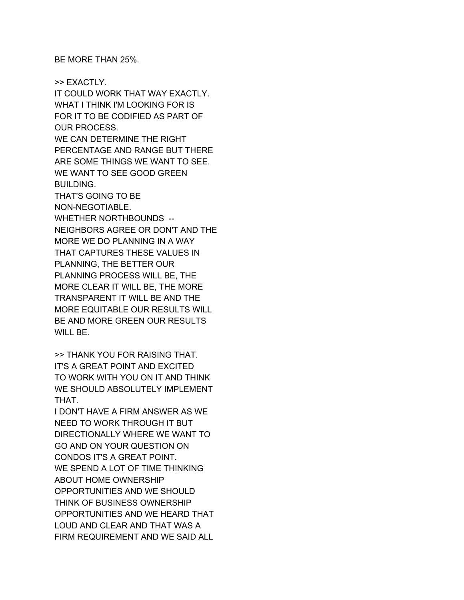BE MORE THAN 25%.

>> EXACTLY. IT COULD WORK THAT WAY EXACTLY. WHAT I THINK I'M LOOKING FOR IS FOR IT TO BE CODIFIED AS PART OF OUR PROCESS. WE CAN DETERMINE THE RIGHT PERCENTAGE AND RANGE BUT THERE ARE SOME THINGS WE WANT TO SEE. WE WANT TO SEE GOOD GREEN BUILDING. THAT'S GOING TO BE NON-NEGOTIABLE. WHETHER NORTHBOUNDS -- NEIGHBORS AGREE OR DON'T AND THE MORE WE DO PLANNING IN A WAY THAT CAPTURES THESE VALUES IN PLANNING, THE BETTER OUR PLANNING PROCESS WILL BE, THE MORE CLEAR IT WILL BE, THE MORE TRANSPARENT IT WILL BE AND THE MORE EQUITABLE OUR RESULTS WILL BE AND MORE GREEN OUR RESULTS WILL BE.

>> THANK YOU FOR RAISING THAT. IT'S A GREAT POINT AND EXCITED TO WORK WITH YOU ON IT AND THINK WE SHOULD ABSOLUTELY IMPLEMENT THAT.

I DON'T HAVE A FIRM ANSWER AS WE NEED TO WORK THROUGH IT BUT DIRECTIONALLY WHERE WE WANT TO GO AND ON YOUR QUESTION ON CONDOS IT'S A GREAT POINT. WE SPEND A LOT OF TIME THINKING ABOUT HOME OWNERSHIP OPPORTUNITIES AND WE SHOULD THINK OF BUSINESS OWNERSHIP OPPORTUNITIES AND WE HEARD THAT LOUD AND CLEAR AND THAT WAS A FIRM REQUIREMENT AND WE SAID ALL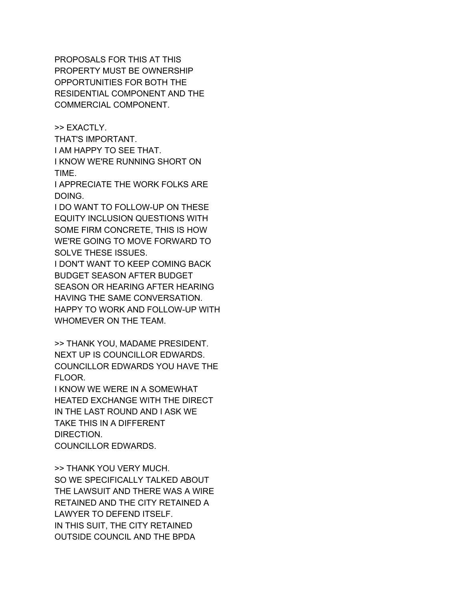PROPOSALS FOR THIS AT THIS PROPERTY MUST BE OWNERSHIP OPPORTUNITIES FOR BOTH THE RESIDENTIAL COMPONENT AND THE COMMERCIAL COMPONENT.

>> EXACTLY.

THAT'S IMPORTANT.

I AM HAPPY TO SEE THAT.

I KNOW WE'RE RUNNING SHORT ON TIME.

I APPRECIATE THE WORK FOLKS ARE DOING.

I DO WANT TO FOLLOW-UP ON THESE EQUITY INCLUSION QUESTIONS WITH SOME FIRM CONCRETE, THIS IS HOW WE'RE GOING TO MOVE FORWARD TO SOLVE THESE ISSUES.

I DON'T WANT TO KEEP COMING BACK BUDGET SEASON AFTER BUDGET SEASON OR HEARING AFTER HEARING HAVING THE SAME CONVERSATION. HAPPY TO WORK AND FOLLOW-UP WITH WHOMEVER ON THE TEAM.

>> THANK YOU, MADAME PRESIDENT. NEXT UP IS COUNCILLOR EDWARDS. COUNCILLOR EDWARDS YOU HAVE THE FLOOR.

I KNOW WE WERE IN A SOMEWHAT HEATED EXCHANGE WITH THE DIRECT IN THE LAST ROUND AND I ASK WE TAKE THIS IN A DIFFERENT DIRECTION. COUNCILLOR EDWARDS.

>> THANK YOU VERY MUCH. SO WE SPECIFICALLY TALKED ABOUT THE LAWSUIT AND THERE WAS A WIRE RETAINED AND THE CITY RETAINED A LAWYER TO DEFEND ITSELF. IN THIS SUIT, THE CITY RETAINED OUTSIDE COUNCIL AND THE BPDA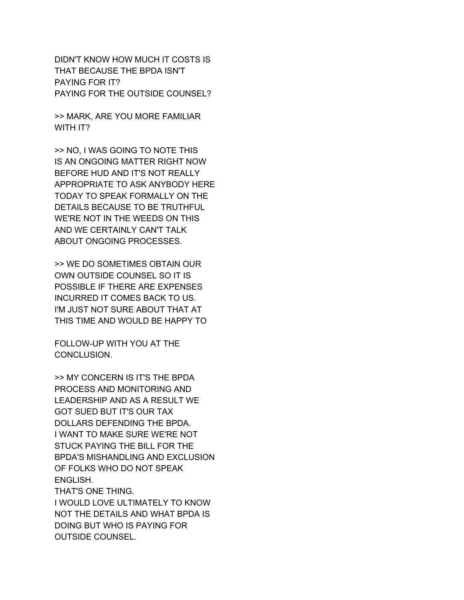DIDN'T KNOW HOW MUCH IT COSTS IS THAT BECAUSE THE BPDA ISN'T PAYING FOR IT? PAYING FOR THE OUTSIDE COUNSEL?

>> MARK, ARE YOU MORE FAMILIAR WITH IT?

>> NO, I WAS GOING TO NOTE THIS IS AN ONGOING MATTER RIGHT NOW BEFORE HUD AND IT'S NOT REALLY APPROPRIATE TO ASK ANYBODY HERE TODAY TO SPEAK FORMALLY ON THE DETAILS BECAUSE TO BE TRUTHFUL WE'RE NOT IN THE WEEDS ON THIS AND WE CERTAINLY CAN'T TALK ABOUT ONGOING PROCESSES.

>> WE DO SOMETIMES OBTAIN OUR OWN OUTSIDE COUNSEL SO IT IS POSSIBLE IF THERE ARE EXPENSES INCURRED IT COMES BACK TO US. I'M JUST NOT SURE ABOUT THAT AT THIS TIME AND WOULD BE HAPPY TO

FOLLOW-UP WITH YOU AT THE CONCLUSION.

>> MY CONCERN IS IT'S THE BPDA PROCESS AND MONITORING AND LEADERSHIP AND AS A RESULT WE GOT SUED BUT IT'S OUR TAX DOLLARS DEFENDING THE BPDA. I WANT TO MAKE SURE WE'RE NOT STUCK PAYING THE BILL FOR THE BPDA'S MISHANDLING AND EXCLUSION OF FOLKS WHO DO NOT SPEAK ENGLISH. THAT'S ONE THING. I WOULD LOVE ULTIMATELY TO KNOW NOT THE DETAILS AND WHAT BPDA IS DOING BUT WHO IS PAYING FOR OUTSIDE COUNSEL.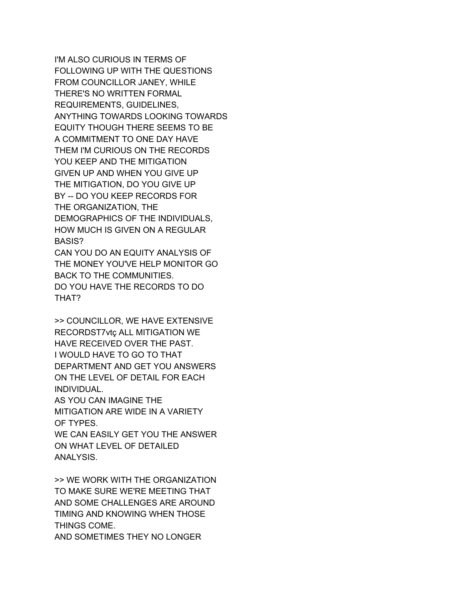I'M ALSO CURIOUS IN TERMS OF FOLLOWING UP WITH THE QUESTIONS FROM COUNCILLOR JANEY, WHILE THERE'S NO WRITTEN FORMAL REQUIREMENTS, GUIDELINES, ANYTHING TOWARDS LOOKING TOWARDS EQUITY THOUGH THERE SEEMS TO BE A COMMITMENT TO ONE DAY HAVE THEM I'M CURIOUS ON THE RECORDS YOU KEEP AND THE MITIGATION GIVEN UP AND WHEN YOU GIVE UP THE MITIGATION, DO YOU GIVE UP BY -- DO YOU KEEP RECORDS FOR THE ORGANIZATION, THE DEMOGRAPHICS OF THE INDIVIDUALS, HOW MUCH IS GIVEN ON A REGULAR BASIS? CAN YOU DO AN EQUITY ANALYSIS OF THE MONEY YOU'VE HELP MONITOR GO BACK TO THE COMMUNITIES.

DO YOU HAVE THE RECORDS TO DO THAT?

>> COUNCILLOR, WE HAVE EXTENSIVE RECORDST7vtç ALL MITIGATION WE HAVE RECEIVED OVER THE PAST. I WOULD HAVE TO GO TO THAT DEPARTMENT AND GET YOU ANSWERS ON THE LEVEL OF DETAIL FOR EACH INDIVIDUAL.

AS YOU CAN IMAGINE THE MITIGATION ARE WIDE IN A VARIETY OF TYPES.

WE CAN EASILY GET YOU THE ANSWER ON WHAT LEVEL OF DETAILED ANALYSIS.

>> WE WORK WITH THE ORGANIZATION TO MAKE SURE WE'RE MEETING THAT AND SOME CHALLENGES ARE AROUND TIMING AND KNOWING WHEN THOSE THINGS COME. AND SOMETIMES THEY NO LONGER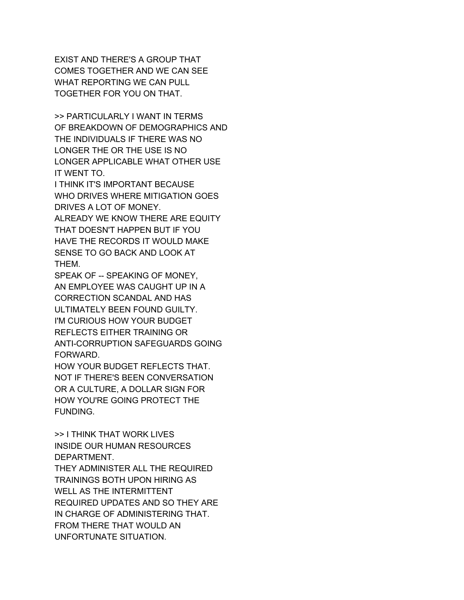EXIST AND THERE'S A GROUP THAT COMES TOGETHER AND WE CAN SEE WHAT REPORTING WE CAN PULL TOGETHER FOR YOU ON THAT.

>> PARTICULARLY I WANT IN TERMS OF BREAKDOWN OF DEMOGRAPHICS AND THE INDIVIDUALS IF THERE WAS NO LONGER THE OR THE USE IS NO LONGER APPLICABLE WHAT OTHER USE IT WENT TO.

I THINK IT'S IMPORTANT BECAUSE WHO DRIVES WHERE MITIGATION GOES DRIVES A LOT OF MONEY.

ALREADY WE KNOW THERE ARE EQUITY THAT DOESN'T HAPPEN BUT IF YOU HAVE THE RECORDS IT WOULD MAKE SENSE TO GO BACK AND LOOK AT THEM.

SPEAK OF -- SPEAKING OF MONEY, AN EMPLOYEE WAS CAUGHT UP IN A CORRECTION SCANDAL AND HAS ULTIMATELY BEEN FOUND GUILTY. I'M CURIOUS HOW YOUR BUDGET REFLECTS EITHER TRAINING OR ANTI-CORRUPTION SAFEGUARDS GOING FORWARD.

HOW YOUR BUDGET REFLECTS THAT. NOT IF THERE'S BEEN CONVERSATION OR A CULTURE, A DOLLAR SIGN FOR HOW YOU'RE GOING PROTECT THE FUNDING.

>> I THINK THAT WORK LIVES INSIDE OUR HUMAN RESOURCES DEPARTMENT.

THEY ADMINISTER ALL THE REQUIRED TRAININGS BOTH UPON HIRING AS WELL AS THE INTERMITTENT REQUIRED UPDATES AND SO THEY ARE IN CHARGE OF ADMINISTERING THAT. FROM THERE THAT WOULD AN UNFORTUNATE SITUATION.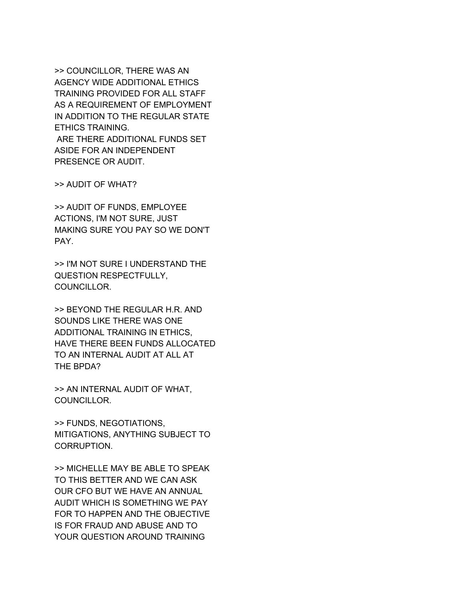>> COUNCILLOR, THERE WAS AN AGENCY WIDE ADDITIONAL ETHICS TRAINING PROVIDED FOR ALL STAFF AS A REQUIREMENT OF EMPLOYMENT IN ADDITION TO THE REGULAR STATE ETHICS TRAINING. ARE THERE ADDITIONAL FUNDS SET ASIDE FOR AN INDEPENDENT PRESENCE OR AUDIT.

>> AUDIT OF WHAT?

>> AUDIT OF FUNDS, EMPLOYEE ACTIONS, I'M NOT SURE, JUST MAKING SURE YOU PAY SO WE DON'T PAY.

>> I'M NOT SURE I UNDERSTAND THE QUESTION RESPECTFULLY, COUNCILLOR.

>> BEYOND THE REGULAR H.R. AND SOUNDS LIKE THERE WAS ONE ADDITIONAL TRAINING IN ETHICS, HAVE THERE BEEN FUNDS ALLOCATED TO AN INTERNAL AUDIT AT ALL AT THE BPDA?

>> AN INTERNAL AUDIT OF WHAT, COUNCILLOR.

>> FUNDS, NEGOTIATIONS, MITIGATIONS, ANYTHING SUBJECT TO CORRUPTION.

>> MICHELLE MAY BE ABLE TO SPEAK TO THIS BETTER AND WE CAN ASK OUR CFO BUT WE HAVE AN ANNUAL AUDIT WHICH IS SOMETHING WE PAY FOR TO HAPPEN AND THE OBJECTIVE IS FOR FRAUD AND ABUSE AND TO YOUR QUESTION AROUND TRAINING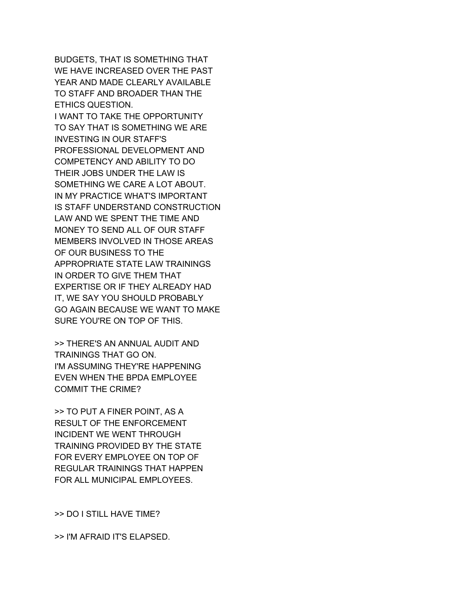BUDGETS, THAT IS SOMETHING THAT WE HAVE INCREASED OVER THE PAST YEAR AND MADE CLEARLY AVAILABLE TO STAFF AND BROADER THAN THE ETHICS QUESTION. I WANT TO TAKE THE OPPORTUNITY TO SAY THAT IS SOMETHING WE ARE INVESTING IN OUR STAFF'S PROFESSIONAL DEVELOPMENT AND COMPETENCY AND ABILITY TO DO THEIR JOBS UNDER THE LAW IS SOMETHING WE CARE A LOT ABOUT. IN MY PRACTICE WHAT'S IMPORTANT IS STAFF UNDERSTAND CONSTRUCTION LAW AND WE SPENT THE TIME AND MONEY TO SEND ALL OF OUR STAFF MEMBERS INVOLVED IN THOSE AREAS OF OUR BUSINESS TO THE APPROPRIATE STATE LAW TRAININGS IN ORDER TO GIVE THEM THAT EXPERTISE OR IF THEY ALREADY HAD IT, WE SAY YOU SHOULD PROBABLY GO AGAIN BECAUSE WE WANT TO MAKE SURE YOU'RE ON TOP OF THIS.

>> THERE'S AN ANNUAL AUDIT AND TRAININGS THAT GO ON. I'M ASSUMING THEY'RE HAPPENING EVEN WHEN THE BPDA EMPLOYEE COMMIT THE CRIME?

>> TO PUT A FINER POINT, AS A RESULT OF THE ENFORCEMENT INCIDENT WE WENT THROUGH TRAINING PROVIDED BY THE STATE FOR EVERY EMPLOYEE ON TOP OF REGULAR TRAININGS THAT HAPPEN FOR ALL MUNICIPAL EMPLOYEES.

>> DO I STILL HAVE TIME?

>> I'M AFRAID IT'S ELAPSED.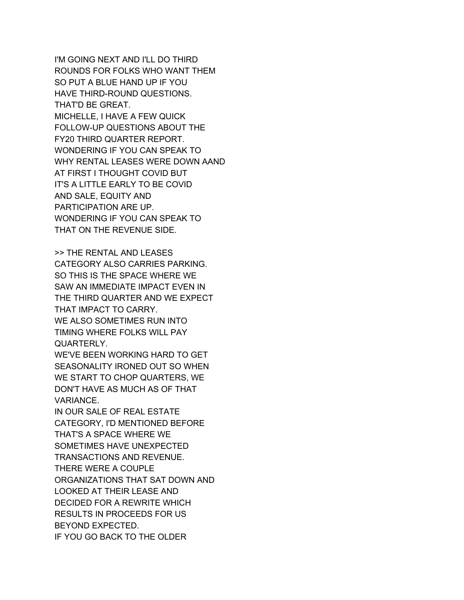I'M GOING NEXT AND I'LL DO THIRD ROUNDS FOR FOLKS WHO WANT THEM SO PUT A BLUE HAND UP IF YOU HAVE THIRD-ROUND QUESTIONS. THAT'D BE GREAT. MICHELLE, I HAVE A FEW QUICK FOLLOW-UP QUESTIONS ABOUT THE FY20 THIRD QUARTER REPORT. WONDERING IF YOU CAN SPEAK TO WHY RENTAL LEASES WERE DOWN AAND AT FIRST I THOUGHT COVID BUT IT'S A LITTLE EARLY TO BE COVID AND SALE, EQUITY AND PARTICIPATION ARE UP. WONDERING IF YOU CAN SPEAK TO THAT ON THE REVENUE SIDE.

>> THE RENTAL AND LEASES CATEGORY ALSO CARRIES PARKING. SO THIS IS THE SPACE WHERE WE SAW AN IMMEDIATE IMPACT EVEN IN THE THIRD QUARTER AND WE EXPECT THAT IMPACT TO CARRY. WE ALSO SOMETIMES RUN INTO TIMING WHERE FOLKS WILL PAY QUARTERLY.

WE'VE BEEN WORKING HARD TO GET SEASONALITY IRONED OUT SO WHEN WE START TO CHOP QUARTERS, WE DON'T HAVE AS MUCH AS OF THAT VARIANCE.

IN OUR SALE OF REAL ESTATE CATEGORY, I'D MENTIONED BEFORE THAT'S A SPACE WHERE WE SOMETIMES HAVE UNEXPECTED TRANSACTIONS AND REVENUE. THERE WERE A COUPLE ORGANIZATIONS THAT SAT DOWN AND LOOKED AT THEIR LEASE AND DECIDED FOR A REWRITE WHICH RESULTS IN PROCEEDS FOR US BEYOND EXPECTED. IF YOU GO BACK TO THE OLDER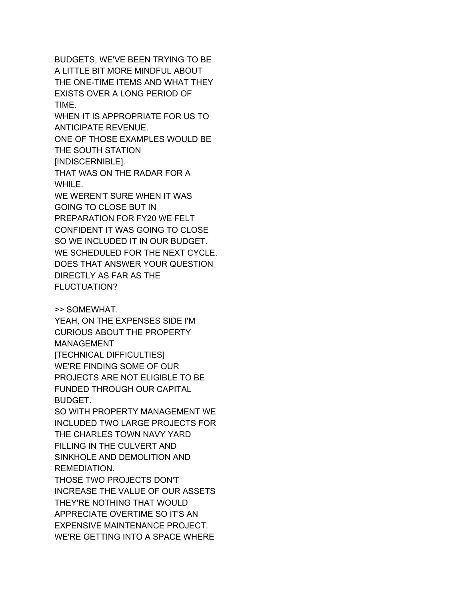BUDGETS, WE'VE BEEN TRYING TO BE A LITTLE BIT MORE MINDFUL ABOUT THE ONE-TIME ITEMS AND WHAT THEY EXISTS OVER A LONG PERIOD OF TIME. WHEN IT IS APPROPRIATE FOR US TO ANTICIPATE REVENUE. ONE OF THOSE EXAMPLES WOULD BE THE SOUTH STATION [INDISCERNIBLE]. THAT WAS ON THE RADAR FOR A WHILE.

WE WEREN'T SURE WHEN IT WAS GOING TO CLOSE BUT IN PREPARATION FOR FY20 WE FELT CONFIDENT IT WAS GOING TO CLOSE SO WE INCLUDED IT IN OUR BUDGET. WE SCHEDULED FOR THE NEXT CYCLE. DOES THAT ANSWER YOUR QUESTION DIRECTLY AS FAR AS THE FLUCTUATION?

>> SOMEWHAT.

YEAH, ON THE EXPENSES SIDE I'M CURIOUS ABOUT THE PROPERTY MANAGEMENT [TECHNICAL DIFFICULTIES] WE'RE FINDING SOME OF OUR PROJECTS ARE NOT ELIGIBLE TO BE FUNDED THROUGH OUR CAPITAL BUDGET.

SO WITH PROPERTY MANAGEMENT WE INCLUDED TWO LARGE PROJECTS FOR THE CHARLES TOWN NAVY YARD FILLING IN THE CULVERT AND SINKHOLE AND DEMOLITION AND REMEDIATION.

THOSE TWO PROJECTS DON'T INCREASE THE VALUE OF OUR ASSETS THEY'RE NOTHING THAT WOULD APPRECIATE OVERTIME SO IT'S AN EXPENSIVE MAINTENANCE PROJECT. WE'RE GETTING INTO A SPACE WHERE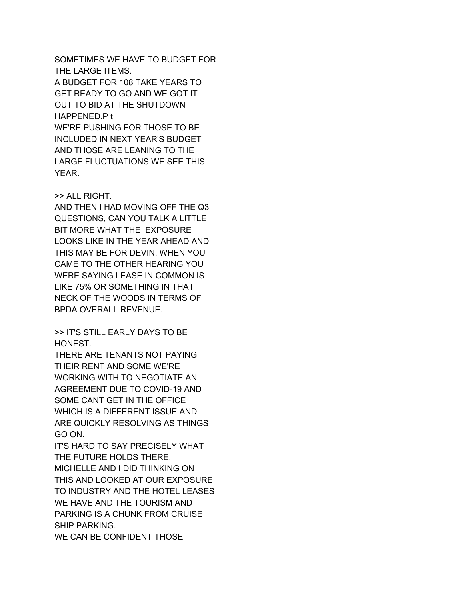SOMETIMES WE HAVE TO BUDGET FOR THE LARGE ITEMS. A BUDGET FOR 108 TAKE YEARS TO GET READY TO GO AND WE GOT IT OUT TO BID AT THE SHUTDOWN HAPPENED.P t WE'RE PUSHING FOR THOSE TO BE INCLUDED IN NEXT YEAR'S BUDGET AND THOSE ARE LEANING TO THE LARGE FLUCTUATIONS WE SEE THIS YEAR.

## >> ALL RIGHT.

AND THEN I HAD MOVING OFF THE Q3 QUESTIONS, CAN YOU TALK A LITTLE BIT MORE WHAT THE EXPOSURE LOOKS LIKE IN THE YEAR AHEAD AND THIS MAY BE FOR DEVIN, WHEN YOU CAME TO THE OTHER HEARING YOU WERE SAYING LEASE IN COMMON IS LIKE 75% OR SOMETHING IN THAT NECK OF THE WOODS IN TERMS OF BPDA OVERALL REVENUE.

>> IT'S STILL EARLY DAYS TO BE HONEST.

THERE ARE TENANTS NOT PAYING THEIR RENT AND SOME WE'RE WORKING WITH TO NEGOTIATE AN AGREEMENT DUE TO COVID-19 AND SOME CANT GET IN THE OFFICE WHICH IS A DIFFERENT ISSUE AND ARE QUICKLY RESOLVING AS THINGS GO ON.

IT'S HARD TO SAY PRECISELY WHAT THE FUTURE HOLDS THERE. MICHELLE AND I DID THINKING ON THIS AND LOOKED AT OUR EXPOSURE TO INDUSTRY AND THE HOTEL LEASES WE HAVE AND THE TOURISM AND PARKING IS A CHUNK FROM CRUISE SHIP PARKING. WE CAN BE CONFIDENT THOSE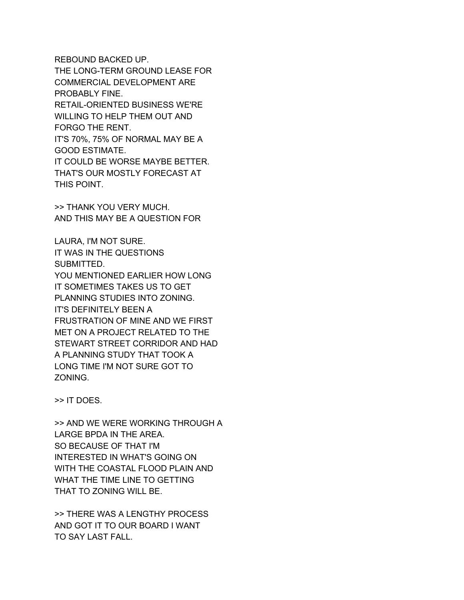REBOUND BACKED UP. THE LONG-TERM GROUND LEASE FOR COMMERCIAL DEVELOPMENT ARE PROBABLY FINE. RETAIL-ORIENTED BUSINESS WE'RE WILLING TO HELP THEM OUT AND FORGO THE RENT. IT'S 70%, 75% OF NORMAL MAY BE A GOOD ESTIMATE. IT COULD BE WORSE MAYBE BETTER. THAT'S OUR MOSTLY FORECAST AT THIS POINT.

>> THANK YOU VERY MUCH. AND THIS MAY BE A QUESTION FOR

LAURA, I'M NOT SURE. IT WAS IN THE QUESTIONS SUBMITTED. YOU MENTIONED EARLIER HOW LONG IT SOMETIMES TAKES US TO GET PLANNING STUDIES INTO ZONING. IT'S DEFINITELY BEEN A FRUSTRATION OF MINE AND WE FIRST MET ON A PROJECT RELATED TO THE STEWART STREET CORRIDOR AND HAD A PLANNING STUDY THAT TOOK A LONG TIME I'M NOT SURE GOT TO ZONING.

>> IT DOES.

>> AND WE WERE WORKING THROUGH A LARGE BPDA IN THE AREA. SO BECAUSE OF THAT I'M INTERESTED IN WHAT'S GOING ON WITH THE COASTAL FLOOD PLAIN AND WHAT THE TIME LINE TO GETTING THAT TO ZONING WILL BE.

>> THERE WAS A LENGTHY PROCESS AND GOT IT TO OUR BOARD I WANT TO SAY LAST FALL.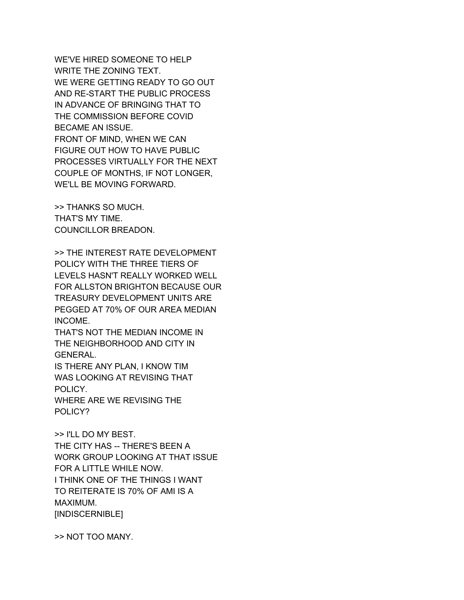WE'VE HIRED SOMEONE TO HELP WRITE THE ZONING TEXT. WE WERE GETTING READY TO GO OUT AND RE-START THE PUBLIC PROCESS IN ADVANCE OF BRINGING THAT TO THE COMMISSION BEFORE COVID BECAME AN ISSUE. FRONT OF MIND, WHEN WE CAN FIGURE OUT HOW TO HAVE PUBLIC PROCESSES VIRTUALLY FOR THE NEXT COUPLE OF MONTHS, IF NOT LONGER, WE'LL BE MOVING FORWARD.

>> THANKS SO MUCH. THAT'S MY TIME. COUNCILLOR BREADON.

>> THE INTEREST RATE DEVELOPMENT POLICY WITH THE THREE TIERS OF LEVELS HASN'T REALLY WORKED WELL FOR ALLSTON BRIGHTON BECAUSE OUR TREASURY DEVELOPMENT UNITS ARE PEGGED AT 70% OF OUR AREA MEDIAN INCOME.

THAT'S NOT THE MEDIAN INCOME IN THE NEIGHBORHOOD AND CITY IN GENERAL.

IS THERE ANY PLAN, I KNOW TIM WAS LOOKING AT REVISING THAT POLICY.

WHERE ARE WE REVISING THE POLICY?

>> I'LL DO MY BEST. THE CITY HAS -- THERE'S BEEN A WORK GROUP LOOKING AT THAT ISSUE FOR A LITTLE WHILE NOW. I THINK ONE OF THE THINGS I WANT TO REITERATE IS 70% OF AMI IS A MAXIMUM. [INDISCERNIBLE]

>> NOT TOO MANY.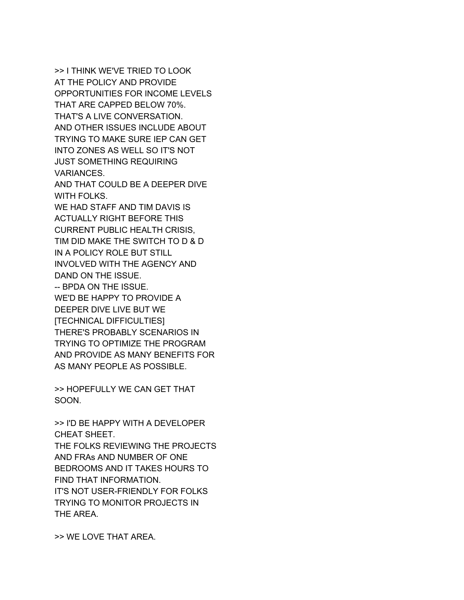>> I THINK WE'VE TRIED TO LOOK AT THE POLICY AND PROVIDE OPPORTUNITIES FOR INCOME LEVELS THAT ARE CAPPED BELOW 70%. THAT'S A LIVE CONVERSATION. AND OTHER ISSUES INCLUDE ABOUT TRYING TO MAKE SURE IEP CAN GET INTO ZONES AS WELL SO IT'S NOT JUST SOMETHING REQUIRING VARIANCES. AND THAT COULD BE A DEEPER DIVE WITH FOLKS. WE HAD STAFF AND TIM DAVIS IS ACTUALLY RIGHT BEFORE THIS CURRENT PUBLIC HEALTH CRISIS, TIM DID MAKE THE SWITCH TO D & D IN A POLICY ROLE BUT STILL INVOLVED WITH THE AGENCY AND DAND ON THE ISSUE. -- BPDA ON THE ISSUE. WE'D BE HAPPY TO PROVIDE A DEEPER DIVE LIVE BUT WE [TECHNICAL DIFFICULTIES] THERE'S PROBABLY SCENARIOS IN TRYING TO OPTIMIZE THE PROGRAM AND PROVIDE AS MANY BENEFITS FOR AS MANY PEOPLE AS POSSIBLE.

>> HOPEFULLY WE CAN GET THAT SOON.

>> I'D BE HAPPY WITH A DEVELOPER CHEAT SHEET. THE FOLKS REVIEWING THE PROJECTS AND FRAs AND NUMBER OF ONE BEDROOMS AND IT TAKES HOURS TO FIND THAT INFORMATION. IT'S NOT USER-FRIENDLY FOR FOLKS TRYING TO MONITOR PROJECTS IN THE AREA.

>> WE LOVE THAT AREA.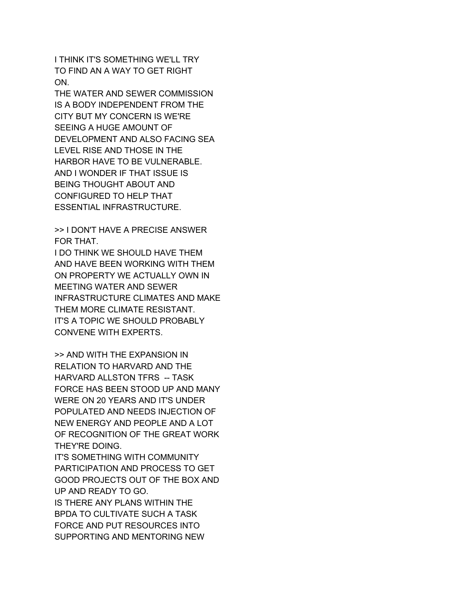I THINK IT'S SOMETHING WE'LL TRY TO FIND AN A WAY TO GET RIGHT ON.

THE WATER AND SEWER COMMISSION IS A BODY INDEPENDENT FROM THE CITY BUT MY CONCERN IS WE'RE SEEING A HUGE AMOUNT OF DEVELOPMENT AND ALSO FACING SEA LEVEL RISE AND THOSE IN THE HARBOR HAVE TO BE VULNERABLE. AND I WONDER IF THAT ISSUE IS BEING THOUGHT ABOUT AND CONFIGURED TO HELP THAT ESSENTIAL INFRASTRUCTURE.

>> I DON'T HAVE A PRECISE ANSWER FOR THAT.

I DO THINK WE SHOULD HAVE THEM AND HAVE BEEN WORKING WITH THEM ON PROPERTY WE ACTUALLY OWN IN MEETING WATER AND SEWER INFRASTRUCTURE CLIMATES AND MAKE THEM MORE CLIMATE RESISTANT. IT'S A TOPIC WE SHOULD PROBABLY CONVENE WITH EXPERTS.

>> AND WITH THE EXPANSION IN RELATION TO HARVARD AND THE HARVARD ALLSTON TFRS -- TASK FORCE HAS BEEN STOOD UP AND MANY WERE ON 20 YEARS AND IT'S UNDER POPULATED AND NEEDS INJECTION OF NEW ENERGY AND PEOPLE AND A LOT OF RECOGNITION OF THE GREAT WORK THEY'RE DOING.

IT'S SOMETHING WITH COMMUNITY PARTICIPATION AND PROCESS TO GET GOOD PROJECTS OUT OF THE BOX AND UP AND READY TO GO. IS THERE ANY PLANS WITHIN THE BPDA TO CULTIVATE SUCH A TASK FORCE AND PUT RESOURCES INTO SUPPORTING AND MENTORING NEW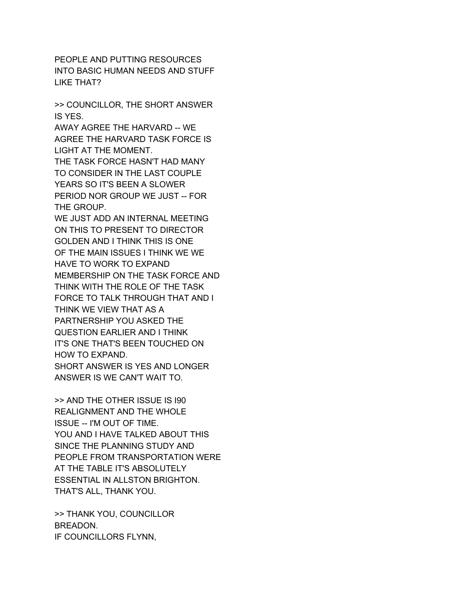PEOPLE AND PUTTING RESOURCES INTO BASIC HUMAN NEEDS AND STUFF LIKE THAT?

>> COUNCILLOR, THE SHORT ANSWER IS YES.

AWAY AGREE THE HARVARD -- WE AGREE THE HARVARD TASK FORCE IS LIGHT AT THE MOMENT.

THE TASK FORCE HASN'T HAD MANY TO CONSIDER IN THE LAST COUPLE YEARS SO IT'S BEEN A SLOWER PERIOD NOR GROUP WE JUST -- FOR THE GROUP.

WE JUST ADD AN INTERNAL MEETING ON THIS TO PRESENT TO DIRECTOR GOLDEN AND I THINK THIS IS ONE OF THE MAIN ISSUES I THINK WE WE HAVE TO WORK TO EXPAND MEMBERSHIP ON THE TASK FORCE AND THINK WITH THE ROLE OF THE TASK FORCE TO TALK THROUGH THAT AND I THINK WE VIEW THAT AS A PARTNERSHIP YOU ASKED THE QUESTION EARLIER AND I THINK IT'S ONE THAT'S BEEN TOUCHED ON HOW TO EXPAND. SHORT ANSWER IS YES AND LONGER ANSWER IS WE CAN'T WAIT TO.

>> AND THE OTHER ISSUE IS I90 REALIGNMENT AND THE WHOLE ISSUE -- I'M OUT OF TIME. YOU AND I HAVE TALKED ABOUT THIS SINCE THE PLANNING STUDY AND PEOPLE FROM TRANSPORTATION WERE AT THE TABLE IT'S ABSOLUTELY ESSENTIAL IN ALLSTON BRIGHTON. THAT'S ALL, THANK YOU.

>> THANK YOU, COUNCILLOR BREADON. IF COUNCILLORS FLYNN,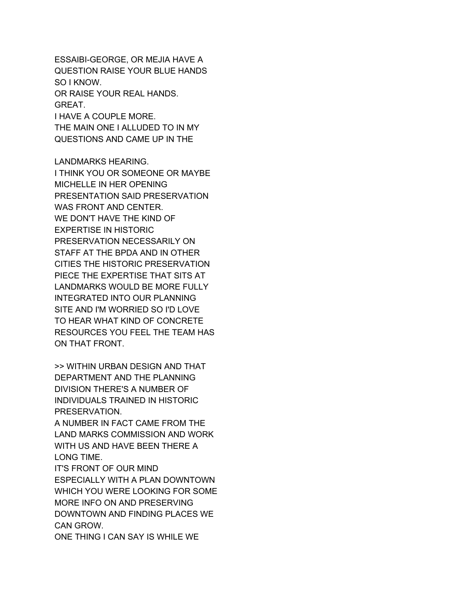ESSAIBI-GEORGE, OR MEJIA HAVE A QUESTION RAISE YOUR BLUE HANDS SO I KNOW. OR RAISE YOUR REAL HANDS. GREAT. I HAVE A COUPLE MORE. THE MAIN ONE I ALLUDED TO IN MY QUESTIONS AND CAME UP IN THE

LANDMARKS HEARING. I THINK YOU OR SOMEONE OR MAYBE MICHELLE IN HER OPENING PRESENTATION SAID PRESERVATION WAS FRONT AND CENTER. WE DON'T HAVE THE KIND OF EXPERTISE IN HISTORIC PRESERVATION NECESSARILY ON STAFF AT THE BPDA AND IN OTHER CITIES THE HISTORIC PRESERVATION PIECE THE EXPERTISE THAT SITS AT LANDMARKS WOULD BE MORE FULLY INTEGRATED INTO OUR PLANNING SITE AND I'M WORRIED SO I'D LOVE TO HEAR WHAT KIND OF CONCRETE RESOURCES YOU FEEL THE TEAM HAS ON THAT FRONT.

>> WITHIN URBAN DESIGN AND THAT DEPARTMENT AND THE PLANNING DIVISION THERE'S A NUMBER OF INDIVIDUALS TRAINED IN HISTORIC PRESERVATION.

A NUMBER IN FACT CAME FROM THE LAND MARKS COMMISSION AND WORK WITH US AND HAVE BEEN THERE A LONG TIME.

IT'S FRONT OF OUR MIND ESPECIALLY WITH A PLAN DOWNTOWN WHICH YOU WERE LOOKING FOR SOME MORE INFO ON AND PRESERVING DOWNTOWN AND FINDING PLACES WE CAN GROW.

ONE THING I CAN SAY IS WHILE WE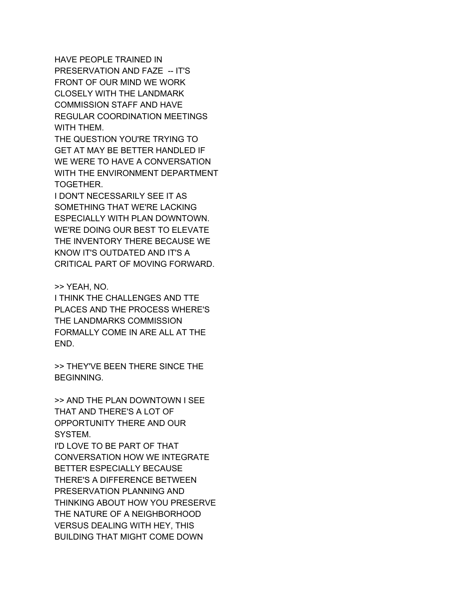HAVE PEOPLE TRAINED IN PRESERVATION AND FAZE -- IT'S FRONT OF OUR MIND WE WORK CLOSELY WITH THE LANDMARK COMMISSION STAFF AND HAVE REGULAR COORDINATION MEETINGS WITH THEM.

THE QUESTION YOU'RE TRYING TO GET AT MAY BE BETTER HANDLED IF WE WERE TO HAVE A CONVERSATION WITH THE ENVIRONMENT DEPARTMENT TOGETHER.

I DON'T NECESSARILY SEE IT AS SOMETHING THAT WE'RE LACKING ESPECIALLY WITH PLAN DOWNTOWN. WE'RE DOING OUR BEST TO ELEVATE THE INVENTORY THERE BECAUSE WE KNOW IT'S OUTDATED AND IT'S A CRITICAL PART OF MOVING FORWARD.

>> YEAH, NO.

I THINK THE CHALLENGES AND TTE PLACES AND THE PROCESS WHERE'S THE LANDMARKS COMMISSION FORMALLY COME IN ARE ALL AT THE END.

>> THEY'VE BEEN THERE SINCE THE BEGINNING.

>> AND THE PLAN DOWNTOWN I SEE THAT AND THERE'S A LOT OF OPPORTUNITY THERE AND OUR SYSTEM.

I'D LOVE TO BE PART OF THAT CONVERSATION HOW WE INTEGRATE BETTER ESPECIALLY BECAUSE THERE'S A DIFFERENCE BETWEEN PRESERVATION PLANNING AND THINKING ABOUT HOW YOU PRESERVE THE NATURE OF A NEIGHBORHOOD VERSUS DEALING WITH HEY, THIS BUILDING THAT MIGHT COME DOWN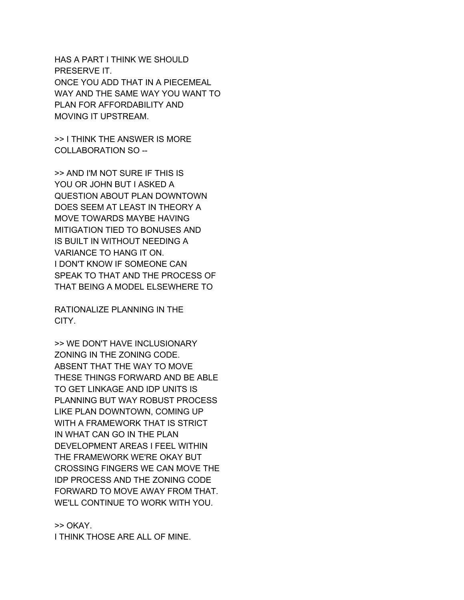HAS A PART I THINK WE SHOULD PRESERVE IT. ONCE YOU ADD THAT IN A PIECEMEAL WAY AND THE SAME WAY YOU WANT TO PLAN FOR AFFORDABILITY AND MOVING IT UPSTREAM.

>> I THINK THE ANSWER IS MORE COLLABORATION SO --

>> AND I'M NOT SURE IF THIS IS YOU OR JOHN BUT I ASKED A QUESTION ABOUT PLAN DOWNTOWN DOES SEEM AT LEAST IN THEORY A MOVE TOWARDS MAYBE HAVING MITIGATION TIED TO BONUSES AND IS BUILT IN WITHOUT NEEDING A VARIANCE TO HANG IT ON. I DON'T KNOW IF SOMEONE CAN SPEAK TO THAT AND THE PROCESS OF THAT BEING A MODEL ELSEWHERE TO

RATIONALIZE PLANNING IN THE CITY.

>> WE DON'T HAVE INCLUSIONARY ZONING IN THE ZONING CODE. ABSENT THAT THE WAY TO MOVE THESE THINGS FORWARD AND BE ABLE TO GET LINKAGE AND IDP UNITS IS PLANNING BUT WAY ROBUST PROCESS LIKE PLAN DOWNTOWN, COMING UP WITH A FRAMEWORK THAT IS STRICT IN WHAT CAN GO IN THE PLAN DEVELOPMENT AREAS I FEEL WITHIN THE FRAMEWORK WE'RE OKAY BUT CROSSING FINGERS WE CAN MOVE THE IDP PROCESS AND THE ZONING CODE FORWARD TO MOVE AWAY FROM THAT. WE'LL CONTINUE TO WORK WITH YOU.

>> OKAY. I THINK THOSE ARE ALL OF MINE.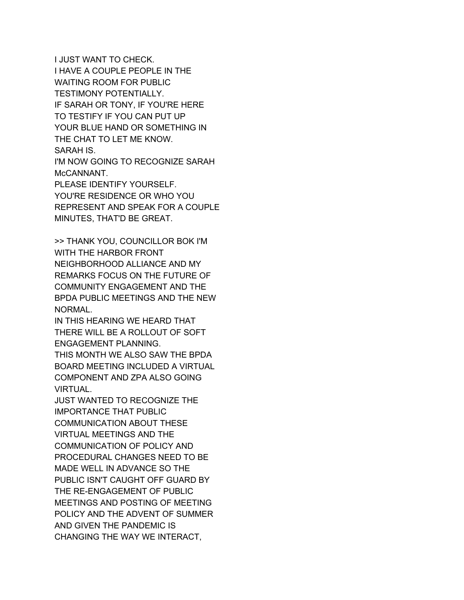I JUST WANT TO CHECK. I HAVE A COUPLE PEOPLE IN THE WAITING ROOM FOR PUBLIC TESTIMONY POTENTIALLY. IF SARAH OR TONY, IF YOU'RE HERE TO TESTIFY IF YOU CAN PUT UP YOUR BLUE HAND OR SOMETHING IN THE CHAT TO LET ME KNOW. SARAH IS. I'M NOW GOING TO RECOGNIZE SARAH

McCANNANT. PLEASE IDENTIFY YOURSELF. YOU'RE RESIDENCE OR WHO YOU REPRESENT AND SPEAK FOR A COUPLE MINUTES, THAT'D BE GREAT.

>> THANK YOU, COUNCILLOR BOK I'M WITH THE HARBOR FRONT NEIGHBORHOOD ALLIANCE AND MY REMARKS FOCUS ON THE FUTURE OF COMMUNITY ENGAGEMENT AND THE BPDA PUBLIC MEETINGS AND THE NEW

NORMAL. IN THIS HEARING WE HEARD THAT THERE WILL BE A ROLLOUT OF SOFT ENGAGEMENT PLANNING.

THIS MONTH WE ALSO SAW THE BPDA BOARD MEETING INCLUDED A VIRTUAL COMPONENT AND ZPA ALSO GOING VIRTUAL.

JUST WANTED TO RECOGNIZE THE IMPORTANCE THAT PUBLIC COMMUNICATION ABOUT THESE VIRTUAL MEETINGS AND THE COMMUNICATION OF POLICY AND PROCEDURAL CHANGES NEED TO BE MADE WELL IN ADVANCE SO THE PUBLIC ISN'T CAUGHT OFF GUARD BY THE RE-ENGAGEMENT OF PUBLIC MEETINGS AND POSTING OF MEETING POLICY AND THE ADVENT OF SUMMER AND GIVEN THE PANDEMIC IS CHANGING THE WAY WE INTERACT,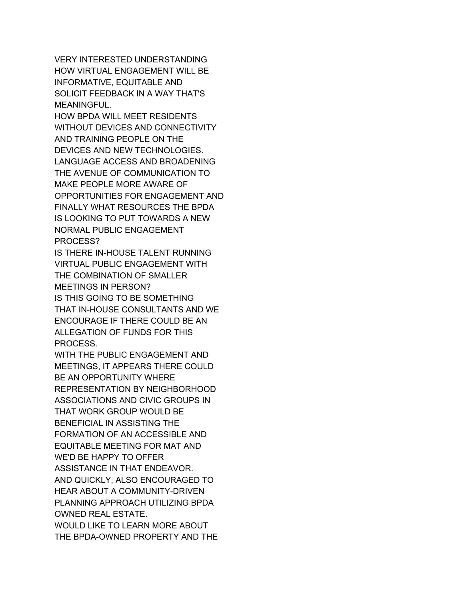VERY INTERESTED UNDERSTANDING HOW VIRTUAL ENGAGEMENT WILL BE INFORMATIVE, EQUITABLE AND SOLICIT FEEDBACK IN A WAY THAT'S MEANINGFUL.

HOW BPDA WILL MEET RESIDENTS WITHOUT DEVICES AND CONNECTIVITY AND TRAINING PEOPLE ON THE DEVICES AND NEW TECHNOLOGIES. LANGUAGE ACCESS AND BROADENING THE AVENUE OF COMMUNICATION TO MAKE PEOPLE MORE AWARE OF OPPORTUNITIES FOR ENGAGEMENT AND FINALLY WHAT RESOURCES THE BPDA IS LOOKING TO PUT TOWARDS A NEW NORMAL PUBLIC ENGAGEMENT PROCESS?

IS THERE IN-HOUSE TALENT RUNNING VIRTUAL PUBLIC ENGAGEMENT WITH THE COMBINATION OF SMALLER MEETINGS IN PERSON? IS THIS GOING TO BE SOMETHING

THAT IN-HOUSE CONSULTANTS AND WE ENCOURAGE IF THERE COULD BE AN ALLEGATION OF FUNDS FOR THIS PROCESS.

WITH THE PUBLIC ENGAGEMENT AND MEETINGS, IT APPEARS THERE COULD BE AN OPPORTUNITY WHERE REPRESENTATION BY NEIGHBORHOOD ASSOCIATIONS AND CIVIC GROUPS IN THAT WORK GROUP WOULD BE BENEFICIAL IN ASSISTING THE FORMATION OF AN ACCESSIBLE AND EQUITABLE MEETING FOR MAT AND WE'D BE HAPPY TO OFFER ASSISTANCE IN THAT ENDEAVOR. AND QUICKLY, ALSO ENCOURAGED TO HEAR ABOUT A COMMUNITY-DRIVEN PLANNING APPROACH UTILIZING BPDA OWNED REAL ESTATE. WOULD LIKE TO LEARN MORE ABOUT THE BPDA-OWNED PROPERTY AND THE